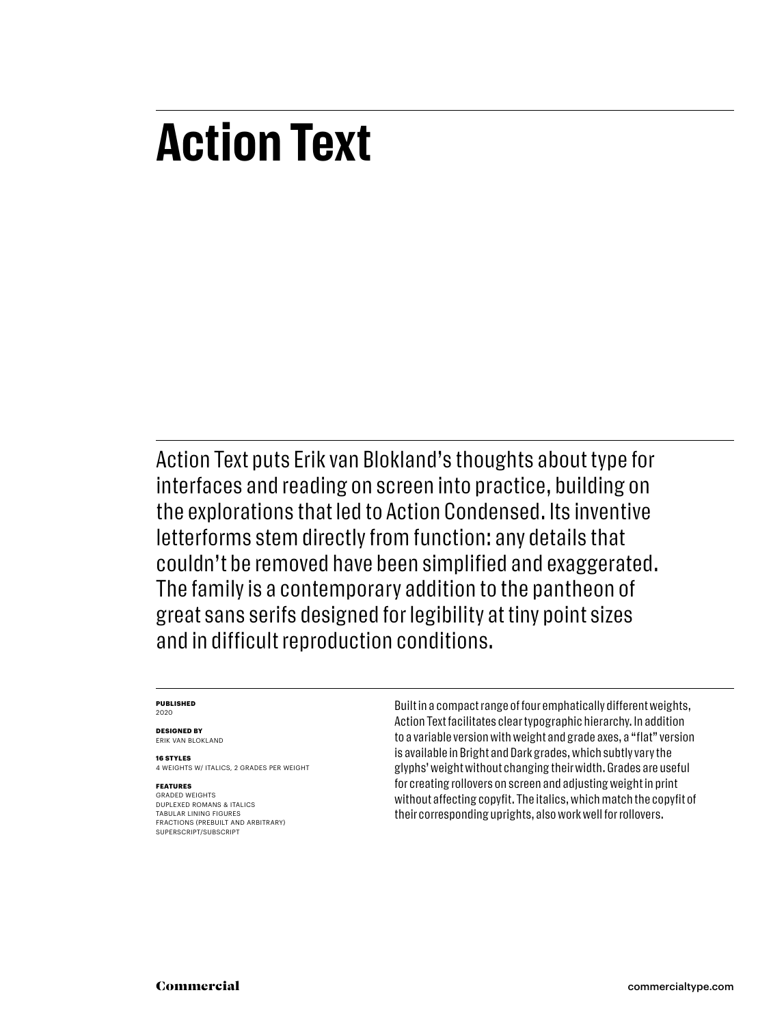# **Action Text**

Action Text puts Erik van Blokland's thoughts about type for interfaces and reading on screen into practice, building on the explorations that led to Action Condensed. Its inventive letterforms stem directly from function: any details that couldn't be removed have been simplified and exaggerated. The family is a contemporary addition to the pantheon of great sans serifs designed for legibility at tiny point sizes and in difficult reproduction conditions.

#### **PUBLISHED** 2020

**DESIGNED BY**

ERIK VAN BLOKLAND

**16 STYLES** 4 WEIGHTS W/ ITALICS, 2 GRADES PER WEIGHT

#### **FEATURES**

GRADED WEIGHTS DUPLEXED ROMANS & ITALICS TABULAR LINING FIGURES FRACTIONS (PREBUILT AND ARBITRARY) SUPERSCRIPT/SUBSCRIPT

Built in a compact range of four emphatically different weights, Action Text facilitates clear typographic hierarchy. In addition to a variable version with weight and grade axes, a "flat" version is available in Bright and Dark grades, which subtly vary the glyphs' weight without changing their width. Grades are useful for creating rollovers on screen and adjusting weight in print without affecting copyfit. The italics, which match the copyfit of their corresponding uprights, also work well for rollovers.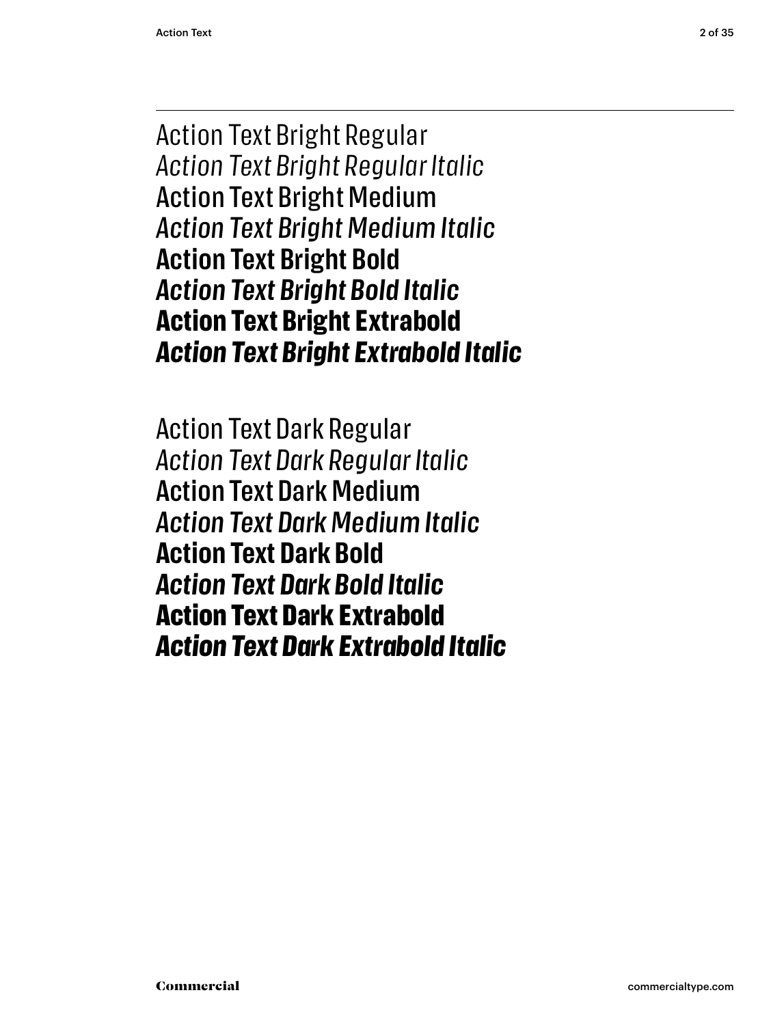Action Text Bright Regular *Action Text Bright Regular Italic* Action Text Bright Medium *Action Text Bright Medium Italic* **Action Text Bright Bold** *Action Text Bright Bold Italic* **Action Text Bright Extrabold** *Action Text Bright Extrabold Italic*

Action Text Dark Regular *Action Text Dark Regular Italic* Action Text Dark Medium *Action Text Dark Medium Italic* **Action Text Dark Bold** *Action Text Dark Bold Italic* **Action Text Dark Extrabold** *Action Text Dark Extrabold Italic*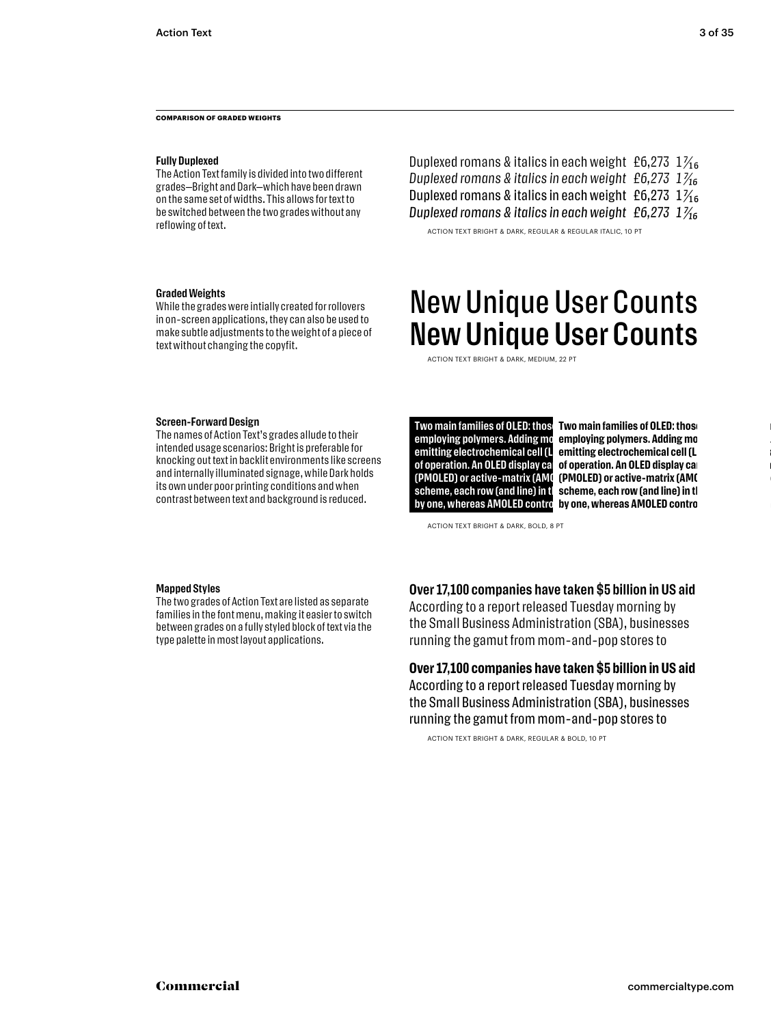**COMPARISON OF GRADED WEIGHTS**

#### **Fully Duplexed**

The Action Text family is divided into two different grades—Bright and Dark—which have been drawn on the same set of widths. This allows for text to be switched between the two grades without any reflowing of text.

#### **Graded Weights**

While the grades were intially created for rollovers in on-screen applications, they can also be used to make subtle adjustments to the weight of a piece of text without changing the copyfit.

## Duplexed romans & italics in each weight £6,273  $1\frac{1}{16}$ *Duplexed romans & italics in each weight £6,273 1 7/16* Duplexed romans & italics in each weight £6,273  $1\frac{1}{16}$ *Duplexed romans & italics in each weight £6,273 1 7/16*

ACTION TEXT BRIGHT & DARK, REGULAR & REGULAR ITALIC, 10 PT

## New Unique User Counts New Unique User Counts

ACTION TEXT BRIGHT & DARK, MEDIUM, 22 PT

#### **Screen-Forward Design**

The names of Action Text's grades allude to their intended usage scenarios: Bright is preferable for knocking out text in backlit environments like screens and internally illuminated signage, while Dark holds its own under poor printing conditions and when contrast between text and background is reduced.

employing polymers. Adding mo **emitting electrochemical cell (L** scheme, each row (and line) in th **by one, whereas AMOLED control** 

**Two main families of OLED: thos LTwo main families of OLED: those relations and the of operation. An OLED display can be operation. An OLED display ca (PMOLED) or active-matrix (AMO (PMOLED) or active-matrix (AMO** employing polymers. Adding mo **emitting electrochemical cell (L of operation. An OLED display can (PMOLED) or active-matrix (AMC** scheme, each row (and line) in th **by one, whereas AMOLED control** 

ACTION TEXT BRIGHT & DARK, BOLD, 8 PT

#### **Mapped Styles**

The two grades of Action Text are listed as separate families in the font menu, making it easier to switch between grades on a fully styled block of text via the type palette in most layout applications.

## **Over 17,100 companies have taken \$5 billion in US aid**

According to a report released Tuesday morning by the Small Business Administration (SBA), businesses running the gamut from mom-and-pop stores to

## **Over 17,100 companies have taken \$5 billion in US aid** According to a report released Tuesday morning by

the Small Business Administration (SBA), businesses running the gamut from mom-and-pop stores to

ACTION TEXT BRIGHT & DARK, REGULAR & BOLD, 10 PT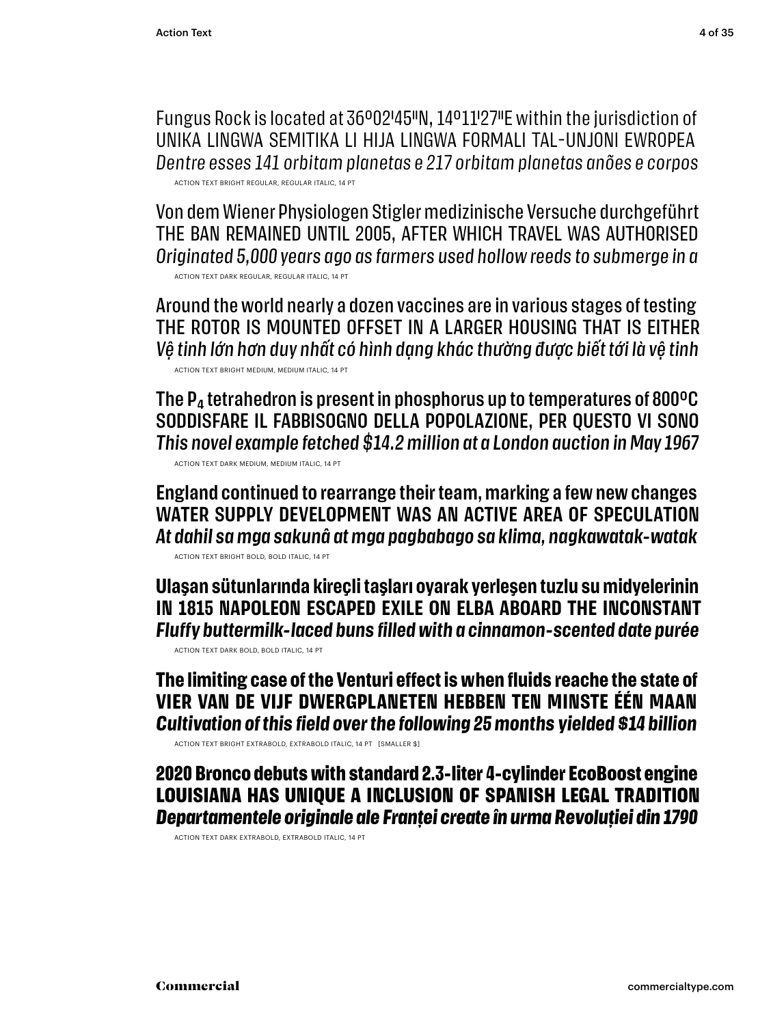Fungus Rock is located at 36°02′45″N, 14°11′27″E within the jurisdiction of UNIKA LINGWA SEMITIKA LI HIJA LINGWA FORMALI TAL-UNJONI EWROPEA *Dentre esses 141 orbitam planetas e 217 orbitam planetas anões e corpos* ACTION TEXT BRIGHT REGULAR, REGULAR ITALIC, 14 PT

Von dem Wiener Physiologen Stigler medizinische Versuche durchgeführt THE BAN REMAINED UNTIL 2005, AFTER WHICH TRAVEL WAS AUTHORISED *Originated 5,000 years ago as farmers used hollow reeds to submerge in a* ACTION TEXT DARK REGULAR, REGULAR ITALIC, 14 PT

Around the world nearly a dozen vaccines are in various stages of testing THE ROTOR IS MOUNTED OFFSET IN A LARGER HOUSING THAT IS EITHER *Vệ tinh lớn hơn duy nhất có hình dạng khác thường được biết tới là vệ tinh* ACTION TEXT BRIGHT MEDIUM, MEDIUM ITALIC, 14 PT

The  $P_4$  tetrahedron is present in phosphorus up to temperatures of 800 $^{\circ}$ C SODDISFARE IL FABBISOGNO DELLA POPOLAZIONE, PER QUESTO VI SONO *This novel example fetched \$14.2 million at a London auction in May 1967* ACTION TEXT DARK MEDIUM, MEDIUM ITALIC, 14 PT

**England continued to rearrange their team, marking a few new changes WATER SUPPLY DEVELOPMENT WAS AN ACTIVE AREA OF SPECULATION** *At dahil sa mga sakunâ at mga pagbabago sa klima, nagkawatak-watak*

ACTION TEXT BRIGHT BOLD, BOLD ITALIC, 14 PT

**Ulaşan sütunlarında kireçli taşları oyarak yerleşen tuzlu su midyelerinin IN 1815 NAPOLEON ESCAPED EXILE ON ELBA ABOARD THE INCONSTANT** *Fluffy buttermilk-laced buns filled with a cinnamon-scented date purée*

ACTION TEXT DARK BOLD, BOLD ITALIC, 14 PT

**The limiting case of the Venturi effect is when fluids reache the state of VIER VAN DE VIJF DWERGPLANETEN HEBBEN TEN MINSTE ÉÉN MAAN** *Cultivation of this field over the following 25 months yielded \$14 billion*

ACTION TEXT BRIGHT EXTRABOLD, EXTRABOLD ITALIC, 14 PT [SMALLER \$]

**2020 Bronco debuts with standard 2.3-liter 4-cylinder EcoBoost engine LOUISIANA HAS UNIQUE A INCLUSION OF SPANISH LEGAL TRADITION** *Departamentele originale ale Franței create în urma Revoluției din 1790*

ACTION TEXT DARK EXTRABOLD, EXTRABOLD ITALIC, 14 PT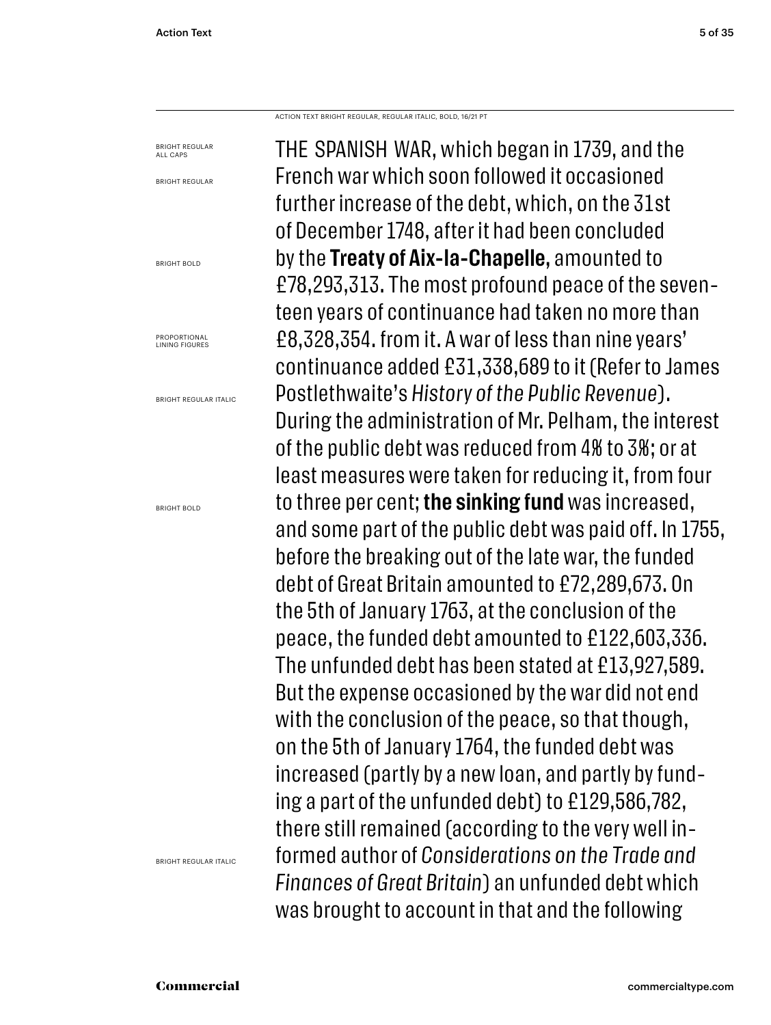ACTION TEXT BRIGHT REGULAR, REGULAR ITALIC, BOLD, 16/21 PT

BRIGHT REGULAR ALL CAPS BRIGHT REGULAR BRIGHT BOLD **PROPORTIONAL** LINING FIGURES BRIGHT REGULAR ITALIC BRIGHT BOLD

BRIGHT REGULAR ITALIC

THE SPANISH WAR, which began in 1739, and the French war which soon followed it occasioned further increase of the debt, which, on the 31st of December 1748, after it had been concluded by the **Treaty of Aix-la-Chapelle,** amounted to £78,293,313. The most profound peace of the seventeen years of continuance had taken no more than £8,328,354. from it. A war of less than nine years' continuance added £31,338,689 to it (Refer to James Postlethwaite's *History of the Public Revenue*). During the administration of Mr. Pelham, the interest of the public debt was reduced from 4% to 3%; or at least measures were taken for reducing it, from four to three per cent; **the sinking fund** was increased, and some part of the public debt was paid off. In 1755, before the breaking out of the late war, the funded debt of Great Britain amounted to £72,289,673. On the 5th of January 1763, at the conclusion of the peace, the funded debt amounted to £122,603,336. The unfunded debt has been stated at £13,927,589. But the expense occasioned by the war did not end with the conclusion of the peace, so that though, on the 5th of January 1764, the funded debt was increased (partly by a new loan, and partly by funding a part of the unfunded debt) to £129,586,782, there still remained (according to the very well informed author of *Considerations on the Trade and Finances of Great Britain*) an unfunded debt which was brought to account in that and the following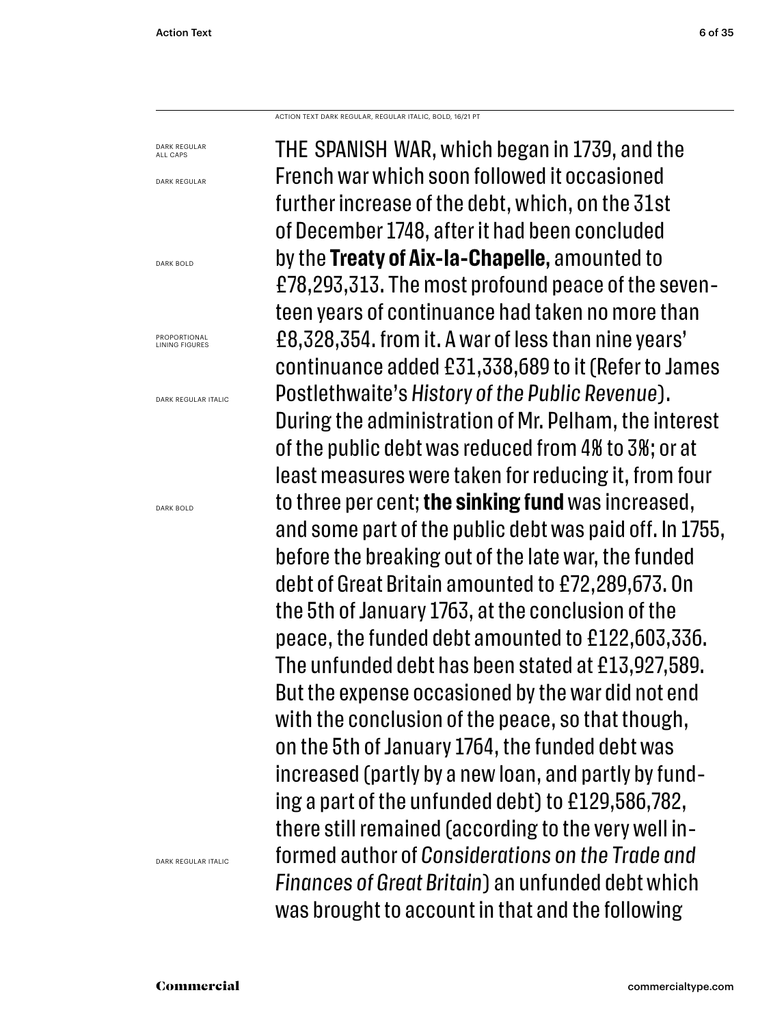ACTION TEXT DARK REGULAR, REGULAR ITALIC, BOLD, 16/21 PT

DARK REGULAR ALL CAPS DARK REGULAR DARK BOLD **PROPORTIONAL** LINING FIGURES DARK REGULAR ITALIC DARK BOLD

DARK REGULAR ITALIC

THE SPANISH WAR, which began in 1739, and the French war which soon followed it occasioned further increase of the debt, which, on the 31st of December 1748, after it had been concluded by the **Treaty of Aix-la-Chapelle,** amounted to £78,293,313. The most profound peace of the seventeen years of continuance had taken no more than £8,328,354. from it. A war of less than nine years' continuance added £31,338,689 to it (Refer to James Postlethwaite's *History of the Public Revenue*). During the administration of Mr. Pelham, the interest of the public debt was reduced from 4% to 3%; or at least measures were taken for reducing it, from four to three per cent; **the sinking fund** was increased, and some part of the public debt was paid off. In 1755, before the breaking out of the late war, the funded debt of Great Britain amounted to £72,289,673. On the 5th of January 1763, at the conclusion of the peace, the funded debt amounted to £122,603,336. The unfunded debt has been stated at £13,927,589. But the expense occasioned by the war did not end with the conclusion of the peace, so that though, on the 5th of January 1764, the funded debt was increased (partly by a new loan, and partly by funding a part of the unfunded debt) to £129,586,782, there still remained (according to the very well informed author of *Considerations on the Trade and Finances of Great Britain*) an unfunded debt which was brought to account in that and the following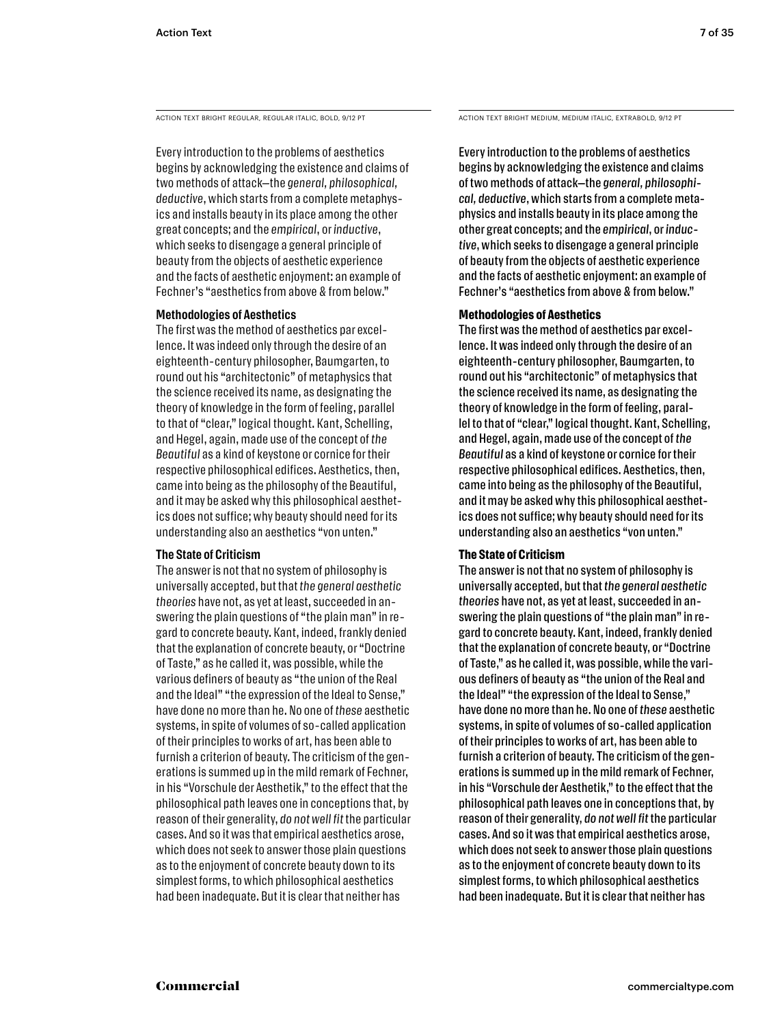Every introduction to the problems of aesthetics begins by acknowledging the existence and claims of two methods of attack—the *general, philosophical, deductive*, which starts from a complete metaphysics and installs beauty in its place among the other great concepts; and the *empirical*, or *inductive*, which seeks to disengage a general principle of beauty from the objects of aesthetic experience and the facts of aesthetic enjoyment: an example of Fechner's "aesthetics from above & from below."

#### **Methodologies of Aesthetics**

The first was the method of aesthetics par excellence. It was indeed only through the desire of an eighteenth-century philosopher, Baumgarten, to round out his "architectonic" of metaphysics that the science received its name, as designating the theory of knowledge in the form of feeling, parallel to that of "clear," logical thought. Kant, Schelling, and Hegel, again, made use of the concept of *the Beautiful* as a kind of keystone or cornice for their respective philosophical edifices. Aesthetics, then, came into being as the philosophy of the Beautiful, and it may be asked why this philosophical aesthetics does not suffice; why beauty should need for its understanding also an aesthetics "von unten."

#### **The State of Criticism**

The answer is not that no system of philosophy is universally accepted, but that *the general aesthetic theories* have not, as yet at least, succeeded in answering the plain questions of "the plain man" in regard to concrete beauty. Kant, indeed, frankly denied that the explanation of concrete beauty, or "Doctrine of Taste," as he called it, was possible, while the various definers of beauty as "the union of the Real and the Ideal" "the expression of the Ideal to Sense," have done no more than he. No one of *these* aesthetic systems, in spite of volumes of so-called application of their principles to works of art, has been able to furnish a criterion of beauty. The criticism of the generations is summed up in the mild remark of Fechner, in his "Vorschule der Aesthetik," to the effect that the philosophical path leaves one in conceptions that, by reason of their generality, *do not well fit* the particular cases. And so it was that empirical aesthetics arose, which does not seek to answer those plain questions as to the enjoyment of concrete beauty down to its simplest forms, to which philosophical aesthetics had been inadequate. But it is clear that neither has

ACTION TEXT BRIGHT REGULAR, REGULAR ITALIC, BOLD, 9/12 PT ACTION TEXT BRIGHT MEDIUM, MEDIUM ITALIC, EXTRABOLD, 9/12 PT

Every introduction to the problems of aesthetics begins by acknowledging the existence and claims of two methods of attack—the *general, philosophical, deductive*, which starts from a complete metaphysics and installs beauty in its place among the other great concepts; and the *empirical*, or *inductive*, which seeks to disengage a general principle of beauty from the objects of aesthetic experience and the facts of aesthetic enjoyment: an example of Fechner's "aesthetics from above & from below."

#### **Methodologies of Aesthetics**

The first was the method of aesthetics par excellence. It was indeed only through the desire of an eighteenth-century philosopher, Baumgarten, to round out his "architectonic" of metaphysics that the science received its name, as designating the theory of knowledge in the form of feeling, parallel to that of "clear," logical thought. Kant, Schelling, and Hegel, again, made use of the concept of *the Beautiful* as a kind of keystone or cornice for their respective philosophical edifices. Aesthetics, then, came into being as the philosophy of the Beautiful, and it may be asked why this philosophical aesthetics does not suffice; why beauty should need for its understanding also an aesthetics "von unten."

## **The State of Criticism**

The answer is not that no system of philosophy is universally accepted, but that *the general aesthetic theories* have not, as yet at least, succeeded in answering the plain questions of "the plain man" in regard to concrete beauty. Kant, indeed, frankly denied that the explanation of concrete beauty, or "Doctrine of Taste," as he called it, was possible, while the various definers of beauty as "the union of the Real and the Ideal" "the expression of the Ideal to Sense," have done no more than he. No one of *these* aesthetic systems, in spite of volumes of so-called application of their principles to works of art, has been able to furnish a criterion of beauty. The criticism of the generations is summed up in the mild remark of Fechner, in his "Vorschule der Aesthetik," to the effect that the philosophical path leaves one in conceptions that, by reason of their generality, *do not well fit* the particular cases. And so it was that empirical aesthetics arose, which does not seek to answer those plain questions as to the enjoyment of concrete beauty down to its simplest forms, to which philosophical aesthetics had been inadequate. But it is clear that neither has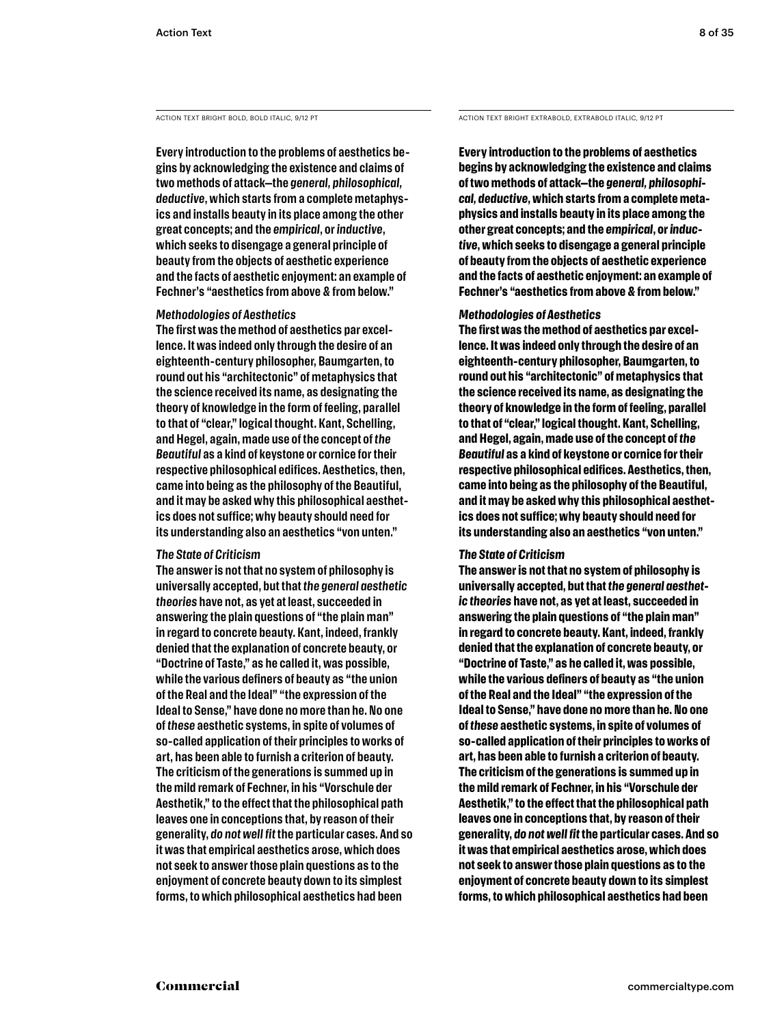**Every introduction to the problems of aesthetics begins by acknowledging the existence and claims of two methods of attack—the** *general, philosophical, deductive***, which starts from a complete metaphysics and installs beauty in its place among the other great concepts; and the** *empirical***, or** *inductive***, which seeks to disengage a general principle of beauty from the objects of aesthetic experience and the facts of aesthetic enjoyment: an example of Fechner's "aesthetics from above & from below."** 

#### *Methodologies of Aesthetics*

**The first was the method of aesthetics par excellence. It was indeed only through the desire of an eighteenth-century philosopher, Baumgarten, to round out his "architectonic" of metaphysics that the science received its name, as designating the theory of knowledge in the form of feeling, parallel to that of "clear," logical thought. Kant, Schelling, and Hegel, again, made use of the concept of** *the Beautiful* **as a kind of keystone or cornice for their respective philosophical edifices. Aesthetics, then, came into being as the philosophy of the Beautiful, and it may be asked why this philosophical aesthetics does not suffice; why beauty should need for its understanding also an aesthetics "von unten."** 

#### *The State of Criticism*

**The answer is not that no system of philosophy is universally accepted, but that** *the general aesthetic theories* **have not, as yet at least, succeeded in answering the plain questions of "the plain man" in regard to concrete beauty. Kant, indeed, frankly denied that the explanation of concrete beauty, or "Doctrine of Taste," as he called it, was possible, while the various definers of beauty as "the union of the Real and the Ideal" "the expression of the Ideal to Sense," have done no more than he. No one of** *these* **aesthetic systems, in spite of volumes of so-called application of their principles to works of art, has been able to furnish a criterion of beauty. The criticism of the generations is summed up in the mild remark of Fechner, in his "Vorschule der Aesthetik," to the effect that the philosophical path leaves one in conceptions that, by reason of their generality,** *do not well fit* **the particular cases. And so it was that empirical aesthetics arose, which does not seek to answer those plain questions as to the enjoyment of concrete beauty down to its simplest forms, to which philosophical aesthetics had been** 

ACTION TEXT BRIGHT BOLD, BOLD ITALIC, 9/12 PT ACTION TEXT BRIGHT EXTRABOLD, EXTRABOLD ITALIC, 9/12 PT

**Every introduction to the problems of aesthetics begins by acknowledging the existence and claims of two methods of attack—the** *general, philosophical, deductive***, which starts from a complete metaphysics and installs beauty in its place among the other great concepts; and the** *empirical***, or** *inductive***, which seeks to disengage a general principle of beauty from the objects of aesthetic experience and the facts of aesthetic enjoyment: an example of Fechner's "aesthetics from above & from below."** 

#### *Methodologies of Aesthetics*

**The first was the method of aesthetics par excellence. It was indeed only through the desire of an eighteenth-century philosopher, Baumgarten, to round out his "architectonic" of metaphysics that the science received its name, as designating the theory of knowledge in the form of feeling, parallel to that of "clear," logical thought. Kant, Schelling, and Hegel, again, made use of the concept of** *the Beautiful* **as a kind of keystone or cornice for their respective philosophical edifices. Aesthetics, then, came into being as the philosophy of the Beautiful, and it may be asked why this philosophical aesthetics does not suffice; why beauty should need for its understanding also an aesthetics "von unten."** 

#### *The State of Criticism*

**The answer is not that no system of philosophy is universally accepted, but that** *the general aesthetic theories* **have not, as yet at least, succeeded in answering the plain questions of "the plain man" in regard to concrete beauty. Kant, indeed, frankly denied that the explanation of concrete beauty, or "Doctrine of Taste," as he called it, was possible, while the various definers of beauty as "the union of the Real and the Ideal" "the expression of the Ideal to Sense," have done no more than he. No one of** *these* **aesthetic systems, in spite of volumes of so-called application of their principles to works of art, has been able to furnish a criterion of beauty. The criticism of the generations is summed up in the mild remark of Fechner, in his "Vorschule der Aesthetik," to the effect that the philosophical path leaves one in conceptions that, by reason of their generality,** *do not well fit* **the particular cases. And so it was that empirical aesthetics arose, which does not seek to answer those plain questions as to the enjoyment of concrete beauty down to its simplest forms, to which philosophical aesthetics had been**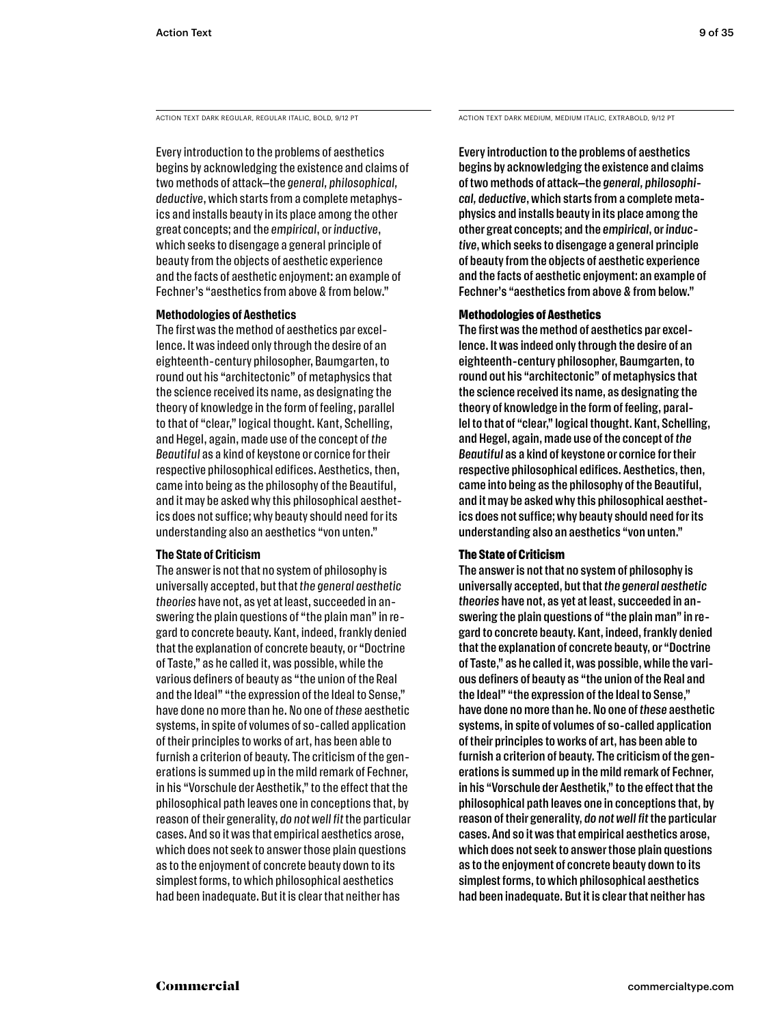Every introduction to the problems of aesthetics begins by acknowledging the existence and claims of two methods of attack—the *general, philosophical, deductive*, which starts from a complete metaphysics and installs beauty in its place among the other great concepts; and the *empirical*, or *inductive*, which seeks to disengage a general principle of beauty from the objects of aesthetic experience and the facts of aesthetic enjoyment: an example of Fechner's "aesthetics from above & from below."

#### **Methodologies of Aesthetics**

The first was the method of aesthetics par excellence. It was indeed only through the desire of an eighteenth-century philosopher, Baumgarten, to round out his "architectonic" of metaphysics that the science received its name, as designating the theory of knowledge in the form of feeling, parallel to that of "clear," logical thought. Kant, Schelling, and Hegel, again, made use of the concept of *the Beautiful* as a kind of keystone or cornice for their respective philosophical edifices. Aesthetics, then, came into being as the philosophy of the Beautiful, and it may be asked why this philosophical aesthetics does not suffice; why beauty should need for its understanding also an aesthetics "von unten."

#### **The State of Criticism**

The answer is not that no system of philosophy is universally accepted, but that *the general aesthetic theories* have not, as yet at least, succeeded in answering the plain questions of "the plain man" in regard to concrete beauty. Kant, indeed, frankly denied that the explanation of concrete beauty, or "Doctrine of Taste," as he called it, was possible, while the various definers of beauty as "the union of the Real and the Ideal" "the expression of the Ideal to Sense," have done no more than he. No one of *these* aesthetic systems, in spite of volumes of so-called application of their principles to works of art, has been able to furnish a criterion of beauty. The criticism of the generations is summed up in the mild remark of Fechner, in his "Vorschule der Aesthetik," to the effect that the philosophical path leaves one in conceptions that, by reason of their generality, *do not well fit* the particular cases. And so it was that empirical aesthetics arose, which does not seek to answer those plain questions as to the enjoyment of concrete beauty down to its simplest forms, to which philosophical aesthetics had been inadequate. But it is clear that neither has

ACTION TEXT DARK REGULAR, REGULAR ITALIC, BOLD, 9/12 PT ACTION TEXT DARK MEDIUM, MEDIUM ITALIC, EXTRABOLD, 9/12 PT

Every introduction to the problems of aesthetics begins by acknowledging the existence and claims of two methods of attack—the *general, philosophical, deductive*, which starts from a complete metaphysics and installs beauty in its place among the other great concepts; and the *empirical*, or *inductive*, which seeks to disengage a general principle of beauty from the objects of aesthetic experience and the facts of aesthetic enjoyment: an example of Fechner's "aesthetics from above & from below."

#### **Methodologies of Aesthetics**

The first was the method of aesthetics par excellence. It was indeed only through the desire of an eighteenth-century philosopher, Baumgarten, to round out his "architectonic" of metaphysics that the science received its name, as designating the theory of knowledge in the form of feeling, parallel to that of "clear," logical thought. Kant, Schelling, and Hegel, again, made use of the concept of *the Beautiful* as a kind of keystone or cornice for their respective philosophical edifices. Aesthetics, then, came into being as the philosophy of the Beautiful, and it may be asked why this philosophical aesthetics does not suffice; why beauty should need for its understanding also an aesthetics "von unten."

## **The State of Criticism**

The answer is not that no system of philosophy is universally accepted, but that *the general aesthetic theories* have not, as yet at least, succeeded in answering the plain questions of "the plain man" in regard to concrete beauty. Kant, indeed, frankly denied that the explanation of concrete beauty, or "Doctrine of Taste," as he called it, was possible, while the various definers of beauty as "the union of the Real and the Ideal" "the expression of the Ideal to Sense," have done no more than he. No one of *these* aesthetic systems, in spite of volumes of so-called application of their principles to works of art, has been able to furnish a criterion of beauty. The criticism of the generations is summed up in the mild remark of Fechner, in his "Vorschule der Aesthetik," to the effect that the philosophical path leaves one in conceptions that, by reason of their generality, *do not well fit* the particular cases. And so it was that empirical aesthetics arose, which does not seek to answer those plain questions as to the enjoyment of concrete beauty down to its simplest forms, to which philosophical aesthetics had been inadequate. But it is clear that neither has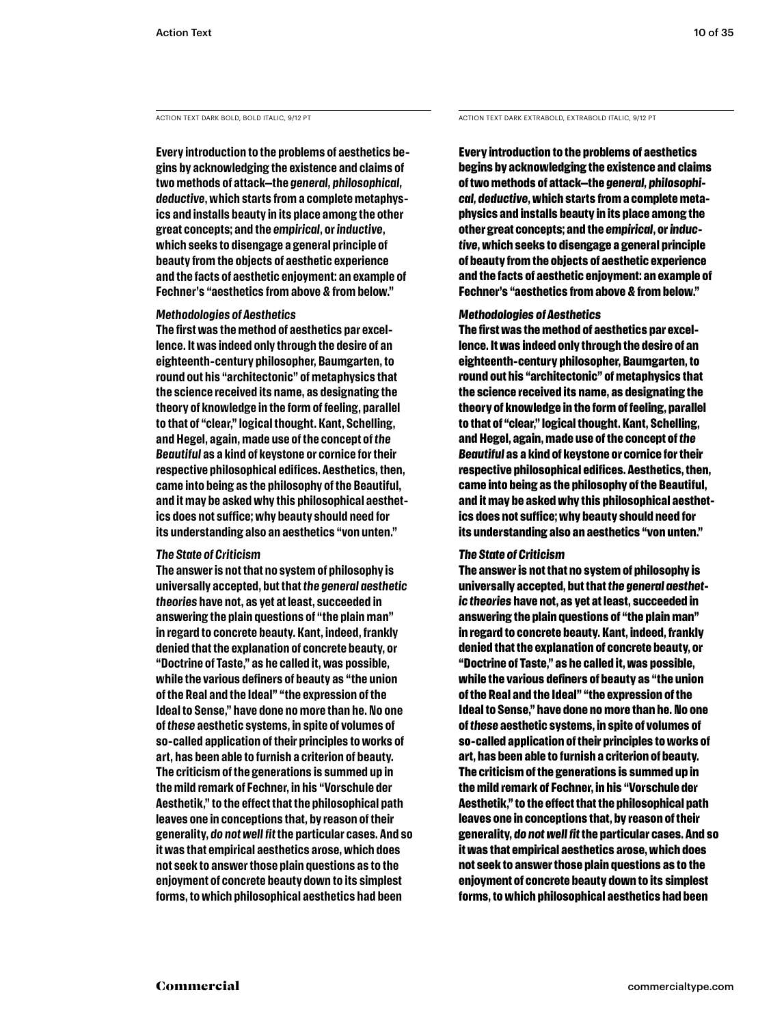**Every introduction to the problems of aesthetics begins by acknowledging the existence and claims of two methods of attack—the** *general, philosophical, deductive***, which starts from a complete metaphysics and installs beauty in its place among the other great concepts; and the** *empirical***, or** *inductive***, which seeks to disengage a general principle of beauty from the objects of aesthetic experience and the facts of aesthetic enjoyment: an example of Fechner's "aesthetics from above & from below."** 

#### *Methodologies of Aesthetics*

**The first was the method of aesthetics par excellence. It was indeed only through the desire of an eighteenth-century philosopher, Baumgarten, to round out his "architectonic" of metaphysics that the science received its name, as designating the theory of knowledge in the form of feeling, parallel to that of "clear," logical thought. Kant, Schelling, and Hegel, again, made use of the concept of** *the Beautiful* **as a kind of keystone or cornice for their respective philosophical edifices. Aesthetics, then, came into being as the philosophy of the Beautiful, and it may be asked why this philosophical aesthetics does not suffice; why beauty should need for its understanding also an aesthetics "von unten."** 

#### *The State of Criticism*

**The answer is not that no system of philosophy is universally accepted, but that** *the general aesthetic theories* **have not, as yet at least, succeeded in answering the plain questions of "the plain man" in regard to concrete beauty. Kant, indeed, frankly denied that the explanation of concrete beauty, or "Doctrine of Taste," as he called it, was possible, while the various definers of beauty as "the union of the Real and the Ideal" "the expression of the Ideal to Sense," have done no more than he. No one of** *these* **aesthetic systems, in spite of volumes of so-called application of their principles to works of art, has been able to furnish a criterion of beauty. The criticism of the generations is summed up in the mild remark of Fechner, in his "Vorschule der Aesthetik," to the effect that the philosophical path leaves one in conceptions that, by reason of their generality,** *do not well fit* **the particular cases. And so it was that empirical aesthetics arose, which does not seek to answer those plain questions as to the enjoyment of concrete beauty down to its simplest forms, to which philosophical aesthetics had been** 

ACTION TEXT DARK BOLD, BOLD ITALIC, 9/12 PT ACTION TEXT DARK EXTRABOLD, EXTRABOLD, ITALIC, 9/12 PT

**Every introduction to the problems of aesthetics begins by acknowledging the existence and claims of two methods of attack—the** *general, philosophical, deductive***, which starts from a complete metaphysics and installs beauty in its place among the other great concepts; and the** *empirical***, or** *inductive***, which seeks to disengage a general principle of beauty from the objects of aesthetic experience and the facts of aesthetic enjoyment: an example of Fechner's "aesthetics from above & from below."** 

#### *Methodologies of Aesthetics*

**The first was the method of aesthetics par excellence. It was indeed only through the desire of an eighteenth-century philosopher, Baumgarten, to round out his "architectonic" of metaphysics that the science received its name, as designating the theory of knowledge in the form of feeling, parallel to that of "clear," logical thought. Kant, Schelling, and Hegel, again, made use of the concept of** *the Beautiful* **as a kind of keystone or cornice for their respective philosophical edifices. Aesthetics, then, came into being as the philosophy of the Beautiful, and it may be asked why this philosophical aesthetics does not suffice; why beauty should need for its understanding also an aesthetics "von unten."** 

#### *The State of Criticism*

**The answer is not that no system of philosophy is universally accepted, but that** *the general aesthetic theories* **have not, as yet at least, succeeded in answering the plain questions of "the plain man" in regard to concrete beauty. Kant, indeed, frankly denied that the explanation of concrete beauty, or "Doctrine of Taste," as he called it, was possible, while the various definers of beauty as "the union of the Real and the Ideal" "the expression of the Ideal to Sense," have done no more than he. No one of** *these* **aesthetic systems, in spite of volumes of so-called application of their principles to works of art, has been able to furnish a criterion of beauty. The criticism of the generations is summed up in the mild remark of Fechner, in his "Vorschule der Aesthetik," to the effect that the philosophical path leaves one in conceptions that, by reason of their generality,** *do not well fit* **the particular cases. And so it was that empirical aesthetics arose, which does not seek to answer those plain questions as to the enjoyment of concrete beauty down to its simplest forms, to which philosophical aesthetics had been**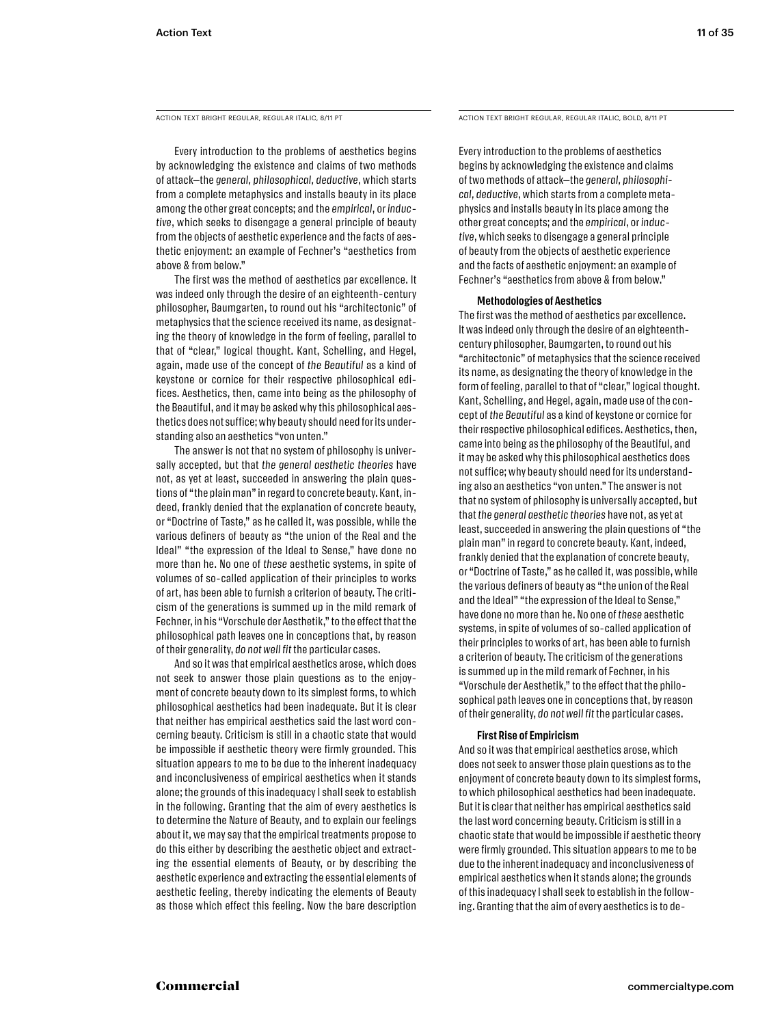Every introduction to the problems of aesthetics begins by acknowledging the existence and claims of two methods of attack—the *general, philosophical, deductive*, which starts from a complete metaphysics and installs beauty in its place among the other great concepts; and the *empirical*, or *inductive*, which seeks to disengage a general principle of beauty from the objects of aesthetic experience and the facts of aesthetic enjoyment: an example of Fechner's "aesthetics from above & from below."

The first was the method of aesthetics par excellence. It was indeed only through the desire of an eighteenth-century philosopher, Baumgarten, to round out his "architectonic" of metaphysics that the science received its name, as designating the theory of knowledge in the form of feeling, parallel to that of "clear," logical thought. Kant, Schelling, and Hegel, again, made use of the concept of *the Beautiful* as a kind of keystone or cornice for their respective philosophical edifices. Aesthetics, then, came into being as the philosophy of the Beautiful, and it may be asked why this philosophical aesthetics does not suffice; why beauty should need for its understanding also an aesthetics "von unten."

The answer is not that no system of philosophy is universally accepted, but that *the general aesthetic theories* have not, as yet at least, succeeded in answering the plain questions of "the plain man" in regard to concrete beauty. Kant, indeed, frankly denied that the explanation of concrete beauty, or "Doctrine of Taste," as he called it, was possible, while the various definers of beauty as "the union of the Real and the Ideal" "the expression of the Ideal to Sense," have done no more than he. No one of *these* aesthetic systems, in spite of volumes of so-called application of their principles to works of art, has been able to furnish a criterion of beauty. The criticism of the generations is summed up in the mild remark of Fechner, in his "Vorschule der Aesthetik," to the effect that the philosophical path leaves one in conceptions that, by reason of their generality, *do not well fit* the particular cases.

And so it was that empirical aesthetics arose, which does not seek to answer those plain questions as to the enjoyment of concrete beauty down to its simplest forms, to which philosophical aesthetics had been inadequate. But it is clear that neither has empirical aesthetics said the last word concerning beauty. Criticism is still in a chaotic state that would be impossible if aesthetic theory were firmly grounded. This situation appears to me to be due to the inherent inadequacy and inconclusiveness of empirical aesthetics when it stands alone; the grounds of this inadequacy I shall seek to establish in the following. Granting that the aim of every aesthetics is to determine the Nature of Beauty, and to explain our feelings about it, we may say that the empirical treatments propose to do this either by describing the aesthetic object and extracting the essential elements of Beauty, or by describing the aesthetic experience and extracting the essential elements of aesthetic feeling, thereby indicating the elements of Beauty as those which effect this feeling. Now the bare description

ACTION TEXT BRIGHT REGULAR, REGULAR ITALIC, 8/11 PT ACTION TEXT BRIGHT REGULAR, REGULAR ITALIC, BOLD, 8/11 PT

Every introduction to the problems of aesthetics begins by acknowledging the existence and claims of two methods of attack—the *general, philosophical, deductive*, which starts from a complete metaphysics and installs beauty in its place among the other great concepts; and the *empirical*, or *inductive*, which seeks to disengage a general principle of beauty from the objects of aesthetic experience and the facts of aesthetic enjoyment: an example of Fechner's "aesthetics from above & from below."

#### **Methodologies of Aesthetics**

The first was the method of aesthetics par excellence. It was indeed only through the desire of an eighteenthcentury philosopher, Baumgarten, to round out his "architectonic" of metaphysics that the science received its name, as designating the theory of knowledge in the form of feeling, parallel to that of "clear," logical thought. Kant, Schelling, and Hegel, again, made use of the concept of *the Beautiful* as a kind of keystone or cornice for their respective philosophical edifices. Aesthetics, then, came into being as the philosophy of the Beautiful, and it may be asked why this philosophical aesthetics does not suffice; why beauty should need for its understanding also an aesthetics "von unten." The answer is not that no system of philosophy is universally accepted, but that *the general aesthetic theories* have not, as yet at least, succeeded in answering the plain questions of "the plain man" in regard to concrete beauty. Kant, indeed, frankly denied that the explanation of concrete beauty, or "Doctrine of Taste," as he called it, was possible, while the various definers of beauty as "the union of the Real and the Ideal" "the expression of the Ideal to Sense," have done no more than he. No one of *these* aesthetic systems, in spite of volumes of so-called application of their principles to works of art, has been able to furnish a criterion of beauty. The criticism of the generations is summed up in the mild remark of Fechner, in his "Vorschule der Aesthetik," to the effect that the philosophical path leaves one in conceptions that, by reason of their generality, *do not well fit* the particular cases.

#### **First Rise of Empiricism**

And so it was that empirical aesthetics arose, which does not seek to answer those plain questions as to the enjoyment of concrete beauty down to its simplest forms, to which philosophical aesthetics had been inadequate. But it is clear that neither has empirical aesthetics said the last word concerning beauty. Criticism is still in a chaotic state that would be impossible if aesthetic theory were firmly grounded. This situation appears to me to be due to the inherent inadequacy and inconclusiveness of empirical aesthetics when it stands alone; the grounds of this inadequacy I shall seek to establish in the following. Granting that the aim of every aesthetics is to de-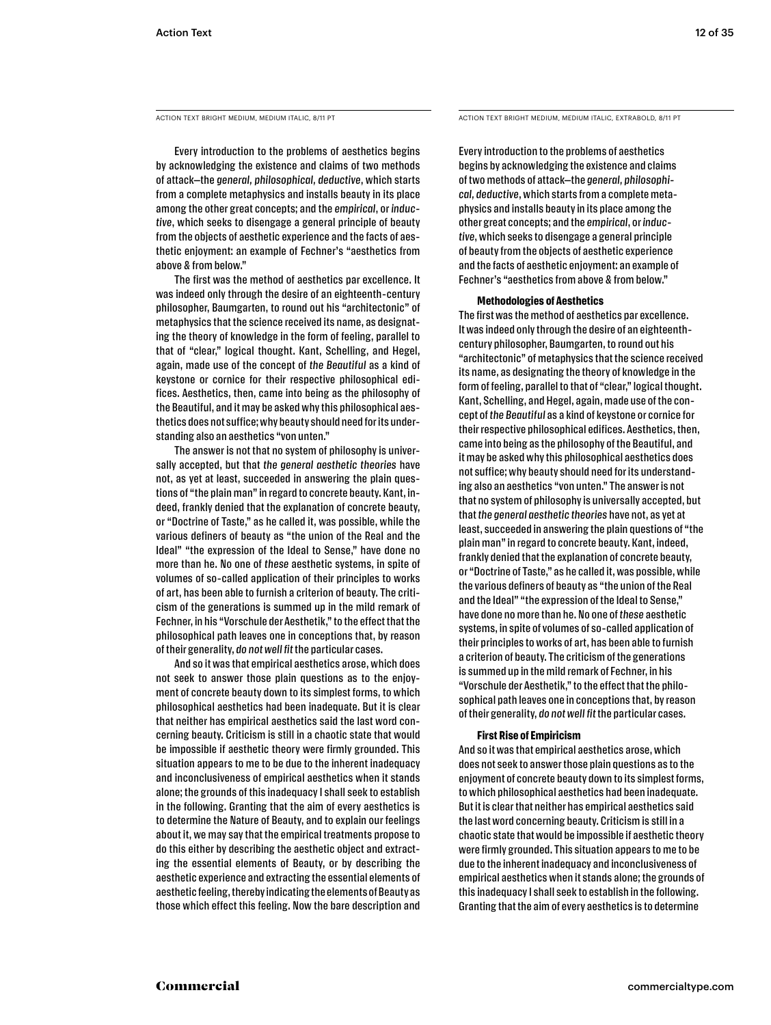Every introduction to the problems of aesthetics begins by acknowledging the existence and claims of two methods of attack—the *general, philosophical, deductive*, which starts from a complete metaphysics and installs beauty in its place among the other great concepts; and the *empirical*, or *inductive*, which seeks to disengage a general principle of beauty from the objects of aesthetic experience and the facts of aesthetic enjoyment: an example of Fechner's "aesthetics from above & from below."

The first was the method of aesthetics par excellence. It was indeed only through the desire of an eighteenth-century philosopher, Baumgarten, to round out his "architectonic" of metaphysics that the science received its name, as designating the theory of knowledge in the form of feeling, parallel to that of "clear," logical thought. Kant, Schelling, and Hegel, again, made use of the concept of *the Beautiful* as a kind of keystone or cornice for their respective philosophical edifices. Aesthetics, then, came into being as the philosophy of the Beautiful, and it may be asked why this philosophical aesthetics does not suffice; why beauty should need for its understanding also an aesthetics "von unten."

The answer is not that no system of philosophy is universally accepted, but that *the general aesthetic theories* have not, as yet at least, succeeded in answering the plain questions of "the plain man" in regard to concrete beauty. Kant, indeed, frankly denied that the explanation of concrete beauty, or "Doctrine of Taste," as he called it, was possible, while the various definers of beauty as "the union of the Real and the Ideal" "the expression of the Ideal to Sense," have done no more than he. No one of *these* aesthetic systems, in spite of volumes of so-called application of their principles to works of art, has been able to furnish a criterion of beauty. The criticism of the generations is summed up in the mild remark of Fechner, in his "Vorschule der Aesthetik," to the effect that the philosophical path leaves one in conceptions that, by reason of their generality, *do not well fit* the particular cases.

And so it was that empirical aesthetics arose, which does not seek to answer those plain questions as to the enjoyment of concrete beauty down to its simplest forms, to which philosophical aesthetics had been inadequate. But it is clear that neither has empirical aesthetics said the last word concerning beauty. Criticism is still in a chaotic state that would be impossible if aesthetic theory were firmly grounded. This situation appears to me to be due to the inherent inadequacy and inconclusiveness of empirical aesthetics when it stands alone; the grounds of this inadequacy I shall seek to establish in the following. Granting that the aim of every aesthetics is to determine the Nature of Beauty, and to explain our feelings about it, we may say that the empirical treatments propose to do this either by describing the aesthetic object and extracting the essential elements of Beauty, or by describing the aesthetic experience and extracting the essential elements of aesthetic feeling, thereby indicating the elements of Beauty as those which effect this feeling. Now the bare description and

ACTION TEXT BRIGHT MEDIUM, MEDIUM ITALIC, 8/11 PT ACTION TEXT BRIGHT MEDIUM, MEDIUM ITALIC, EXTRABOLD, 8/11 PT

Every introduction to the problems of aesthetics begins by acknowledging the existence and claims of two methods of attack—the *general, philosophical, deductive*, which starts from a complete metaphysics and installs beauty in its place among the other great concepts; and the *empirical*, or *inductive*, which seeks to disengage a general principle of beauty from the objects of aesthetic experience and the facts of aesthetic enjoyment: an example of Fechner's "aesthetics from above & from below."

#### **Methodologies of Aesthetics**

The first was the method of aesthetics par excellence. It was indeed only through the desire of an eighteenthcentury philosopher, Baumgarten, to round out his "architectonic" of metaphysics that the science received its name, as designating the theory of knowledge in the form of feeling, parallel to that of "clear," logical thought. Kant, Schelling, and Hegel, again, made use of the concept of *the Beautiful* as a kind of keystone or cornice for their respective philosophical edifices. Aesthetics, then, came into being as the philosophy of the Beautiful, and it may be asked why this philosophical aesthetics does not suffice; why beauty should need for its understanding also an aesthetics "von unten." The answer is not that no system of philosophy is universally accepted, but that *the general aesthetic theories* have not, as yet at least, succeeded in answering the plain questions of "the plain man" in regard to concrete beauty. Kant, indeed, frankly denied that the explanation of concrete beauty, or "Doctrine of Taste," as he called it, was possible, while the various definers of beauty as "the union of the Real and the Ideal" "the expression of the Ideal to Sense," have done no more than he. No one of *these* aesthetic systems, in spite of volumes of so-called application of their principles to works of art, has been able to furnish a criterion of beauty. The criticism of the generations is summed up in the mild remark of Fechner, in his "Vorschule der Aesthetik," to the effect that the philosophical path leaves one in conceptions that, by reason of their generality, *do not well fit* the particular cases.

#### **First Rise of Empiricism**

And so it was that empirical aesthetics arose, which does not seek to answer those plain questions as to the enjoyment of concrete beauty down to its simplest forms, to which philosophical aesthetics had been inadequate. But it is clear that neither has empirical aesthetics said the last word concerning beauty. Criticism is still in a chaotic state that would be impossible if aesthetic theory were firmly grounded. This situation appears to me to be due to the inherent inadequacy and inconclusiveness of empirical aesthetics when it stands alone; the grounds of this inadequacy I shall seek to establish in the following. Granting that the aim of every aesthetics is to determine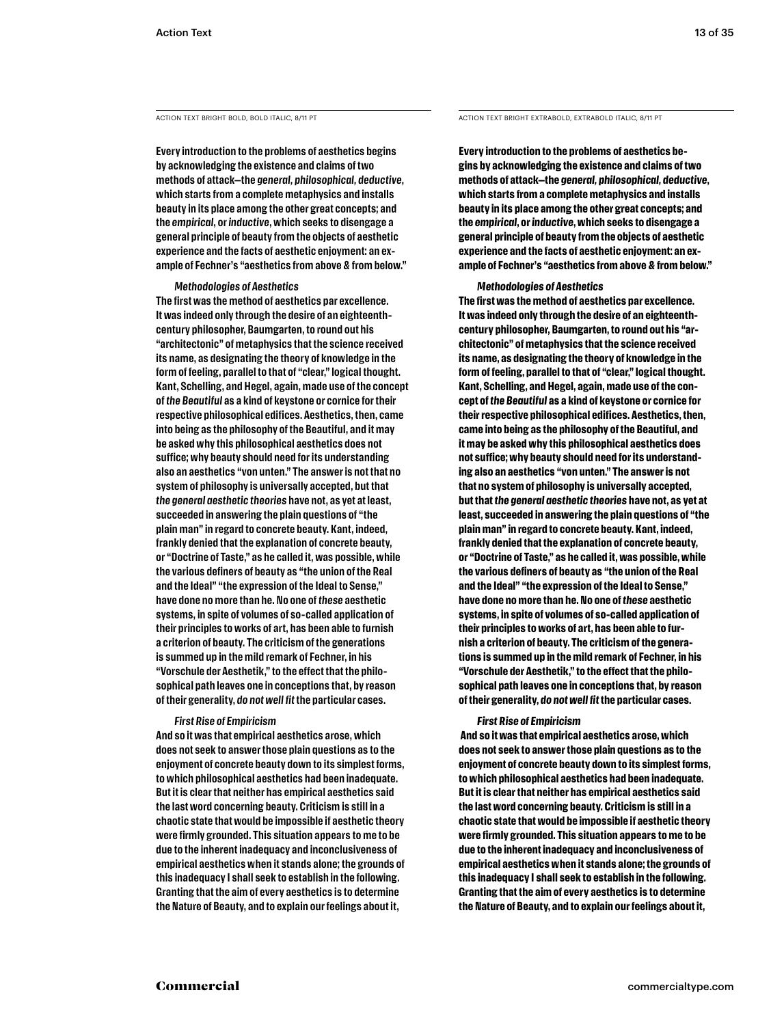**Every introduction to the problems of aesthetics begins by acknowledging the existence and claims of two methods of attack—the** *general, philosophical, deductive***, which starts from a complete metaphysics and installs beauty in its place among the other great concepts; and the** *empirical***, or** *inductive***, which seeks to disengage a general principle of beauty from the objects of aesthetic experience and the facts of aesthetic enjoyment: an example of Fechner's "aesthetics from above & from below."** 

#### *Methodologies of Aesthetics*

**The first was the method of aesthetics par excellence. It was indeed only through the desire of an eighteenthcentury philosopher, Baumgarten, to round out his "architectonic" of metaphysics that the science received its name, as designating the theory of knowledge in the form of feeling, parallel to that of "clear," logical thought. Kant, Schelling, and Hegel, again, made use of the concept of** *the Beautiful* **as a kind of keystone or cornice for their respective philosophical edifices. Aesthetics, then, came into being as the philosophy of the Beautiful, and it may be asked why this philosophical aesthetics does not suffice; why beauty should need for its understanding also an aesthetics "von unten." The answer is not that no system of philosophy is universally accepted, but that**  *the general aesthetic theories* **have not, as yet at least, succeeded in answering the plain questions of "the plain man" in regard to concrete beauty. Kant, indeed, frankly denied that the explanation of concrete beauty, or "Doctrine of Taste," as he called it, was possible, while the various definers of beauty as "the union of the Real and the Ideal" "the expression of the Ideal to Sense," have done no more than he. No one of** *these* **aesthetic systems, in spite of volumes of so-called application of their principles to works of art, has been able to furnish a criterion of beauty. The criticism of the generations is summed up in the mild remark of Fechner, in his "Vorschule der Aesthetik," to the effect that the philosophical path leaves one in conceptions that, by reason of their generality,** *do not well fit* **the particular cases.** 

#### *First Rise of Empiricism*

**And so it was that empirical aesthetics arose, which does not seek to answer those plain questions as to the enjoyment of concrete beauty down to its simplest forms, to which philosophical aesthetics had been inadequate. But it is clear that neither has empirical aesthetics said the last word concerning beauty. Criticism is still in a chaotic state that would be impossible if aesthetic theory were firmly grounded. This situation appears to me to be due to the inherent inadequacy and inconclusiveness of empirical aesthetics when it stands alone; the grounds of this inadequacy I shall seek to establish in the following. Granting that the aim of every aesthetics is to determine the Nature of Beauty, and to explain our feelings about it,** 

ACTION TEXT BRIGHT BOLD, BOLD ITALIC, 8/11 PT ACTION TEXT BRIGHT EXTRABOLD, EXTRABOLD ITALIC, 8/11 PT

**Every introduction to the problems of aesthetics begins by acknowledging the existence and claims of two methods of attack—the** *general, philosophical, deductive***, which starts from a complete metaphysics and installs beauty in its place among the other great concepts; and the** *empirical***, or** *inductive***, which seeks to disengage a general principle of beauty from the objects of aesthetic experience and the facts of aesthetic enjoyment: an example of Fechner's "aesthetics from above & from below."** 

#### *Methodologies of Aesthetics*

**The first was the method of aesthetics par excellence. It was indeed only through the desire of an eighteenthcentury philosopher, Baumgarten, to round out his "architectonic" of metaphysics that the science received its name, as designating the theory of knowledge in the form of feeling, parallel to that of "clear," logical thought. Kant, Schelling, and Hegel, again, made use of the concept of** *the Beautiful* **as a kind of keystone or cornice for their respective philosophical edifices. Aesthetics, then, came into being as the philosophy of the Beautiful, and it may be asked why this philosophical aesthetics does not suffice; why beauty should need for its understanding also an aesthetics "von unten." The answer is not that no system of philosophy is universally accepted, but that** *the general aesthetic theories* **have not, as yet at least, succeeded in answering the plain questions of "the plain man" in regard to concrete beauty. Kant, indeed, frankly denied that the explanation of concrete beauty, or "Doctrine of Taste," as he called it, was possible, while the various definers of beauty as "the union of the Real and the Ideal" "the expression of the Ideal to Sense," have done no more than he. No one of** *these* **aesthetic systems, in spite of volumes of so-called application of their principles to works of art, has been able to furnish a criterion of beauty. The criticism of the generations is summed up in the mild remark of Fechner, in his "Vorschule der Aesthetik," to the effect that the philosophical path leaves one in conceptions that, by reason of their generality,** *do not well fit* **the particular cases.**

#### *First Rise of Empiricism*

 **And so it was that empirical aesthetics arose, which does not seek to answer those plain questions as to the enjoyment of concrete beauty down to its simplest forms, to which philosophical aesthetics had been inadequate. But it is clear that neither has empirical aesthetics said the last word concerning beauty. Criticism is still in a chaotic state that would be impossible if aesthetic theory were firmly grounded. This situation appears to me to be due to the inherent inadequacy and inconclusiveness of empirical aesthetics when it stands alone; the grounds of this inadequacy I shall seek to establish in the following. Granting that the aim of every aesthetics is to determine the Nature of Beauty, and to explain our feelings about it,**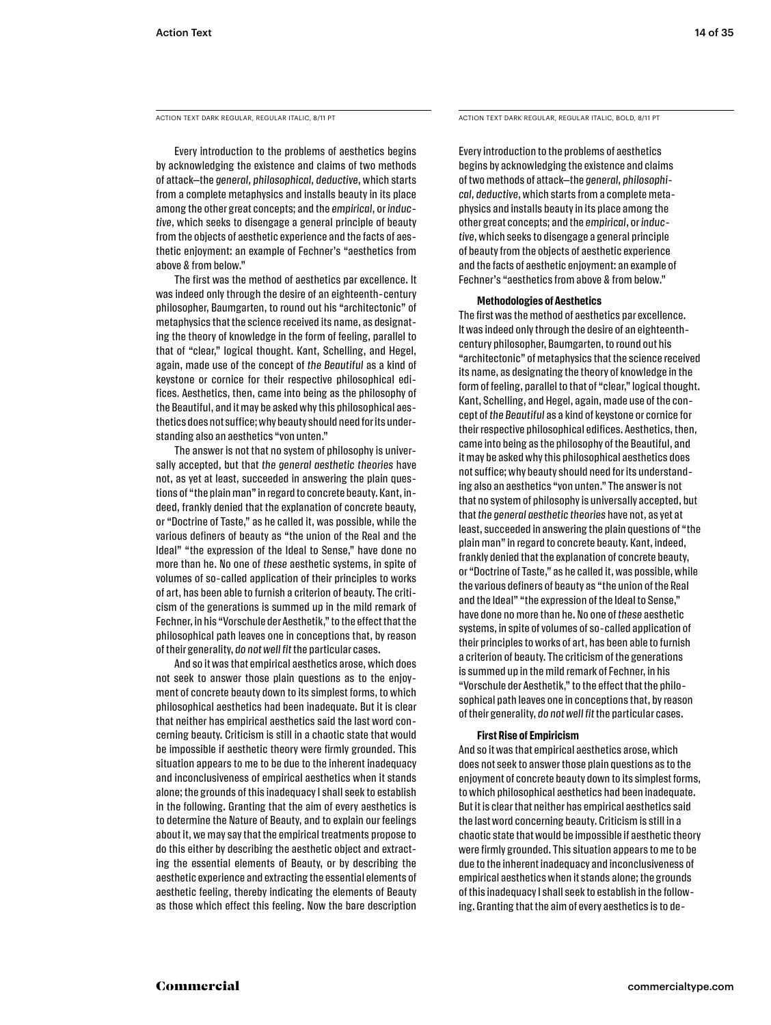Every introduction to the problems of aesthetics begins by acknowledging the existence and claims of two methods of attack—the *general, philosophical, deductive*, which starts from a complete metaphysics and installs beauty in its place among the other great concepts; and the *empirical*, or *inductive*, which seeks to disengage a general principle of beauty from the objects of aesthetic experience and the facts of aesthetic enjoyment: an example of Fechner's "aesthetics from above & from below."

The first was the method of aesthetics par excellence. It was indeed only through the desire of an eighteenth-century philosopher, Baumgarten, to round out his "architectonic" of metaphysics that the science received its name, as designating the theory of knowledge in the form of feeling, parallel to that of "clear," logical thought. Kant, Schelling, and Hegel, again, made use of the concept of *the Beautiful* as a kind of keystone or cornice for their respective philosophical edifices. Aesthetics, then, came into being as the philosophy of the Beautiful, and it may be asked why this philosophical aesthetics does not suffice; why beauty should need for its understanding also an aesthetics "von unten."

The answer is not that no system of philosophy is universally accepted, but that *the general aesthetic theories* have not, as yet at least, succeeded in answering the plain questions of "the plain man" in regard to concrete beauty. Kant, indeed, frankly denied that the explanation of concrete beauty, or "Doctrine of Taste," as he called it, was possible, while the various definers of beauty as "the union of the Real and the Ideal" "the expression of the Ideal to Sense," have done no more than he. No one of *these* aesthetic systems, in spite of volumes of so-called application of their principles to works of art, has been able to furnish a criterion of beauty. The criticism of the generations is summed up in the mild remark of Fechner, in his "Vorschule der Aesthetik," to the effect that the philosophical path leaves one in conceptions that, by reason of their generality, *do not well fit* the particular cases.

And so it was that empirical aesthetics arose, which does not seek to answer those plain questions as to the enjoyment of concrete beauty down to its simplest forms, to which philosophical aesthetics had been inadequate. But it is clear that neither has empirical aesthetics said the last word concerning beauty. Criticism is still in a chaotic state that would be impossible if aesthetic theory were firmly grounded. This situation appears to me to be due to the inherent inadequacy and inconclusiveness of empirical aesthetics when it stands alone; the grounds of this inadequacy I shall seek to establish in the following. Granting that the aim of every aesthetics is to determine the Nature of Beauty, and to explain our feelings about it, we may say that the empirical treatments propose to do this either by describing the aesthetic object and extracting the essential elements of Beauty, or by describing the aesthetic experience and extracting the essential elements of aesthetic feeling, thereby indicating the elements of Beauty as those which effect this feeling. Now the bare description

ACTION TEXT DARK REGULAR, REGULAR ITALIC, 8/11 PT ACTION TEXT DARK REGULAR, REGULAR ITALIC, BOLD, 8/11 PT

Every introduction to the problems of aesthetics begins by acknowledging the existence and claims of two methods of attack—the *general, philosophical, deductive*, which starts from a complete metaphysics and installs beauty in its place among the other great concepts; and the *empirical*, or *inductive*, which seeks to disengage a general principle of beauty from the objects of aesthetic experience and the facts of aesthetic enjoyment: an example of Fechner's "aesthetics from above & from below."

#### **Methodologies of Aesthetics**

The first was the method of aesthetics par excellence. It was indeed only through the desire of an eighteenthcentury philosopher, Baumgarten, to round out his "architectonic" of metaphysics that the science received its name, as designating the theory of knowledge in the form of feeling, parallel to that of "clear," logical thought. Kant, Schelling, and Hegel, again, made use of the concept of *the Beautiful* as a kind of keystone or cornice for their respective philosophical edifices. Aesthetics, then, came into being as the philosophy of the Beautiful, and it may be asked why this philosophical aesthetics does not suffice; why beauty should need for its understanding also an aesthetics "von unten." The answer is not that no system of philosophy is universally accepted, but that *the general aesthetic theories* have not, as yet at least, succeeded in answering the plain questions of "the plain man" in regard to concrete beauty. Kant, indeed, frankly denied that the explanation of concrete beauty, or "Doctrine of Taste," as he called it, was possible, while the various definers of beauty as "the union of the Real and the Ideal" "the expression of the Ideal to Sense," have done no more than he. No one of *these* aesthetic systems, in spite of volumes of so-called application of their principles to works of art, has been able to furnish a criterion of beauty. The criticism of the generations is summed up in the mild remark of Fechner, in his "Vorschule der Aesthetik," to the effect that the philosophical path leaves one in conceptions that, by reason of their generality, *do not well fit* the particular cases.

#### **First Rise of Empiricism**

And so it was that empirical aesthetics arose, which does not seek to answer those plain questions as to the enjoyment of concrete beauty down to its simplest forms, to which philosophical aesthetics had been inadequate. But it is clear that neither has empirical aesthetics said the last word concerning beauty. Criticism is still in a chaotic state that would be impossible if aesthetic theory were firmly grounded. This situation appears to me to be due to the inherent inadequacy and inconclusiveness of empirical aesthetics when it stands alone; the grounds of this inadequacy I shall seek to establish in the following. Granting that the aim of every aesthetics is to de-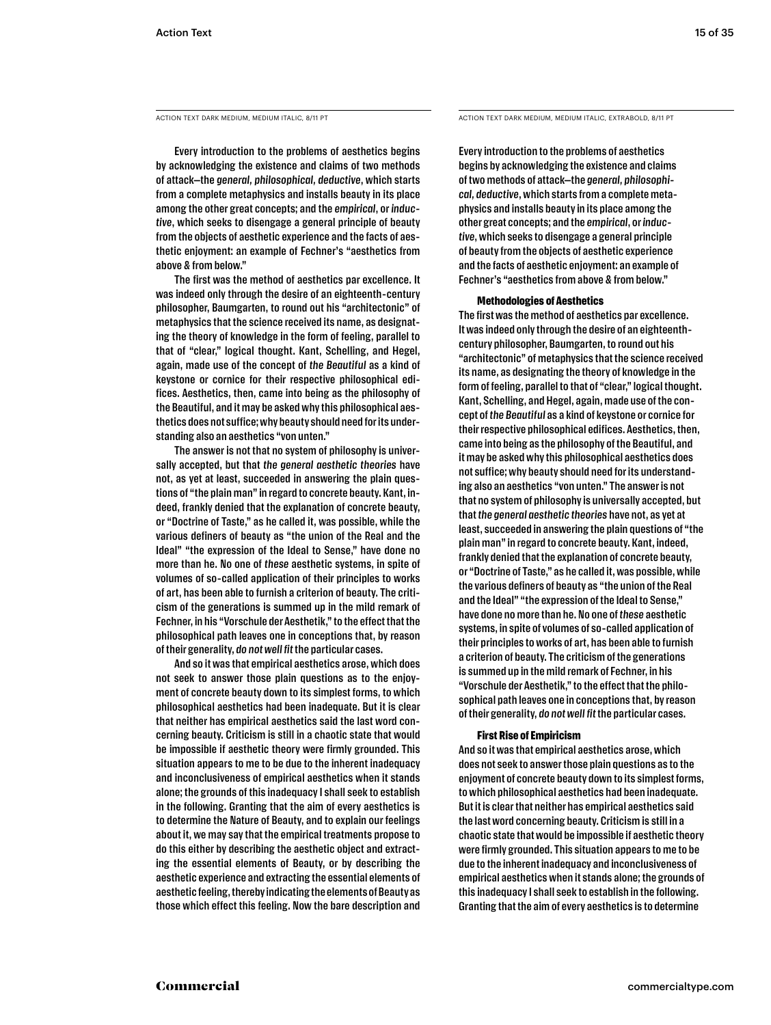Every introduction to the problems of aesthetics begins by acknowledging the existence and claims of two methods of attack—the *general, philosophical, deductive*, which starts from a complete metaphysics and installs beauty in its place among the other great concepts; and the *empirical*, or *inductive*, which seeks to disengage a general principle of beauty from the objects of aesthetic experience and the facts of aesthetic enjoyment: an example of Fechner's "aesthetics from above & from below."

The first was the method of aesthetics par excellence. It was indeed only through the desire of an eighteenth-century philosopher, Baumgarten, to round out his "architectonic" of metaphysics that the science received its name, as designating the theory of knowledge in the form of feeling, parallel to that of "clear," logical thought. Kant, Schelling, and Hegel, again, made use of the concept of *the Beautiful* as a kind of keystone or cornice for their respective philosophical edifices. Aesthetics, then, came into being as the philosophy of the Beautiful, and it may be asked why this philosophical aesthetics does not suffice; why beauty should need for its understanding also an aesthetics "von unten."

The answer is not that no system of philosophy is universally accepted, but that *the general aesthetic theories* have not, as yet at least, succeeded in answering the plain questions of "the plain man" in regard to concrete beauty. Kant, indeed, frankly denied that the explanation of concrete beauty, or "Doctrine of Taste," as he called it, was possible, while the various definers of beauty as "the union of the Real and the Ideal" "the expression of the Ideal to Sense," have done no more than he. No one of *these* aesthetic systems, in spite of volumes of so-called application of their principles to works of art, has been able to furnish a criterion of beauty. The criticism of the generations is summed up in the mild remark of Fechner, in his "Vorschule der Aesthetik," to the effect that the philosophical path leaves one in conceptions that, by reason of their generality, *do not well fit* the particular cases.

And so it was that empirical aesthetics arose, which does not seek to answer those plain questions as to the enjoyment of concrete beauty down to its simplest forms, to which philosophical aesthetics had been inadequate. But it is clear that neither has empirical aesthetics said the last word concerning beauty. Criticism is still in a chaotic state that would be impossible if aesthetic theory were firmly grounded. This situation appears to me to be due to the inherent inadequacy and inconclusiveness of empirical aesthetics when it stands alone; the grounds of this inadequacy I shall seek to establish in the following. Granting that the aim of every aesthetics is to determine the Nature of Beauty, and to explain our feelings about it, we may say that the empirical treatments propose to do this either by describing the aesthetic object and extracting the essential elements of Beauty, or by describing the aesthetic experience and extracting the essential elements of aesthetic feeling, thereby indicating the elements of Beauty as those which effect this feeling. Now the bare description and

ACTION TEXT DARK MEDIUM, MEDIUM ITALIC, 8/11 PT ACTION TEXT DARK MEDIUM, MEDIUM ITALIC, EXTRABOLD, 8/11 PT

Every introduction to the problems of aesthetics begins by acknowledging the existence and claims of two methods of attack—the *general, philosophical, deductive*, which starts from a complete metaphysics and installs beauty in its place among the other great concepts; and the *empirical*, or *inductive*, which seeks to disengage a general principle of beauty from the objects of aesthetic experience and the facts of aesthetic enjoyment: an example of Fechner's "aesthetics from above & from below."

#### **Methodologies of Aesthetics**

The first was the method of aesthetics par excellence. It was indeed only through the desire of an eighteenthcentury philosopher, Baumgarten, to round out his "architectonic" of metaphysics that the science received its name, as designating the theory of knowledge in the form of feeling, parallel to that of "clear," logical thought. Kant, Schelling, and Hegel, again, made use of the concept of *the Beautiful* as a kind of keystone or cornice for their respective philosophical edifices. Aesthetics, then, came into being as the philosophy of the Beautiful, and it may be asked why this philosophical aesthetics does not suffice; why beauty should need for its understanding also an aesthetics "von unten." The answer is not that no system of philosophy is universally accepted, but that *the general aesthetic theories* have not, as yet at least, succeeded in answering the plain questions of "the plain man" in regard to concrete beauty. Kant, indeed, frankly denied that the explanation of concrete beauty, or "Doctrine of Taste," as he called it, was possible, while the various definers of beauty as "the union of the Real and the Ideal" "the expression of the Ideal to Sense," have done no more than he. No one of *these* aesthetic systems, in spite of volumes of so-called application of their principles to works of art, has been able to furnish a criterion of beauty. The criticism of the generations is summed up in the mild remark of Fechner, in his "Vorschule der Aesthetik," to the effect that the philosophical path leaves one in conceptions that, by reason of their generality, *do not well fit* the particular cases.

#### **First Rise of Empiricism**

And so it was that empirical aesthetics arose, which does not seek to answer those plain questions as to the enjoyment of concrete beauty down to its simplest forms, to which philosophical aesthetics had been inadequate. But it is clear that neither has empirical aesthetics said the last word concerning beauty. Criticism is still in a chaotic state that would be impossible if aesthetic theory were firmly grounded. This situation appears to me to be due to the inherent inadequacy and inconclusiveness of empirical aesthetics when it stands alone; the grounds of this inadequacy I shall seek to establish in the following. Granting that the aim of every aesthetics is to determine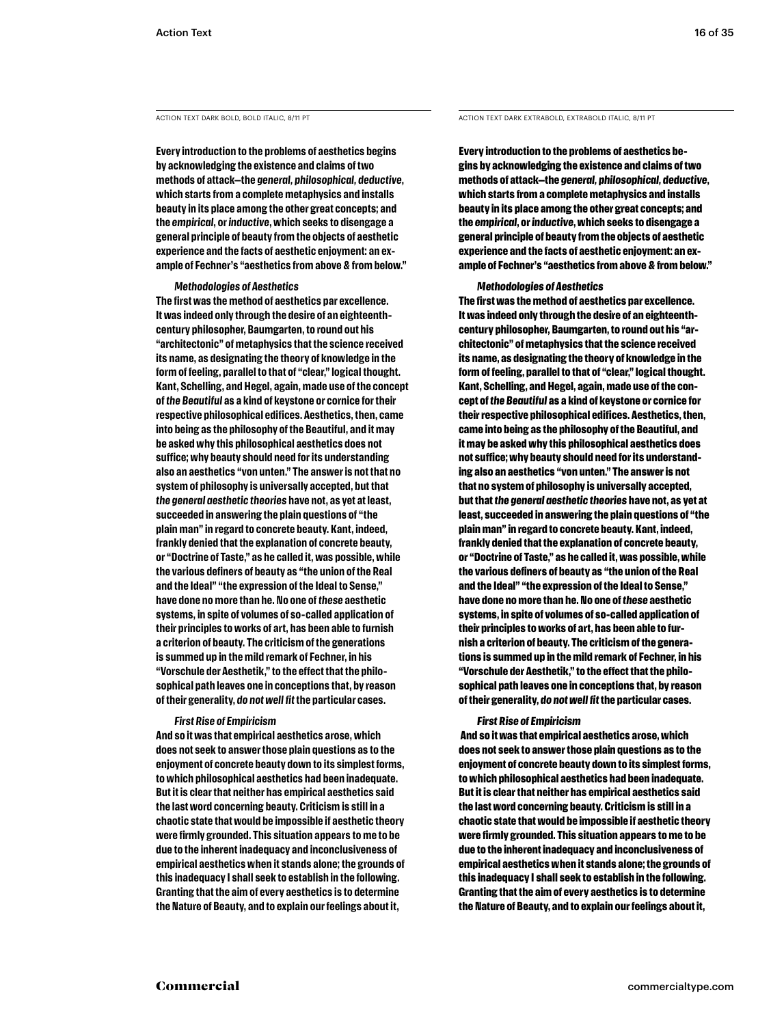**Every introduction to the problems of aesthetics begins by acknowledging the existence and claims of two methods of attack—the** *general, philosophical, deductive***, which starts from a complete metaphysics and installs beauty in its place among the other great concepts; and the** *empirical***, or** *inductive***, which seeks to disengage a general principle of beauty from the objects of aesthetic experience and the facts of aesthetic enjoyment: an example of Fechner's "aesthetics from above & from below."** 

#### *Methodologies of Aesthetics*

**The first was the method of aesthetics par excellence. It was indeed only through the desire of an eighteenthcentury philosopher, Baumgarten, to round out his "architectonic" of metaphysics that the science received its name, as designating the theory of knowledge in the form of feeling, parallel to that of "clear," logical thought. Kant, Schelling, and Hegel, again, made use of the concept of** *the Beautiful* **as a kind of keystone or cornice for their respective philosophical edifices. Aesthetics, then, came into being as the philosophy of the Beautiful, and it may be asked why this philosophical aesthetics does not suffice; why beauty should need for its understanding also an aesthetics "von unten." The answer is not that no system of philosophy is universally accepted, but that**  *the general aesthetic theories* **have not, as yet at least, succeeded in answering the plain questions of "the plain man" in regard to concrete beauty. Kant, indeed, frankly denied that the explanation of concrete beauty, or "Doctrine of Taste," as he called it, was possible, while the various definers of beauty as "the union of the Real and the Ideal" "the expression of the Ideal to Sense," have done no more than he. No one of** *these* **aesthetic systems, in spite of volumes of so-called application of their principles to works of art, has been able to furnish a criterion of beauty. The criticism of the generations is summed up in the mild remark of Fechner, in his "Vorschule der Aesthetik," to the effect that the philosophical path leaves one in conceptions that, by reason of their generality,** *do not well fit* **the particular cases.** 

#### *First Rise of Empiricism*

**And so it was that empirical aesthetics arose, which does not seek to answer those plain questions as to the enjoyment of concrete beauty down to its simplest forms, to which philosophical aesthetics had been inadequate. But it is clear that neither has empirical aesthetics said the last word concerning beauty. Criticism is still in a chaotic state that would be impossible if aesthetic theory were firmly grounded. This situation appears to me to be due to the inherent inadequacy and inconclusiveness of empirical aesthetics when it stands alone; the grounds of this inadequacy I shall seek to establish in the following. Granting that the aim of every aesthetics is to determine the Nature of Beauty, and to explain our feelings about it,** 

ACTION TEXT DARK BOLD, BOLD ITALIC, 8/11 PT ACTION TEXT DARK EXTRABOLD, EXTRABOLD, ITALIC, 8/11 PT

**Every introduction to the problems of aesthetics begins by acknowledging the existence and claims of two methods of attack—the** *general, philosophical, deductive***, which starts from a complete metaphysics and installs beauty in its place among the other great concepts; and the** *empirical***, or** *inductive***, which seeks to disengage a general principle of beauty from the objects of aesthetic experience and the facts of aesthetic enjoyment: an example of Fechner's "aesthetics from above & from below."** 

#### *Methodologies of Aesthetics*

**The first was the method of aesthetics par excellence. It was indeed only through the desire of an eighteenthcentury philosopher, Baumgarten, to round out his "architectonic" of metaphysics that the science received its name, as designating the theory of knowledge in the form of feeling, parallel to that of "clear," logical thought. Kant, Schelling, and Hegel, again, made use of the concept of** *the Beautiful* **as a kind of keystone or cornice for their respective philosophical edifices. Aesthetics, then, came into being as the philosophy of the Beautiful, and it may be asked why this philosophical aesthetics does not suffice; why beauty should need for its understanding also an aesthetics "von unten." The answer is not that no system of philosophy is universally accepted, but that** *the general aesthetic theories* **have not, as yet at least, succeeded in answering the plain questions of "the plain man" in regard to concrete beauty. Kant, indeed, frankly denied that the explanation of concrete beauty, or "Doctrine of Taste," as he called it, was possible, while the various definers of beauty as "the union of the Real and the Ideal" "the expression of the Ideal to Sense," have done no more than he. No one of** *these* **aesthetic systems, in spite of volumes of so-called application of their principles to works of art, has been able to furnish a criterion of beauty. The criticism of the generations is summed up in the mild remark of Fechner, in his "Vorschule der Aesthetik," to the effect that the philosophical path leaves one in conceptions that, by reason of their generality,** *do not well fit* **the particular cases.**

#### *First Rise of Empiricism*

 **And so it was that empirical aesthetics arose, which does not seek to answer those plain questions as to the enjoyment of concrete beauty down to its simplest forms, to which philosophical aesthetics had been inadequate. But it is clear that neither has empirical aesthetics said the last word concerning beauty. Criticism is still in a chaotic state that would be impossible if aesthetic theory were firmly grounded. This situation appears to me to be due to the inherent inadequacy and inconclusiveness of empirical aesthetics when it stands alone; the grounds of this inadequacy I shall seek to establish in the following. Granting that the aim of every aesthetics is to determine the Nature of Beauty, and to explain our feelings about it,**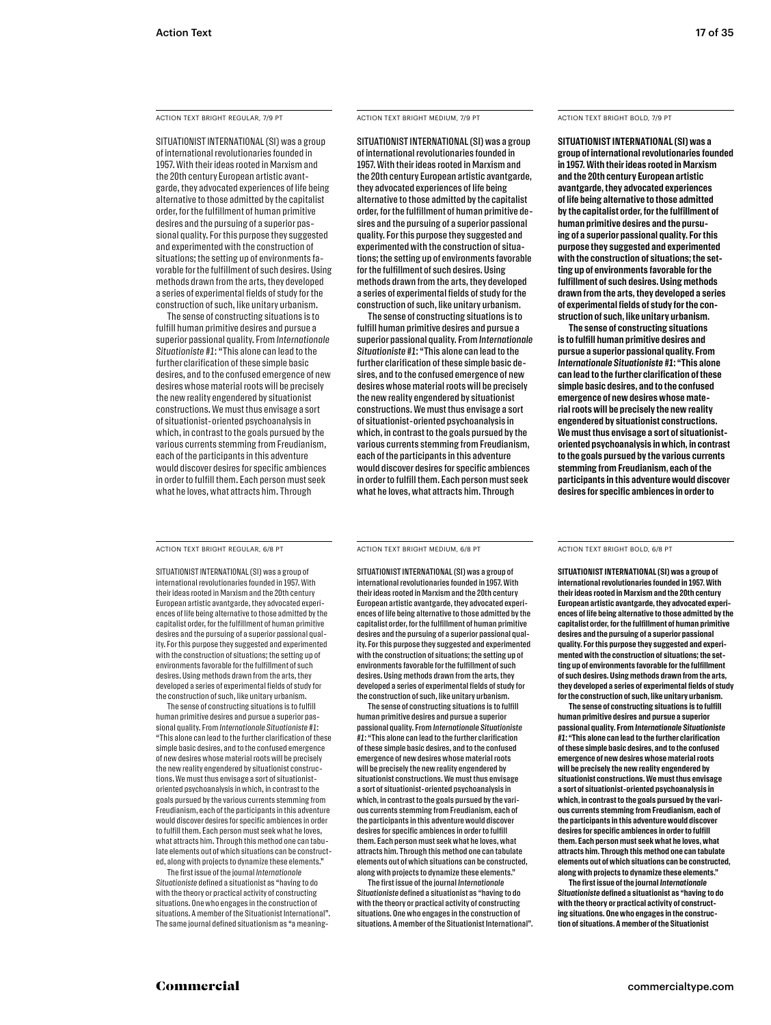#### ACTION TEXT BRIGHT REGULAR, 7/9 PT ACTION TEXT BRIGHT MEDIUM, 7/9 PT ACTION TEXT BRIGHT BOLD, 7/9 PT

SITUATIONIST INTERNATIONAL (SI) was a group of international revolutionaries founded in 1957. With their ideas rooted in Marxism and the 20th century European artistic avantgarde, they advocated experiences of life being alternative to those admitted by the capitalist order, for the fulfillment of human primitive desires and the pursuing of a superior passional quality. For this purpose they suggested and experimented with the construction of situations; the setting up of environments favorable for the fulfillment of such desires. Using methods drawn from the arts, they developed a series of experimental fields of study for the construction of such, like unitary urbanism.

The sense of constructing situations is to fulfill human primitive desires and pursue a superior passional quality. From *Internationale Situationiste #1*: "This alone can lead to the further clarification of these simple basic desires, and to the confused emergence of new desires whose material roots will be precisely the new reality engendered by situationist constructions. We must thus envisage a sort of situationist-oriented psychoanalysis in which, in contrast to the goals pursued by the various currents stemming from Freudianism, each of the participants in this adventure would discover desires for specific ambiences in order to fulfill them. Each person must seek what he loves, what attracts him. Through

ACTION TEXT BRIGHT MEDIUM, 7/9 PT

SITUATIONIST INTERNATIONAL (SI) was a group of international revolutionaries founded in 1957. With their ideas rooted in Marxism and the 20th century European artistic avantgarde, they advocated experiences of life being alternative to those admitted by the capitalist order, for the fulfillment of human primitive desires and the pursuing of a superior passional quality. For this purpose they suggested and experimented with the construction of situations; the setting up of environments favorable for the fulfillment of such desires. Using methods drawn from the arts, they developed a series of experimental fields of study for the construction of such, like unitary urbanism.

The sense of constructing situations is to fulfill human primitive desires and pursue a superior passional quality. From *Internationale Situationiste #1*: "This alone can lead to the further clarification of these simple basic desires, and to the confused emergence of new desires whose material roots will be precisely the new reality engendered by situationist constructions. We must thus envisage a sort of situationist-oriented psychoanalysis in which, in contrast to the goals pursued by the various currents stemming from Freudianism, each of the participants in this adventure would discover desires for specific ambiences in order to fulfill them. Each person must seek what he loves, what attracts him. Through

**SITUATIONIST INTERNATIONAL (SI) was a group of international revolutionaries founded in 1957. With their ideas rooted in Marxism and the 20th century European artistic avantgarde, they advocated experiences of life being alternative to those admitted by the capitalist order, for the fulfillment of human primitive desires and the pursuing of a superior passional quality. For this purpose they suggested and experimented with the construction of situations; the setting up of environments favorable for the fulfillment of such desires. Using methods drawn from the arts, they developed a series of experimental fields of study for the construction of such, like unitary urbanism.**

**The sense of constructing situations is to fulfill human primitive desires and pursue a superior passional quality. From**  *Internationale Situationiste #1***: "This alone can lead to the further clarification of these simple basic desires, and to the confused emergence of new desires whose material roots will be precisely the new reality engendered by situationist constructions. We must thus envisage a sort of situationistoriented psychoanalysis in which, in contrast to the goals pursued by the various currents stemming from Freudianism, each of the participants in this adventure would discover desires for specific ambiences in order to** 

ACTION TEXT BRIGHT REGULAR, 6/8 PT ACTION TEXT BRIGHT MEDIUM, 6/8 PT ACTION TEXT BRIGHT BOLD, 6/8 PT

SITUATIONIST INTERNATIONAL (SI) was a group of international revolutionaries founded in 1957. With their ideas rooted in Marxism and the 20th century European artistic avantgarde, they advocated experiences of life being alternative to those admitted by the capitalist order, for the fulfillment of human primitive desires and the pursuing of a superior passional quality. For this purpose they suggested and experimented with the construction of situations; the setting up of environments favorable for the fulfillment of such desires. Using methods drawn from the arts, they developed a series of experimental fields of study for the construction of such, like unitary urbanism.

The sense of constructing situations is to fulfill human primitive desires and pursue a superior passional quality. From *Internationale Situationiste #1*: "This alone can lead to the further clarification of these simple basic desires, and to the confused emergence of new desires whose material roots will be precisely the new reality engendered by situationist constructions. We must thus envisage a sort of situationistoriented psychoanalysis in which, in contrast to the goals pursued by the various currents stemming from Freudianism, each of the participants in this adventure would discover desires for specific ambiences in order to fulfill them. Each person must seek what he loves, what attracts him. Through this method one can tabulate elements out of which situations can be constructed, along with projects to dynamize these elements."

The first issue of the journal *Internationale Situationiste* defined a situationist as "having to do with the theory or practical activity of constructing situations. One who engages in the construction of situations. A member of the Situationist International". The same journal defined situationism as "a meaningACTION TEXT BRIGHT MEDIUM, 6/8 PT

SITUATIONIST INTERNATIONAL (SI) was a group of international revolutionaries founded in 1957. With their ideas rooted in Marxism and the 20th century European artistic avantgarde, they advocated experiences of life being alternative to those admitted by the capitalist order, for the fulfillment of human primitive desires and the pursuing of a superior passional quality. For this purpose they suggested and experimented with the construction of situations; the setting up of environments favorable for the fulfillment of such desires. Using methods drawn from the arts, they developed a series of experimental fields of study for the construction of such, like unitary urbanism.

The sense of constructing situations is to fulfill human primitive desires and pursue a superior passional quality. From *Internationale Situationiste #1*: "This alone can lead to the further clarification of these simple basic desires, and to the confused emergence of new desires whose material roots will be precisely the new reality engendered by situationist constructions. We must thus envisage a sort of situationist-oriented psychoanalysis in which, in contrast to the goals pursued by the various currents stemming from Freudianism, each of the participants in this adventure would discover desires for specific ambiences in order to fulfill them. Each person must seek what he loves, what attracts him. Through this method one can tabulate elements out of which situations can be constructed, along with projects to dynamize these elements."

The first issue of the journal *Internationale Situationiste* defined a situationist as "having to do with the theory or practical activity of constructing situations. One who engages in the construction of situations. A member of the Situationist International".

**SITUATIONIST INTERNATIONAL (SI) was a group of international revolutionaries founded in 1957. With their ideas rooted in Marxism and the 20th century European artistic avantgarde, they advocated experiences of life being alternative to those admitted by the capitalist order, for the fulfillment of human primitive desires and the pursuing of a superior passional quality. For this purpose they suggested and experimented with the construction of situations; the setting up of environments favorable for the fulfillment of such desires. Using methods drawn from the arts, they developed a series of experimental fields of study for the construction of such, like unitary urbanism.**

**The sense of constructing situations is to fulfill human primitive desires and pursue a superior passional quality. From** *Internationale Situationiste #1***: "This alone can lead to the further clarification of these simple basic desires, and to the confused emergence of new desires whose material roots will be precisely the new reality engendered by situationist constructions. We must thus envisage a sort of situationist-oriented psychoanalysis in which, in contrast to the goals pursued by the various currents stemming from Freudianism, each of the participants in this adventure would discover desires for specific ambiences in order to fulfill them. Each person must seek what he loves, what attracts him. Through this method one can tabulate elements out of which situations can be constructed, along with projects to dynamize these elements."** 

**The first issue of the journal** *Internationale Situationiste* **defined a situationist as "having to do with the theory or practical activity of constructing situations. One who engages in the construction of situations. A member of the Situationist**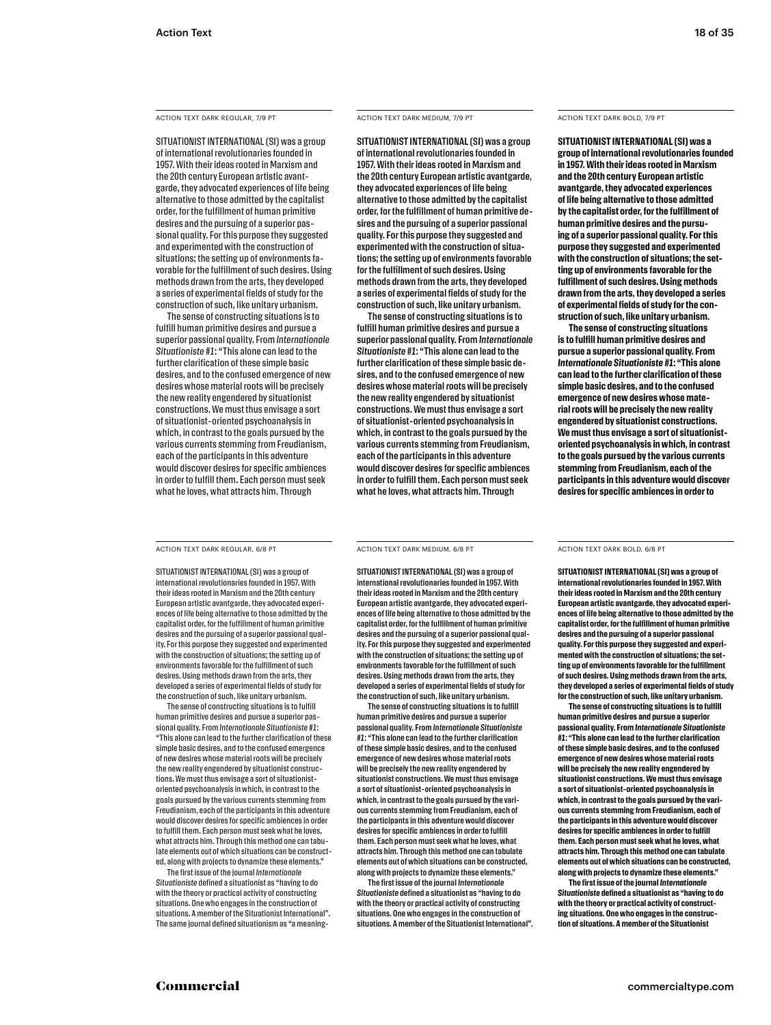#### ACTION TEXT DARK REGULAR, 7/9 PT ACTION TEXT DARK MEDIUM, 7/9 PT ACTION TEXT DARK BOLD, 7/9 PT

SITUATIONIST INTERNATIONAL (SI) was a group of international revolutionaries founded in 1957. With their ideas rooted in Marxism and the 20th century European artistic avantgarde, they advocated experiences of life being alternative to those admitted by the capitalist order, for the fulfillment of human primitive desires and the pursuing of a superior passional quality. For this purpose they suggested and experimented with the construction of situations; the setting up of environments favorable for the fulfillment of such desires. Using methods drawn from the arts, they developed a series of experimental fields of study for the construction of such, like unitary urbanism.

The sense of constructing situations is to fulfill human primitive desires and pursue a superior passional quality. From *Internationale Situationiste #1*: "This alone can lead to the further clarification of these simple basic desires, and to the confused emergence of new desires whose material roots will be precisely the new reality engendered by situationist constructions. We must thus envisage a sort of situationist-oriented psychoanalysis in which, in contrast to the goals pursued by the various currents stemming from Freudianism, each of the participants in this adventure would discover desires for specific ambiences in order to fulfill them. Each person must seek what he loves, what attracts him. Through

ACTION TEXT DARK MEDIUM, 7/9 PT

SITUATIONIST INTERNATIONAL (SI) was a group of international revolutionaries founded in 1957. With their ideas rooted in Marxism and the 20th century European artistic avantgarde, they advocated experiences of life being alternative to those admitted by the capitalist order, for the fulfillment of human primitive desires and the pursuing of a superior passional quality. For this purpose they suggested and experimented with the construction of situations; the setting up of environments favorable for the fulfillment of such desires. Using methods drawn from the arts, they developed a series of experimental fields of study for the construction of such, like unitary urbanism.

The sense of constructing situations is to fulfill human primitive desires and pursue a superior passional quality. From *Internationale Situationiste #1*: "This alone can lead to the further clarification of these simple basic desires, and to the confused emergence of new desires whose material roots will be precisely the new reality engendered by situationist constructions. We must thus envisage a sort of situationist-oriented psychoanalysis in which, in contrast to the goals pursued by the various currents stemming from Freudianism, each of the participants in this adventure would discover desires for specific ambiences in order to fulfill them. Each person must seek what he loves, what attracts him. Through

**SITUATIONIST INTERNATIONAL (SI) was a group of international revolutionaries founded in 1957. With their ideas rooted in Marxism and the 20th century European artistic avantgarde, they advocated experiences of life being alternative to those admitted by the capitalist order, for the fulfillment of human primitive desires and the pursuing of a superior passional quality. For this purpose they suggested and experimented with the construction of situations; the setting up of environments favorable for the fulfillment of such desires. Using methods drawn from the arts, they developed a series of experimental fields of study for the construction of such, like unitary urbanism.**

**The sense of constructing situations is to fulfill human primitive desires and pursue a superior passional quality. From**  *Internationale Situationiste #1***: "This alone can lead to the further clarification of these simple basic desires, and to the confused emergence of new desires whose material roots will be precisely the new reality engendered by situationist constructions. We must thus envisage a sort of situationistoriented psychoanalysis in which, in contrast to the goals pursued by the various currents stemming from Freudianism, each of the participants in this adventure would discover desires for specific ambiences in order to** 

#### ACTION TEXT DARK REGULAR, 6/8 PT ACTION TEXT DARK MEDIUM, 6/8 PT ACTION TEXT DARK BOLD, 6/8 PT

SITUATIONIST INTERNATIONAL (SI) was a group of international revolutionaries founded in 1957. With their ideas rooted in Marxism and the 20th century European artistic avantgarde, they advocated experiences of life being alternative to those admitted by the capitalist order, for the fulfillment of human primitive desires and the pursuing of a superior passional quality. For this purpose they suggested and experimented with the construction of situations; the setting up of environments favorable for the fulfillment of such desires. Using methods drawn from the arts, they developed a series of experimental fields of study for the construction of such, like unitary urbanism.

The sense of constructing situations is to fulfill human primitive desires and pursue a superior passional quality. From *Internationale Situationiste #1*: "This alone can lead to the further clarification of these simple basic desires, and to the confused emergence of new desires whose material roots will be precisely the new reality engendered by situationist constructions. We must thus envisage a sort of situationistoriented psychoanalysis in which, in contrast to the goals pursued by the various currents stemming from Freudianism, each of the participants in this adventure would discover desires for specific ambiences in order to fulfill them. Each person must seek what he loves, what attracts him. Through this method one can tabulate elements out of which situations can be constructed, along with projects to dynamize these elements."

The first issue of the journal *Internationale Situationiste* defined a situationist as "having to do with the theory or practical activity of constructing situations. One who engages in the construction of situations. A member of the Situationist International". The same journal defined situationism as "a meaningACTION TEXT DARK MEDIUM, 6/8 PT

SITUATIONIST INTERNATIONAL (SI) was a group of international revolutionaries founded in 1957. With their ideas rooted in Marxism and the 20th century European artistic avantgarde, they advocated experiences of life being alternative to those admitted by the capitalist order, for the fulfillment of human primitive desires and the pursuing of a superior passional quality. For this purpose they suggested and experimented with the construction of situations; the setting up of environments favorable for the fulfillment of such desires. Using methods drawn from the arts, they developed a series of experimental fields of study for the construction of such, like unitary urbanism.

The sense of constructing situations is to fulfill human primitive desires and pursue a superior passional quality. From *Internationale Situationiste #1*: "This alone can lead to the further clarification of these simple basic desires, and to the confused emergence of new desires whose material roots will be precisely the new reality engendered by situationist constructions. We must thus envisage a sort of situationist-oriented psychoanalysis in which, in contrast to the goals pursued by the various currents stemming from Freudianism, each of the participants in this adventure would discover desires for specific ambiences in order to fulfill them. Each person must seek what he loves, what attracts him. Through this method one can tabulate elements out of which situations can be constructed, along with projects to dynamize these elements."

The first issue of the journal *Internationale Situationiste* defined a situationist as "having to do with the theory or practical activity of constructing situations. One who engages in the construction of situations. A member of the Situationist International".

**SITUATIONIST INTERNATIONAL (SI) was a group of international revolutionaries founded in 1957. With their ideas rooted in Marxism and the 20th century European artistic avantgarde, they advocated experiences of life being alternative to those admitted by the capitalist order, for the fulfillment of human primitive desires and the pursuing of a superior passional quality. For this purpose they suggested and experimented with the construction of situations; the setting up of environments favorable for the fulfillment of such desires. Using methods drawn from the arts, they developed a series of experimental fields of study**  for the construction of such, like unitary urbanis

**The sense of constructing situations is to fulfill human primitive desires and pursue a superior passional quality. From** *Internationale Situationiste #1***: "This alone can lead to the further clarification of these simple basic desires, and to the confused emergence of new desires whose material roots will be precisely the new reality engendered by situationist constructions. We must thus envisage a sort of situationist-oriented psychoanalysis in which, in contrast to the goals pursued by the various currents stemming from Freudianism, each of the participants in this adventure would discover desires for specific ambiences in order to fulfill them. Each person must seek what he loves, what attracts him. Through this method one can tabulate elements out of which situations can be constructed, along with projects to dynamize these elements."** 

**The first issue of the journal** *Internationale Situationiste* **defined a situationist as "having to do with the theory or practical activity of constructing situations. One who engages in the construction of situations. A member of the Situationist**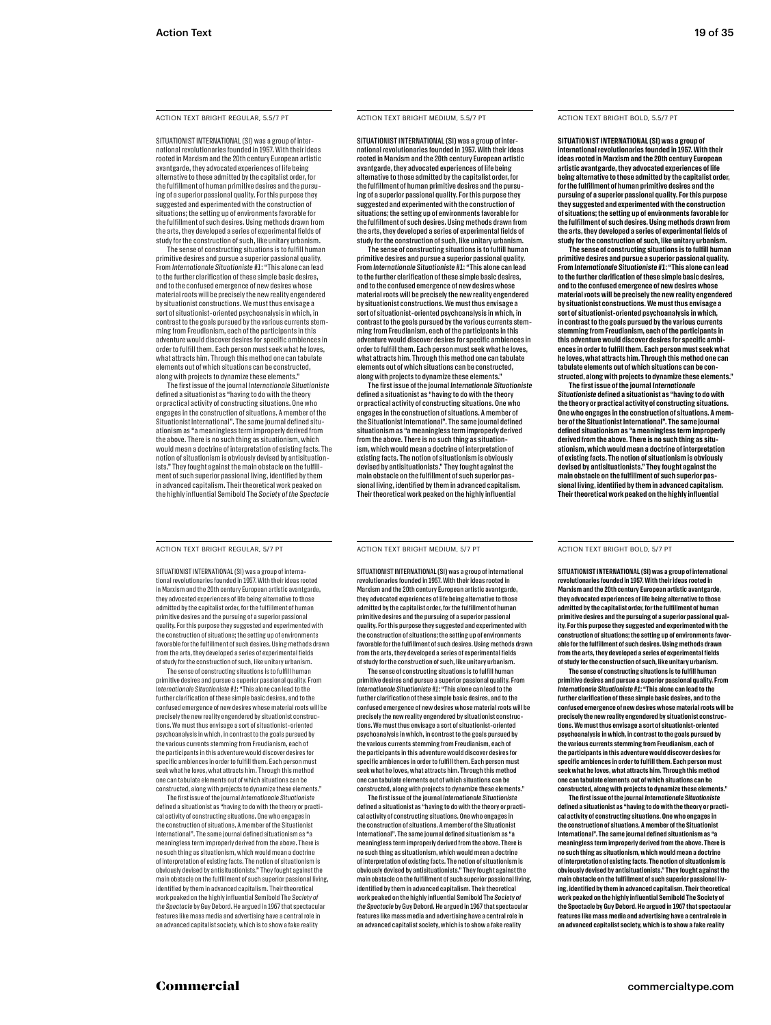#### ACTION TEXT BRIGHT REGULAR, 5.5/7 PT ACTION TEXT BRIGHT MEDIUM, 5.5/7 PT ACTION TEXT BRIGHT BOLD, 5.5/7 PT

SITUATIONIST INTERNATIONAL (SI) was a group of international revolutionaries founded in 1957. With their ideas rooted in Marxism and the 20th century European artistic avantgarde, they advocated experiences of life being alternative to those admitted by the capitalist order, for the fulfillment of human primitive desires and the pursuing of a superior passional quality. For this purpose they suggested and experimented with the construction of situations; the setting up of environments favorable for the fulfillment of such desires. Using methods drawn from the arts, they developed a series of experimental fields of study for the construction of such, like unitary urbanism.

The sense of constructing situations is to fulfill human primitive desires and pursue a superior passional quality. From *Internationale Situationiste #1*: "This alone can lead to the further clarification of these simple basic desires, and to the confused emergence of new desires whose material roots will be precisely the new reality engendered by situationist constructions. We must thus envisage a sort of situationist-oriented psychoanalysis in which, in contrast to the goals pursued by the various currents stemming from Freudianism, each of the participants in this adventure would discover desires for specific ambiences in order to fulfill them. Each person must seek what he loves, what attracts him. Through this method one can tabulate elements out of which situations can be constructed, along with projects to dynamize these elements."

The first issue of the journal *Internationale Situationiste*  defined a situationist as "having to do with the theory or practical activity of constructing situations. One who engages in the construction of situations. A member of the Situationist International". The same journal defined situationism as "a meaningless term improperly derived from the above. There is no such thing as situationism, which would mean a doctrine of interpretation of existing facts. The notion of situationism is obviously devised by antisituationists." They fought against the main obstacle on the fulfillment of such superior passional living, identified by them in advanced capitalism. Their theoretical work peaked on the highly influential Semibold The *Society of the Spectacle*

#### ACTION TEXT BRIGHT REGULAR, 5/7 PT ACTION TEXT BRIGHT MEDIUM, 5/7 PT ACTION TEXT BRIGHT BOLD, 5/7 PT

SITUATIONIST INTERNATIONAL (SI) was a group of international revolutionaries founded in 1957. With their ideas rooted in Marxism and the 20th century European artistic avantgarde, they advocated experiences of life being alternative to those admitted by the capitalist order, for the fulfillment of human primitive desires and the pursuing of a superior passional quality. For this purpose they suggested and experimented with the construction of situations; the setting up of environments favorable for the fulfillment of such desires. Using methods drawn from the arts, they developed a series of experimental fields of study for the construction of such, like unitary urbanism.

The sense of constructing situations is to fulfill human primitive desires and pursue a superior passional quality. From *Internationale Situationiste #1*: "This alone can lead to the further clarification of these simple basic desires, and to the confused emergence of new desires whose material roots will be precisely the new reality engendered by situationist constructions. We must thus envisage a sort of situationist-oriented psychoanalysis in which, in contrast to the goals pursued by the various currents stemming from Freudianism, each of the participants in this adventure would discover desires for specific ambiences in order to fulfill them. Each person must seek what he loves, what attracts him. Through this method one can tabulate elements out of which situations can be constructed, along with projects to dynamize these elements."

The first issue of the journal *Internationale Situationiste*  defined a situationist as "having to do with the theory or practical activity of constructing situations. One who engages in the construction of situations. A member of the Situationist International". The same journal defined situationism as "a meaningless term improperly derived from the above. There is no such thing as situationism, which would mean a doctrine of interpretation of existing facts. The notion of situationism is obviously devised by antisituationists." They fought against th main obstacle on the fulfillment of such superior passional living, identified by them in advanced capitalism. Their theoretical work peaked on the highly influential Semibold The *Society of the Spectacle* by Guy Debord. He argued in 1967 that spectacular features like mass media and advertising have a central role in an advanced capitalist society, which is to show a fake reality

#### ACTION TEXT BRIGHT MEDIUM, 5.5/7 PT

SITUATIONIST INTERNATIONAL (SI) was a group of international revolutionaries founded in 1957. With their ideas rooted in Marxism and the 20th century European artistic avantgarde, they advocated experiences of life being alternative to those admitted by the capitalist order, for the fulfillment of human primitive desires and the pursuing of a superior passional quality. For this purpose they suggested and experimented with the construction of situations; the setting up of environments favorable for the fulfillment of such desires. Using methods drawn from the arts, they developed a series of experimental fields of study for the construction of such, like unitary urbanism.

The sense of constructing situations is to fulfill human primitive desires and pursue a superior passional quality. From *Internationale Situationiste #1*: "This alone can lead to the further clarification of these simple basic desires, and to the confused emergence of new desires whose material roots will be precisely the new reality engendered by situationist constructions. We must thus envisage a sort of situationist-oriented psychoanalysis in which, in contrast to the goals pursued by the various currents stemming from Freudianism, each of the participants in this adventure would discover desires for specific ambiences in order to fulfill them. Each person must seek what he loves, what attracts him. Through this method one can tabulate elements out of which situations can be constructed, along with projects to dynamize these elements."

The first issue of the journal *Internationale Situationiste* defined a situationist as "having to do with the theory or practical activity of constructing situations. One who engages in the construction of situations. A member of the Situationist International". The same journal defined situationism as "a meaningless term improperly derived from the above. There is no such thing as situationism, which would mean a doctrine of interpretation of existing facts. The notion of situationism is obviously devised by antisituationists." They fought against the main obstacle on the fulfillment of such superior passional living, identified by them in advanced capitalism. Their theoretical work peaked on the highly influential

SITUATIONIST INTERNATIONAL (SI) was a group of international revolutionaries founded in 1957. With their ideas rooted in Marxism and the 20th century European artistic avantgarde, they advocated experiences of life being alternative to those hitted by the capitalist order, for the fulfillment of human primitive desires and the pursuing of a superior passional quality. For this purpose they suggested and experimented with the construction of situations; the setting up of environments favorable for the fulfillment of such desires. Using methods drawn from the arts, they developed a series of experimental fields of study for the construction of such, like unitary urbanism. The sense of constructing situations is to fulfill human primitive desires and pursue a superior passional quality. From *Internationale Situationiste #1*: "This alone can lead to the further clarification of these simple basic desires, and to the confused emergence of new desires whose material roots will be precisely the new reality engendered by situationist constructions. We must thus envisage a sort of situationist-oriented psychoanalysis in which, in contrast to the goals pursued by the various currents stemming from Freudianism, each of the participants in this adventure would discover desires for specific ambiences in order to fulfill them. Each person must seek what he loves, what attracts him. Through this method one can tabulate elements out of which situations can be constructed, along with projects to dynamize these elements. The first issue of the journal *Internationale Situationiste* defined a situationist as "having to do with the theory or practical activity of constructing situations. One who engages in the construction of situations. A member of the Situationist International". The same journal defined situationism as "a meaningless term improperly derived from the above. There is no such thing as situationism, which would mean a doctrine of interpretation of existing facts. The notion of situationism is obviously devised by antisituationists." They fought against the main obstacle on the fulfillment of such superior passional living, identified by them in advanced capitalism. Their theoretical work peaked on the highly influential Semibold The *Society of the Spectacle* by Guy Debord. He argued in 1967 that spectacular features like mass media and advertising have a central role in an advanced capitalist society, which is to show a fake reality

ACTION TEXT BRIGHT MEDIUM, 5/7 PT

**SITUATIONIST INTERNATIONAL (SI) was a group of international revolutionaries founded in 1957. With their ideas rooted in Marxism and the 20th century European artistic avantgarde, they advocated experiences of life being alternative to those admitted by the capitalist order, for the fulfillment of human primitive desires and the pursuing of a superior passional quality. For this purpose they suggested and experimented with the construction of situations; the setting up of environments favorable for the fulfillment of such desires. Using methods drawn from the arts, they developed a series of experimental fields of study for the construction of such, like unitary urbanism.**

**The sense of constructing situations is to fulfill human primitive desires and pursue a superior passional quality. From** *Internationale Situationiste #1***: "This alone can lead to the further clarification of these simple basic desires, and to the confused emergence of new desires whose material roots will be precisely the new reality engendered by situationist constructions. We must thus envisage a sort of situationist-oriented psychoanalysis in which, in contrast to the goals pursued by the various currents stemming from Freudianism, each of the participants in this adventure would discover desires for specific ambiences in order to fulfill them. Each person must seek what he loves, what attracts him. Through this method one can tabulate elements out of which situations can be constructed, along with projects to dynamize these elements."** 

**The first issue of the journal** *Internationale Situationiste* **defined a situationist as "having to do with the theory or practical activity of constructing situations. One who engages in the construction of situations. A mem-ber of the Situationist International". The same journal defined situationism as "a meaningless term improperly derived from the above. There is no such thing as situationism, which would mean a doctrine of interpretation of existing facts. The notion of situationism is obviously devised by antisituationists." They fought against the main obstacle on the fulfillment of such superior passional living, identified by them in advanced capitalism. Their theoretical work peaked on the highly influential** 

**SITUATIONIST INTERNATIONAL (SI) was a group of international revolutionaries founded in 1957. With their ideas rooted in Marxism and the 20th century European artistic avantgarde, they advocated experiences of life being alternative to those admitted by the capitalist order, for the fulfillment of human primitive desires and the pursuing of a superior passional quality. For this purpose they suggested and experimented with the construction of situations; the setting up of environments favorable for the fulfillment of such desires. Using methods drawn from the arts, they developed a series of experimental fields of study for the construction of such, like unitary urbanism.**

**The sense of constructing situations is to fulfill human primitive desires and pursue a superior passional quality. From**  *Internationale Situationiste #1***: "This alone can lead to the further clarification of these simple basic desires, and to the confused emergence of new desires whose material roots will be precisely the new reality engendered by situationist constructions. We must thus envisage a sort of situationist-oriented psychoanalysis in which, in contrast to the goals pursued by the various currents stemming from Freudianism, each of the participants in this adventure would discover desires for specific ambiences in order to fulfill them. Each person must seek what he loves, what attracts him. Through this method one can tabulate elements out of which situations can be**  constructed, along with projects to dynamize these eleme

**The first issue of the journal** *Internationale Situationiste* **defined a situationist as "having to do with the theory or practical activity of constructing situations. One who engages in the construction of situations. A member of the Situationist International". The same journal defined situationism as "a meaningless term improperly derived from the above. There is no such thing as situationism, which would mean a doctrine of interpretation of existing facts. The notion of situationism is obviously devised by antisituationists." They fought against the main obstacle on the fulfillment of such superior passional living, identified by them in advanced capitalism. Their theoretical work peaked on the highly influential Semibold The Society of the Spectacle by Guy Debord. He argued in 1967 that spectacular features like mass media and advertising have a central role in an advanced capitalist society, which is to show a fake reality**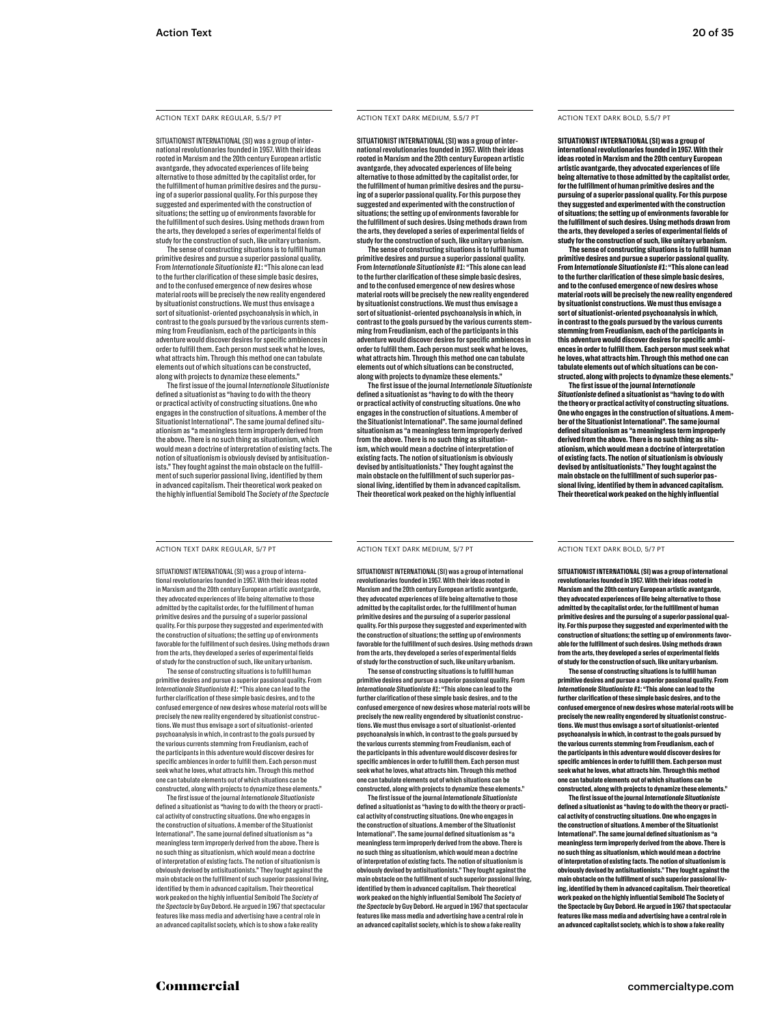#### ACTION TEXT DARK REGULAR, 5.5/7 PT ACTION TEXT DARK MEDIUM, 5.5/7 PT ACTION TEXT DARK BOLD, 5.5/7 PT

SITUATIONIST INTERNATIONAL (SI) was a group of international revolutionaries founded in 1957. With their ideas rooted in Marxism and the 20th century European artistic avantgarde, they advocated experiences of life being alternative to those admitted by the capitalist order, for the fulfillment of human primitive desires and the pursuing of a superior passional quality. For this purpose they suggested and experimented with the construction of situations; the setting up of environments favorable for the fulfillment of such desires. Using methods drawn from the arts, they developed a series of experimental fields of study for the construction of such, like unitary urbanism.

The sense of constructing situations is to fulfill human primitive desires and pursue a superior passional quality. From *Internationale Situationiste #1*: "This alone can lead to the further clarification of these simple basic desires, and to the confused emergence of new desires whose material roots will be precisely the new reality engendered by situationist constructions. We must thus envisage a sort of situationist-oriented psychoanalysis in which, in contrast to the goals pursued by the various currents stemming from Freudianism, each of the participants in this adventure would discover desires for specific ambiences in order to fulfill them. Each person must seek what he loves, what attracts him. Through this method one can tabulate elements out of which situations can be constructed, along with projects to dynamize these elements."

The first issue of the journal *Internationale Situationiste*  defined a situationist as "having to do with the theory or practical activity of constructing situations. One who engages in the construction of situations. A member of the Situationist International". The same journal defined situationism as "a meaningless term improperly derived from the above. There is no such thing as situationism, which would mean a doctrine of interpretation of existing facts. The notion of situationism is obviously devised by antisituationists." They fought against the main obstacle on the fulfillment of such superior passional living, identified by them in advanced capitalism. Their theoretical work peaked on the highly influential Semibold The *Society of the Spectacle*

#### ACTION TEXT DARK REGULAR, 5/7 PT **ACTION TEXT DARK MEDIUM, 5/7 PT** ACTION TEXT DARK BOLD, 5/7 PT

SITUATIONIST INTERNATIONAL (SI) was a group of international revolutionaries founded in 1957. With their ideas rooted in Marxism and the 20th century European artistic avantgarde, they advocated experiences of life being alternative to those admitted by the capitalist order, for the fulfillment of human primitive desires and the pursuing of a superior passional quality. For this purpose they suggested and experimented with the construction of situations; the setting up of environments favorable for the fulfillment of such desires. Using methods drawn from the arts, they developed a series of experimental fields of study for the construction of such, like unitary urbanism.

The sense of constructing situations is to fulfill human primitive desires and pursue a superior passional quality. From *Internationale Situationiste #1*: "This alone can lead to the further clarification of these simple basic desires, and to the confused emergence of new desires whose material roots will be precisely the new reality engendered by situationist constructions. We must thus envisage a sort of situationist-oriented psychoanalysis in which, in contrast to the goals pursued by the various currents stemming from Freudianism, each of the participants in this adventure would discover desires for specific ambiences in order to fulfill them. Each person must seek what he loves, what attracts him. Through this method one can tabulate elements out of which situations can be constructed, along with projects to dynamize these elements."

The first issue of the journal *Internationale Situationiste*  defined a situationist as "having to do with the theory or practical activity of constructing situations. One who engages in the construction of situations. A member of the Situationist International". The same journal defined situationism as "a meaningless term improperly derived from the above. There is no such thing as situationism, which would mean a doctrine of interpretation of existing facts. The notion of situationism is obviously devised by antisituationists." They fought against the main obstacle on the fulfillment of such superior passional living, identified by them in advanced capitalism. Their theoretical work peaked on the highly influential Semibold The *Society of the Spectacle* by Guy Debord. He argued in 1967 that spectacular features like mass media and advertising have a central role in an advanced capitalist society, which is to show a fake reality

#### ACTION TEXT DARK MEDIUM, 5.5/7 PT

SITUATIONIST INTERNATIONAL (SI) was a group of international revolutionaries founded in 1957. With their ideas rooted in Marxism and the 20th century European artistic avantgarde, they advocated experiences of life being alternative to those admitted by the capitalist order, for the fulfillment of human primitive desires and the pursuing of a superior passional quality. For this purpose they suggested and experimented with the construction of situations; the setting up of environments favorable for the fulfillment of such desires. Using methods drawn from the arts, they developed a series of experimental fields of study for the construction of such, like unitary urbanism.

The sense of constructing situations is to fulfill human primitive desires and pursue a superior passional quality. From *Internationale Situationiste #1*: "This alone can lead to the further clarification of these simple basic desires, and to the confused emergence of new desires whose material roots will be precisely the new reality engendered by situationist constructions. We must thus envisage a sort of situationist-oriented psychoanalysis in which, in contrast to the goals pursued by the various currents stemming from Freudianism, each of the participants in this adventure would discover desires for specific ambiences in order to fulfill them. Each person must seek what he loves, what attracts him. Through this method one can tabulate elements out of which situations can be constructed, along with projects to dynamize these elements."

The first issue of the journal *Internationale Situationiste* defined a situationist as "having to do with the theory or practical activity of constructing situations. One who engages in the construction of situations. A member of the Situationist International". The same journal defined situationism as "a meaningless term improperly derived from the above. There is no such thing as situationism, which would mean a doctrine of interpretation of existing facts. The notion of situationism is obviously devised by antisituationists." They fought against the main obstacle on the fulfillment of such superior passional living, identified by them in advanced capitalism. Their theoretical work peaked on the highly influential

**SITUATIONIST INTERNATIONAL (SI) was a group of international revolutionaries founded in 1957. With their ideas rooted in Marxism and the 20th century European artistic avantgarde, they advocated experiences of life being alternative to those admitted by the capitalist order, for the fulfillment of human primitive desires and the pursuing of a superior passional quality. For this purpose they suggested and experimented with the construction of situations; the setting up of environments favorable for the fulfillment of such desires. Using methods drawn from the arts, they developed a series of experimental fields of study for the construction of such, like unitary urbanism.**

**The sense of constructing situations is to fulfill human primitive desires and pursue a superior passional quality. From** *Internationale Situationiste #1***: "This alone can lead to the further clarification of these simple basic desires, and to the confused emergence of new desires whose material roots will be precisely the new reality engendered by situationist constructions. We must thus envisage a sort of situationist-oriented psychoanalysis in which, in contrast to the goals pursued by the various currents stemming from Freudianism, each of the participants in this adventure would discover desires for specific ambiences in order to fulfill them. Each person must seek what he loves, what attracts him. Through this method one can tabulate elements out of which situations can be constructed, along with projects to dynamize these elements."** 

**The first issue of the journal** *Internationale Situationiste* **defined a situationist as "having to do with the theory or practical activity of constructing situations. One who engages in the construction of situations. A mem-ber of the Situationist International". The same journal defined situationism as "a meaningless term improperly derived from the above. There is no such thing as situationism, which would mean a doctrine of interpretation of existing facts. The notion of situationism is obviously devised by antisituationists." They fought against the main obstacle on the fulfillment of such superior passional living, identified by them in advanced capitalism. Their theoretical work peaked on the highly influential** 

#### ACTION TEXT DARK MEDIUM, 5/7 PT

SITUATIONIST INTERNATIONAL (SI) was a group of international revolutionaries founded in 1957. With their ideas rooted in Marxism and the 20th century European artistic avantgarde, they advocated experiences of life being alternative to those itted by the capitalist order, for the fulfillment of humar primitive desires and the pursuing of a superior passional quality. For this purpose they suggested and experimented with the construction of situations; the setting up of environments favorable for the fulfillment of such desires. Using methods drawn from the arts, they developed a series of experimental fields of study for the construction of such, like unitary urbanism.

The sense of constructing situations is to fulfill human primitive desires and pursue a superior passional quality. From *Internationale Situationiste #1*: "This alone can lead to the further clarification of these simple basic desires, and to the confused emergence of new desires whose material roots will be precisely the new reality engendered by situationist constructions. We must thus envisage a sort of situationist-oriented psychoanalysis in which, in contrast to the goals pursued by the various currents stemming from Freudianism, each of the participants in this adventure would discover desires for specific ambiences in order to fulfill them. Each person must seek what he loves, what attracts him. Through this method one can tabulate elements out of which situations can be constructed, along with projects to dynamize these eleme

The first issue of the journal *Internationale Situationiste* defined a situationist as "having to do with the theory or practical activity of constructing situations. One who engages in the construction of situations. A member of the Situationist International". The same journal defined situationism as "a meaningless term improperly derived from the above. There is no such thing as situationism, which would mean a doctrine of interpretation of existing facts. The notion of situationism is obviously devised by antisituationists." They fought against the main obstacle on the fulfillment of such superior passional living, identified by them in advanced capitalism. Their theoretical work peaked on the highly influential Semibold The *Society of the Spectacle* by Guy Debord. He argued in 1967 that spectacular features like mass media and advertising have a central role in an advanced capitalist society, which is to show a fake reality

**SITUATIONIST INTERNATIONAL (SI) was a group of international revolutionaries founded in 1957. With their ideas rooted in Marxism and the 20th century European artistic avantgarde, they advocated experiences of life being alternative to those admitted by the capitalist order, for the fulfillment of human primitive desires and the pursuing of a superior passional quality. For this purpose they suggested and experimented with the construction of situations; the setting up of environments favorable for the fulfillment of such desires. Using methods drawn from the arts, they developed a series of experimental fields of study for the construction of such, like unitary urbanism.**

**The sense of constructing situations is to fulfill human primitive desires and pursue a superior passional quality. From**  *Internationale Situationiste #1***: "This alone can lead to the further clarification of these simple basic desires, and to the confused emergence of new desires whose material roots will be precisely the new reality engendered by situationist constructions. We must thus envisage a sort of situationist-oriented psychoanalysis in which, in contrast to the goals pursued by the various currents stemming from Freudianism, each of the participants in this adventure would discover desires for specific ambiences in order to fulfill them. Each person must seek what he loves, what attracts him. Through this method one can tabulate elements out of which situations can be**  constructed, along with projects to dynamize these el

**The first issue of the journal** *Internationale Situationiste* **defined a situationist as "having to do with the theory or practical activity of constructing situations. One who engages in the construction of situations. A member of the Situationist International". The same journal defined situationism as "a meaningless term improperly derived from the above. There is no such thing as situationism, which would mean a doctrine of interpretation of existing facts. The notion of situationism is obviously devised by antisituationists." They fought against the main obstacle on the fulfillment of such superior passional living, identified by them in advanced capitalism. Their theoretical work peaked on the highly influential Semibold The Society of the Spectacle by Guy Debord. He argued in 1967 that spectacular features like mass media and advertising have a central role in an advanced capitalist society, which is to show a fake reality**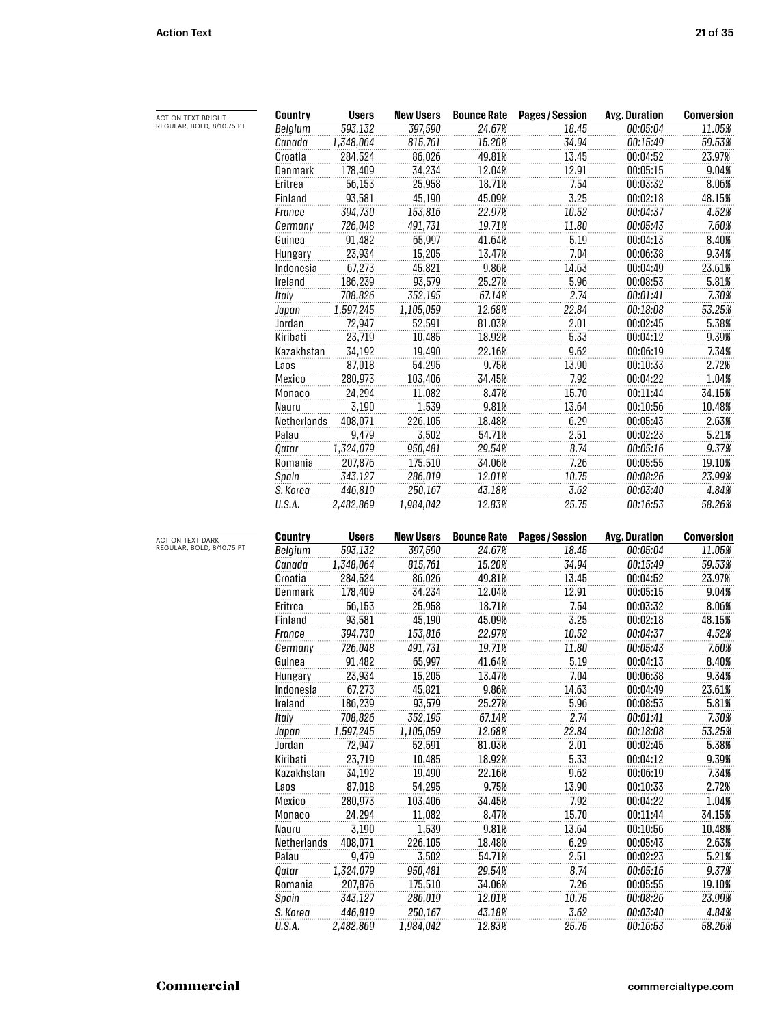| <b>ACTION TEXT BRIGHT</b> | Country        | <b>Users</b> | <b>New Users</b> | <b>Bounce Rate</b> | Pages / Session | <b>Avg. Duration</b> | <b>Conversion</b> |
|---------------------------|----------------|--------------|------------------|--------------------|-----------------|----------------------|-------------------|
| REGULAR, BOLD, 8/10.75 PT | Belgium        | 593,132      | 397,590          | 24.67%             | 18.45           | 00:05:04             | 11.05%            |
|                           | Canada         | 1,348,064    | 815,761          | 15.20%             | 34.94           | 00:15:49             | 59.53%            |
|                           | Croatia        | 284,524      | 86,026           | 49.81%             | 13.45           | 00:04:52             | 23.97%            |
|                           | Denmark        | 178,409      | 34,234           | 12.04%             | 12.91           | 00:05:15             | 9.04%             |
|                           | Eritrea        | 56,153       | 25,958           | 18.71%             | 7.54            | 00:03:32             | 8.06%             |
|                           | Finland        | 93,581       | 45,190           | 45.09%             | 3.25            | 00:02:18             | 48.15%            |
|                           | France         | 394,730      | 153,816          | 22.97%             | 10.52           | 00:04:37             | 4.52%             |
|                           | Germany        | 726,048      | 491,731          | 19.71%             | 11.80           | 00:05:43             | 7.60%             |
|                           | Guinea         | 91,482       | 65,997           | 41.64%             | 5.19            | 00:04:13             | 8.40%             |
|                           | Hungary        | 23,934       | 15,205           | 13.47%             | 7.04            | 00:06:38             | 9.34%             |
|                           | Indonesia      | 67,273       | 45,821           | 9.86%              | 14.63           | 00:04:49             | 23.61%            |
|                           | Ireland        | 186,239      | 93,579           | 25.27%             | 5.96            | 00:08:53             | 5.81%             |
|                           | Italy          | 708,826      | 352,195          | 67.14%             | 2.74            | 00:01:41             | 7.30%             |
|                           | Japan          | 1,597,245    | 1,105,059        | 12.68%             | 22.84           | 00:18:08             | 53.25%            |
|                           | Jordan         | 72,947       | 52,591           | 81.03%             | 2.01            | 00:02:45             | 5.38%             |
|                           | Kiribati       | 23,719       | 10,485           | 18.92%             | 5.33            | 00:04:12             | 9.39%             |
|                           | Kazakhstan     | 34,192       | 19,490           | 22.16%             | 9.62            | 00:06:19             | 7.34%             |
|                           | Laos           | 87,018       | 54,295           | 9.75%              | 13.90           | 00:10:33             | 2.72%             |
|                           | Mexico         | 280,973      | 103,406          | 34.45%             | 7.92            | 00:04:22             | 1.04%             |
|                           | Monaco         | 24,294       | 11,082           | 8.47%              | 15.70           | 00:11:44             | 34.15%            |
|                           | Nauru          | 3,190        | 1,539            | 9.81%              | 13.64           | 00:10:56             | 10.48%            |
|                           | Netherlands    | 408,071      | 226,105          | 18.48%             | 6.29            | 00:05:43             | 2.63%             |
|                           | Palau          | 9,479        | 3,502            | 54.71%             | 2.51            | 00:02:23             | 5.21%             |
|                           | Qatar          | 1,324,079    | 950,481          | 29.54%             | 8.74            | 00:05:16             | 9.37%             |
|                           | Romania        | 207,876      | 175,510          | 34.06%             | 7.26            | 00:05:55             | 19.10%            |
|                           | Spain          | 343,127      | 286,019          | 12.01%             | 10.75           | 00:08:26             | 23.99%            |
|                           | S. Korea       | 446,819      | 250,167          | 43.18%             | 3.62            | 00:03:40             | 4.84%             |
|                           | U.S.A.         | 2,482,869    | 1,984,042        | 12.83%             | 25.75           | 00:16:53             | 58.26%            |
|                           |                |              |                  |                    |                 |                      |                   |
| <b>ACTION TEXT DARK</b>   | <b>Country</b> | <b>Users</b> | <b>New Users</b> | <b>Bounce Rate</b> | Pages / Session | <b>Avg. Duration</b> | <b>Conversion</b> |
| REGULAR, BOLD, 8/10.75 PT | Belgium        | 593,132      | 397,590          | 24.67%             | 18.45           | 00:05:04             | 11.05%            |
|                           | Canada         | 1,348,064    | 815,761          | 15.20%             | 34.94           | 00:15:49             | 59.53%            |
|                           | Croatia        | 284,524      | 86,026           | 49.81%             | 13.45           | 00:04:52             | 23.97%            |
|                           | Denmark        | 178,409      | 34,234           | 12.04%             | 12.91           | 00:05:15             | 9.04%             |
|                           | Eritrea        | 56,153       | 25,958           | 18.71%             | 7.54            | 00:03:32             | 8.06%             |
|                           | Finland        | 93,581       | 45,190           | 45.09%             | 3.25            | 00:02:18             | 48.15%            |
|                           | France         | 394,730      | 153,816          | 22.97%             | 10.52           | 00:04:37             | 4.52%             |
|                           | Germany        | 726,048      | 491,731          | 19.71%             | 11.80           | 00:05:43             | 7.60%             |
|                           | Guinea         | 91,482       | 65,997           | 41.64%             | 5.19            | 00:04:13             | 8.40%             |
|                           | Hungary        | 23,934       | 15,205           | 13.47%             | 7.04            | 00:06:38             | 9.34%             |
|                           | Indonesia      | 67,273       | 45,821           | 9.86%              | 14.63           | 00:04:49             | 23.61%            |
|                           | Ireland        | 186,239      | 93,579           | 25.27%             | 5.96            | 00:08:53             | 5.81%             |
|                           | Italy          | 708,826      | 352,195          | 67.14%             | 2.74            | 00:01:41             | 7.30%             |
|                           | Japan          | 1,597,245    | 1,105,059        | 12.68%             | 22.84           | 00:18:08             | 53.25%            |
|                           | Jordan         | 72,947       | 52,591           | 81.03%             | 2.01            | 00:02:45             | 5.38%             |
|                           | Kiribati       | 23,719       | 10,485           | 18.92%             | 5.33            | 00:04:12             | 9.39%             |
|                           | Kazakhstan     | 34,192       | 19,490           | 22.16%             | 9.62            | 00:06:19             | 7.34%             |
|                           | Laos           | 87,018       | 54,295           | 9.75%              | 13.90           | 00:10:33             | 2.72%             |
|                           | Mexico         | 280,973      | 103,406          | 34.45%             | 7.92            | 00:04:22             | 1.04%             |
|                           | Monaco         | 24,294       | 11,082           | 8.47%              | 15.70           | 00:11:44             | 34.15%            |
|                           | Nauru          | 3,190        | 1,539            | 9.81%              | 13.64           | 00:10:56             | 10.48%            |
|                           | Netherlands    | 408,071      | 226,105          | 18.48%             | 6.29            | 00:05:43             | 2.63%             |
|                           | Palau          | 9,479        | 3,502            | 54.71%             | 2.51            | 00:02:23             | 5.21%             |
|                           | Qatar          | 1,324,079    | 950,481          | 29.54%             | 8.74            | 00:05:16             | 9.37%             |
|                           | Romania        | 207,876      | 175,510          | 34.06%             | 7.26            | 00:05:55             | 19.10%            |
|                           | Spain          | 343,127      | 286,019          | 12.01%             | 10.75           | 00:08:26             | 23.99%            |
|                           | S. Korea       | 446,819      | 250,167          | 43.18%             | 3.62            | 00:03:40             | 4.84%             |
|                           |                |              |                  |                    |                 |                      |                   |

*U.S.A. 2,482,869 1,984,042 12.83% 25.75 00:16:53 58.26%*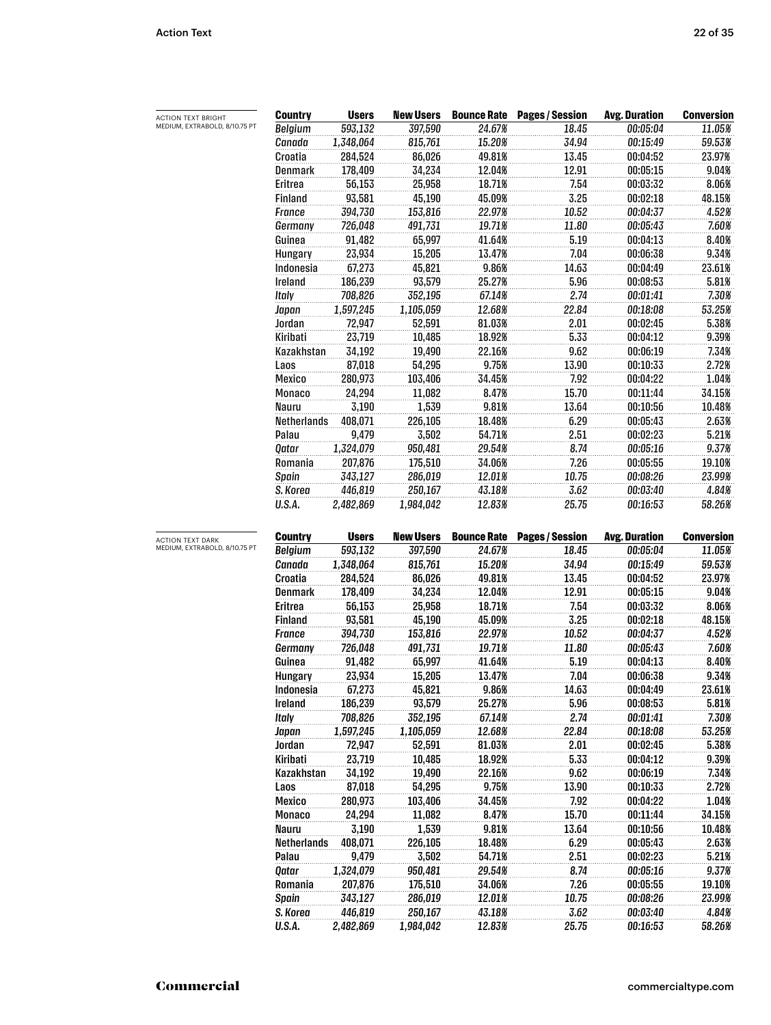| ACTION TEXT BRIGHT            | <b>Country</b>     | <b>Users</b>      | <b>New Users</b>  |                    | <b>Bounce Rate Pages / Session</b> | <b>Avg. Duration</b> | <b>Conversion</b> |
|-------------------------------|--------------------|-------------------|-------------------|--------------------|------------------------------------|----------------------|-------------------|
| MEDIUM, EXTRABOLD, 8/10.75 PT | Belgium            | 593,132           | 397,590           | 24.67%             | 18.45                              | 00:05:04             | 11.05%            |
|                               | Canada             | 1,348,064         | 815,761           | 15.20%             | 34.94                              | 00:15:49             | 59.53%            |
|                               | Croatia            | 284,524           | 86,026            | 49.81%             | 13.45                              | 00:04:52             | 23.97%            |
|                               | <b>Denmark</b>     | 178,409           | 34,234            | 12.04%             | 12.91                              | 00:05:15             | 9.04%             |
|                               | Eritrea            | 56,153            | 25,958            | 18.71%             | 7.54                               | 00:03:32             | 8.06%             |
|                               | Finland            | 93,581            | 45,190            | 45.09%             | 3.25                               | 00:02:18             | 48.15%            |
|                               | France             | 394,730           | 153,816           | 22.97%             | 10.52                              | 00:04:37             | 4.52%             |
|                               | Germany            | 726,048           | 491,731           | 19.71%             | 11.80                              | 00:05:43             | 7.60%             |
|                               | Guinea             | 91,482            | 65,997            | 41.64%             | 5.19                               | 00:04:13             | 8.40%             |
|                               | Hungary            | 23,934            | 15,205            | 13.47%             | 7.04                               | 00:06:38             | 9.34%             |
|                               | Indonesia          | 67,273            | 45,821            | 9.86%              | 14.63                              | 00:04:49             | 23.61%            |
|                               | Ireland            | 186,239           | 93,579            | 25.27%             | 5.96                               | 00:08:53             | 5.81%             |
|                               | Italy              | 708,826           | 352,195           | 67.14%             | 2.74                               | 00:01:41             | 7.30%             |
|                               | Japan              | 1,597,245         | 1,105,059         | 12.68%             | 22.84                              | 00:18:08             | 53.25%            |
|                               | Jordan             | 72,947            | 52,591            | 81.03%             | 2.01                               | 00:02:45             | 5.38%             |
|                               | Kiribati           | 23,719            | 10,485            | 18.92%             | 5.33                               | 00:04:12             | 9.39%             |
|                               | Kazakhstan         | 34,192            | 19,490            | 22.16%             | 9.62                               | 00:06:19             | 7.34%             |
|                               |                    |                   |                   | 9.75%              |                                    |                      | 2.72%             |
|                               | Laos               | 87,018            | 54,295            |                    | 13.90                              | 00:10:33             |                   |
|                               | Mexico             | 280,973<br>24,294 | 103,406           | 34.45%             | 7.92                               | 00:04:22             | 1.04%             |
|                               | Monaco             |                   | 11,082            | 8.47%              | 15.70                              | 00:11:44             | 34.15%            |
|                               | Nauru              | 3,190             | 1,539             | 9.81%              | 13.64                              | 00:10:56             | 10.48%            |
|                               | Netherlands        | 408,071           | 226,105           | 18.48%             | 6.29                               | 00:05:43             | 2.63%             |
|                               | Palau              | 9,479             | 3,502             | 54.71%             | 2.51                               | 00:02:23             | 5.21%             |
|                               | Qatar              | 1,324,079         | 950,481           | 29.54%             | 8.74                               | 00:05:16             | 9.37%             |
|                               | Romania            | 207,876           | 175,510           | 34.06%             | 7.26                               | 00:05:55             | 19.10%            |
|                               | Spain              | 343,127           | 286,019           | 12.01%             | 10.75                              | 00:08:26             | 23.99%            |
|                               | S. Korea           | 446,819           | 250,167           | 43.18%             | 3.62                               | 00:03:40             | 4.84%             |
|                               | U.S.A.             | 2,482,869         | 1,984,042         | 12.83%             | 25.75                              | 00:16:53             | 58.26%            |
| <b>ACTION TEXT DARK</b>       | <b>Country</b>     | <b>Users</b>      | <b>New Users</b>  | <b>Bounce Rate</b> | <b>Pages / Session</b>             | <b>Avg. Duration</b> | <b>Conversion</b> |
| MEDIUM, EXTRABOLD, 8/10.75 PT | Belgium            | 593,132           | 397,590           | 24.67%             | 18.45                              | 00:05:04             | 11.05%            |
|                               | Canada             | 1,348,064         | 815,761           | 15.20%             | 34.94                              | 00:15:49             | 59.53%            |
|                               | Croatia            | 284,524           | 86,026            | 49.81%             | 13.45                              | 00:04:52             | 23.97%            |
|                               | <b>Denmark</b>     | 178,409           | 34,234            | 12.04%             | 12.91                              | 00:05:15             | 9.04%             |
|                               | Eritrea            | 56,153            | 25,958            | 18.71%             | 7.54                               | 00:03:32             | 8.06%             |
|                               | <b>Finland</b>     | 93,581            | 45,190            | 45.09%             | 3.25                               | 00:02:18             | 48.15%            |
|                               | <b>France</b>      | 394,730           | 153,816           | 22.97%             | 10.52                              | 00:04:37             | 4.52%             |
|                               | Germany            | 726,048           | 491,731           | 19.71%             | 11.80                              | 00:05:43             | 7.60%             |
|                               | Guinea             | 91,482            | 65,997            | 41.64%             | 5.19                               | 00:04:13             | 8.40%             |
|                               | <b>Hungary</b>     | 23,934            | 15,205            | 13.47%             | 7.04                               | 00:06:38             | 9.34%             |
|                               | Indonesia          | 67,273            | 45,821            | 9.86%              | 14.63                              | 00:04:49             | 23.61%            |
|                               | Ireland            | 186,239           | 93,579            | 25.27%             | 5.96                               | 00:08:53             | 5.81%             |
|                               | Italy              | 708,826           | 352,195           | 67.14%             | 2.74                               | 00:01:41             | 7.30%             |
|                               | Japan              | 1,597,245         | 1,105,059         | 12.68%             | 22.84                              | 00:18:08             | 53.25%            |
|                               | Jordan             | 72,947            | 52,591            | 81.03%             | 2.01                               | 00:02:45             | 5.38%             |
|                               | Kiribati           | 23,719            | 10,485            | 18.92%             | 5.33                               | 00:04:12             | 9.39%             |
|                               | Kazakhstan         | 34,192            | 19,490            | 22.16%             | 9.62                               | 00:06:19             | 7.34%             |
|                               | Laos               | 87,018            | 54,295            | 9.75%              | 13.90                              | 00:10:33             | 2.72%             |
|                               |                    |                   |                   |                    |                                    |                      |                   |
|                               | Mexico<br>Monaco   | 280,973<br>24,294 | 103,406<br>11,082 | 34.45%<br>8.47%    | 7.92<br>15.70                      | 00:04:22<br>00:11:44 | 1.04%<br>34.15%   |
|                               | <b>Nauru</b>       | 3,190             |                   | 9.81%              | 13.64                              | 00:10:56             | 10.48%            |
|                               |                    |                   | 1,539             |                    |                                    |                      |                   |
|                               | <b>Netherlands</b> | 408,071           | 226,105           | 18.48%             | 6.29                               | 00:05:43             | 2.63%             |
|                               | Palau              | 9,479             | 3,502             | 54.71%             | 2.51                               | 00:02:23             | 5.21%             |
|                               | Qatar              | 1,324,079         | 950,481           | 29.54%             | 8.74                               | 00:05:16             | 9.37%             |
|                               | Romania            | 207,876           | 175,510           | 34.06%             | 7.26                               | 00:05:55             | 19.10%            |
|                               | Spain              | 343,127           | 286,019           | 12.01%             | 10.75                              | 00:08:26             | 23.99%            |
|                               | S. Korea           | 446,819           | 250,167           | 43.18%             | 3.62                               | 00:03:40             | 4.84%             |

*U.S.A. 2,482,869 1,984,042 12.83% 25.75 00:16:53 58.26%*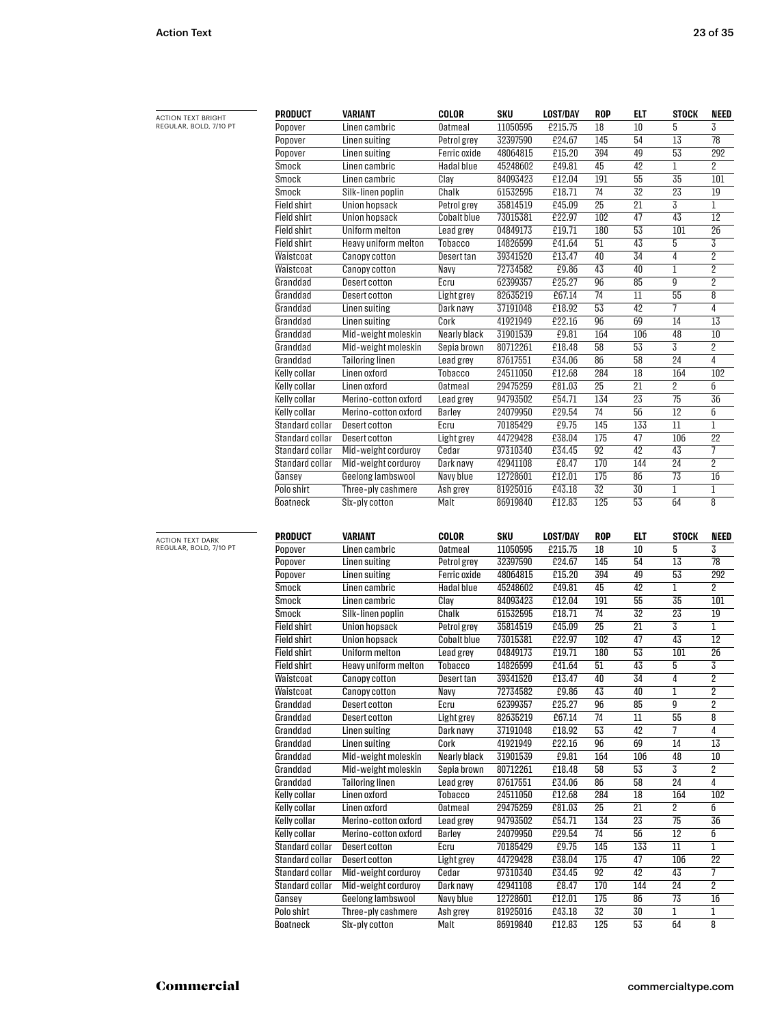| <b>ACTION TEXT BRIGHT</b>                         | <b>PRODUCT</b>                     | VARIANT                              | <b>COLOR</b>           | SKU                  | <b>LOST/DAY</b>  | ROP             | ELT             | <b>STOCK</b>       | <b>NEED</b>             |
|---------------------------------------------------|------------------------------------|--------------------------------------|------------------------|----------------------|------------------|-----------------|-----------------|--------------------|-------------------------|
| REGULAR, BOLD, 7/10 PT                            | Popover                            | Linen cambric                        | <b>Oatmeal</b>         | 11050595             | £215.75          | 18              | 10              | 5                  | 3                       |
|                                                   | Popover                            | Linen suiting                        | Petrol grey            | 32397590             | £24.67           | 145             | 54              | 13                 | 78                      |
|                                                   | Popover                            | <b>Linen suiting</b>                 | Ferric oxide           | 48064815             | £15.20           | 394             | 49              | 53                 | 292                     |
|                                                   | Smock                              | Linen cambric                        | Hadal blue             | 45248602             | £49.81           | 45              | 42              | $\mathbf 1$        | 2                       |
|                                                   | Smock                              | Linen cambric                        | Clay                   | 84093423             | £12.04           | 191             | 55              | 35                 | 101                     |
|                                                   | Smock                              | Silk-linen poplin                    | Chalk                  | 61532595             | £18.71           | 74              | 32              | 23                 | 19                      |
|                                                   | <b>Field shirt</b>                 | Union hopsack                        | Petrol grey            | 35814519             | £45.09           | $\overline{25}$ | $\overline{21}$ | 3                  | $\mathbf 1$             |
|                                                   | <b>Field shirt</b>                 | <b>Union hopsack</b>                 | <b>Cobalt blue</b>     | 73015381             | £22.97           | 102             | 47              | 43                 | 12                      |
|                                                   | <b>Field shirt</b>                 | Uniform melton                       | Lead grey              | 04849173             | £19.71           | 180             | 53              | 101                | 26                      |
|                                                   | <b>Field shirt</b>                 | Heavy uniform melton                 | Tobacco                | 14826599             | £41.64           | 51              | 43              | 5                  | 3                       |
|                                                   | Waistcoat                          | Canopy cotton                        | Desert tan             | 39341520             | £13.47           | 40              | 34              | 4                  | $\overline{2}$          |
|                                                   | Waistcoat                          | Canopy cotton                        | Navy                   | 72734582             | £9.86            | 43              | 40              | $\mathbf{1}$       | $\overline{c}$          |
|                                                   | Granddad                           | Desert cotton                        | Ecru                   | 62399357             | £25.27           | 96              | 85              | 9                  | $\overline{\mathbf{c}}$ |
|                                                   | Granddad                           | Desert cotton                        | Light grey             | 82635219             | £67.14           | 74              | 11              | 55                 | 8                       |
|                                                   | Granddad                           | <b>Linen suiting</b>                 | Dark navy              | 37191048             | £18.92           | 53              | 42              | 7                  | 4                       |
|                                                   | Granddad                           | Linen suiting                        | Cork                   | 41921949             | £22.16           | 96              | 69              | 14                 | 13                      |
|                                                   | Granddad                           | Mid-weight moleskin                  | Nearly black           | 31901539             | £9.81            | 164             | 106             | 48                 | 10                      |
|                                                   | Granddad                           | Mid-weight moleskin                  | Sepia brown            | 80712261             | £18.48           | 58              | 53              | 3                  | 2                       |
|                                                   | Granddad                           | <b>Tailoring linen</b>               | Lead grey              | 87617551             | £34.06           | 86              | 58              | $\overline{24}$    | $\overline{4}$          |
|                                                   | Kelly collar                       | Linen oxford                         | Tobacco                | 24511050             | £12.68           | 284             | 18              | 164                | 102                     |
|                                                   | Kelly collar                       | Linen oxford                         | <b>Oatmeal</b>         | 29475259             | £81.03           | 25              | 21              | $\overline{2}$     | б                       |
|                                                   | Kelly collar                       | Merino-cotton oxford                 | Lead grey              | 94793502             | £54.71           | 134             | 23              | 75                 | 36                      |
|                                                   | Kelly collar                       | Merino-cotton oxford                 | Barley                 | 24079950             | £29.54           | 74              | 56              | 12                 | б                       |
|                                                   | Standard collar                    | Desert cotton                        | Ecru                   | 70185429             | £9.75            | 145             | 133             | 11                 | 1                       |
|                                                   | Standard collar                    | Desert cotton                        | Light grey             | 44729428             | £38.04           | 175             | 47              | 106                | 22                      |
|                                                   | Standard collar                    | Mid-weight corduroy                  | Cedar                  | 97310340             | £34.45           | 92              | 42              | 43                 | 7                       |
|                                                   | Standard collar                    | Mid-weight corduroy                  | Dark navy              | 42941108             | £8.47            | 170             | 144             | 24                 | $\overline{2}$          |
|                                                   | Gansey                             | Geelong lambswool                    | Navy blue              | 12728601             | £12.01           | 175             | 86              | $\overline{73}$    | 16                      |
|                                                   | Polo shirt                         | Three-ply cashmere                   | Ash grey               | 81925016             | £43.18           | 32              | 30              | $\mathbf 1$        | 1                       |
|                                                   | Boatneck                           | Six-ply cotton                       | Malt                   | 86919840             | £12.83           | 125             | 53              | 64                 | 8                       |
|                                                   | PRODUCT                            | VARIANT                              | <b>COLOR</b>           | <b>SKU</b>           | <b>LOST/DAY</b>  | <b>ROP</b>      | ELT             | <b>STOCK</b>       | <b>NEED</b>             |
| <b>ACTION TEXT DARK</b><br>REGULAR, BOLD, 7/10 PT | Popover                            | Linen cambric                        | <b>Oatmeal</b>         | 11050595             | £215.75          | 18              | 10              | 5                  | 3                       |
|                                                   | Popover                            | <b>Linen suiting</b>                 | Petrol grey            | 32397590             | £24.67           | 145             | 54              | 13                 | 78                      |
|                                                   | Popover                            | <b>Linen suiting</b>                 | <b>Ferric oxide</b>    | 48064815             | £15.20           | 394             | 49              | 53                 | 292                     |
|                                                   |                                    |                                      |                        |                      |                  |                 |                 |                    |                         |
|                                                   |                                    |                                      |                        |                      |                  |                 |                 |                    |                         |
|                                                   | Smock                              | Linen cambric                        | <b>Hadal blue</b>      | 45248602             | £49.81           | 45              | 42              | 1                  | 2                       |
|                                                   | Smock                              | Linen cambric                        | Clay                   | 84093423             | £12.04           | 191             | 55              | 35                 | 101                     |
|                                                   | Smock                              | Silk-linen poplin                    | Chalk                  | 61532595             | £18.71           | 74              | $\overline{32}$ | $\overline{23}$    | $\overline{19}$         |
|                                                   | <b>Field shirt</b>                 | <b>Union hopsack</b>                 | Petrol grey            | 35814519             | £45.09           | $\overline{25}$ | 21              | 3                  | 1                       |
|                                                   | <b>Field shirt</b>                 | <b>Union hopsack</b>                 | <b>Cobalt blue</b>     | 73015381             | £22.97           | 102             | 47              | 43                 | 12                      |
|                                                   | <b>Field shirt</b>                 | Uniform melton                       | Lead grey              | 04849173             | £19.71           | 180             | 53              | 101                | 26                      |
|                                                   | <b>Field shirt</b>                 | Heavy uniform melton                 | <b>Tobacco</b>         | 14826599             | £41.64           | 51              | 43              | 5                  | 3                       |
|                                                   | Waistcoat                          | <b>Canopy cotton</b>                 | Desert tan             | 39341520             | £13.47           | 40              | 34              | $\overline{4}$     | $\overline{2}$          |
|                                                   | Waistcoat                          | <b>Canopy cotton</b>                 | Navy                   | 72734582             | £9.86            | 43              | 40              | 1                  | 2                       |
|                                                   | Granddad                           | Desert cotton                        | Ecru                   | 62399357             | £25.27           | 96              | 85              | $\overline{9}$     | $\overline{2}$          |
|                                                   | Granddad                           | Desert cotton                        | Light grey             | 82635219             | £67.14           | 74              | 11              | 55                 | 8                       |
|                                                   | Granddad                           | <b>Linen suiting</b>                 | Dark navy              | 37191048             | £18.92           | 53              | 42              | $\overline{7}$     | 4                       |
|                                                   | Granddad                           | <b>Linen suiting</b>                 | Cork                   | 41921949             | £22.16           | 96              | 69              | 14                 | 13                      |
|                                                   | Granddad                           | Mid-weight moleskin                  | Nearly black           | 31901539             | £9.81            | 164             | 106             | 48                 | 10                      |
|                                                   | Granddad                           | Mid-weight moleskin                  | Sepia brown            | 80712261             | £18.48           | 58              | 53              | 3                  | 2                       |
|                                                   | Granddad                           | <b>Tailoring linen</b>               | Lead grey              | 87617551             | £34.06           | 86              | 58              | 24                 | 4                       |
|                                                   | Kelly collar<br>Kelly collar       | Linen oxford                         | Tobacco                | 24511050             | £12.68           | 284             | 18              | 164<br>2           | 102<br>б                |
|                                                   |                                    | Linen oxford                         | <b>Oatmeal</b>         | 29475259             | £81.03           | 25              | 21              |                    |                         |
|                                                   | <b>Kelly collar</b>                | Merino-cotton oxford                 | Lead grey              | 94793502             | £54.71           | 134             | 23              | 75                 | 36                      |
|                                                   | Kelly collar                       | Merino-cotton oxford                 | Barley                 | 24079950             | £29.54           | 74              | 56              | 12                 | б                       |
|                                                   | Standard collar<br>Standard collar | <b>Desert cotton</b>                 | Ecru                   | 70185429<br>44729428 | £9.75            | 145<br>175      | 133             | 11                 | $\mathbf 1$             |
|                                                   |                                    | Desert cotton                        | Light grey             |                      | £38.04           |                 | 47              | 106                | 22<br>7                 |
|                                                   | Standard collar<br>Standard collar | Mid-weight corduroy                  | Cedar                  | 97310340<br>42941108 | £34.45           | 92<br>170       | 42<br>144       | 43<br>24           | $\overline{2}$          |
|                                                   |                                    | Mid-weight corduroy                  | Dark navy<br>Navy blue |                      | £8.47            |                 |                 |                    |                         |
|                                                   | Gansey                             | Geelong lambswool                    |                        | 12728601             | £12.01           | 175             | 86              | 73                 | 16                      |
|                                                   | Polo shirt<br>Boatneck             | Three-ply cashmere<br>Six-ply cotton | Ash grey<br>Malt       | 81925016<br>86919840 | £43.18<br>£12.83 | 32<br>125       | 30<br>53        | $\mathbf{1}$<br>64 | 1<br>8                  |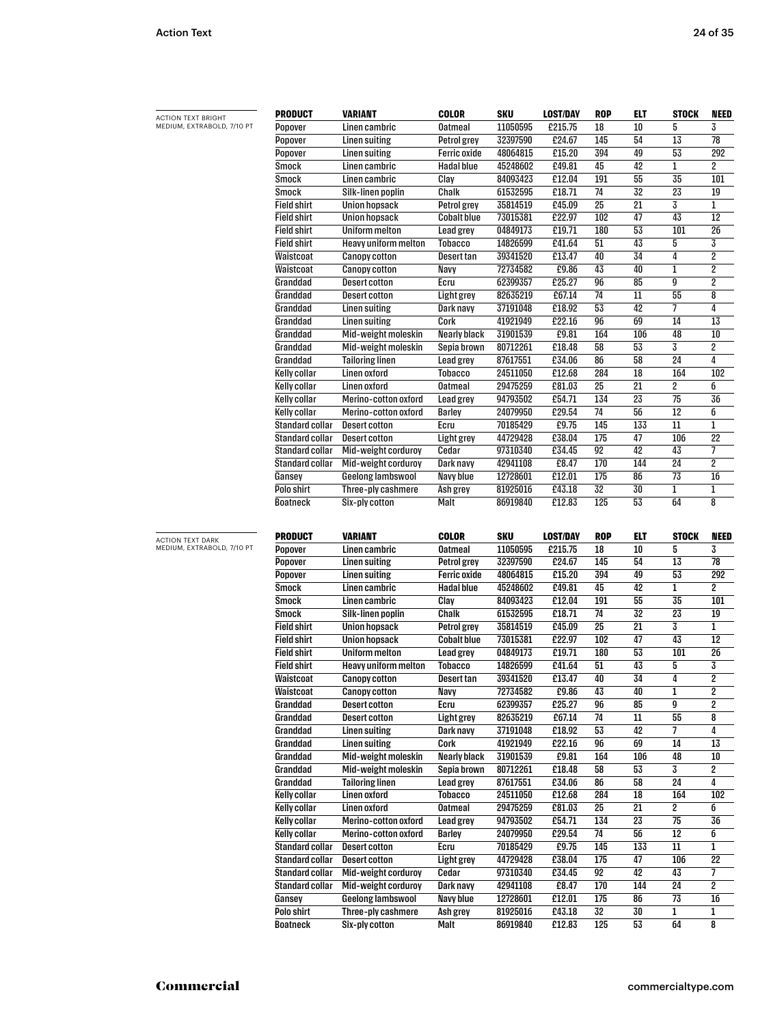| <b>ACTION TEXT BRIGHT</b>                             | PRODUCT                       | <b>VARIANT</b>                       | COLOR               | SKU                  | <b>LOST/DAY</b>  | <b>ROP</b>      | ELT        | <b>STOCK</b>    | NEED                    |
|-------------------------------------------------------|-------------------------------|--------------------------------------|---------------------|----------------------|------------------|-----------------|------------|-----------------|-------------------------|
| MEDIUM, EXTRABOLD, 7/10 PT                            | Popover                       | Linen cambric                        | <b>Oatmeal</b>      | 11050595             | £215.75          | 18              | 10         | 5               | 3                       |
|                                                       | Popover                       | <b>Linen suiting</b>                 | Petrol grey         | 32397590             | £24.67           | 145             | 54         | 13              | 78                      |
|                                                       | Popover                       | <b>Linen suiting</b>                 | Ferric oxide        | 48064815             | £15.20           | 394             | 49         | 53              | 292                     |
|                                                       | Smock                         | Linen cambric                        | <b>Hadal blue</b>   | 45248602             | £49.81           | 45              | 42         | $\mathbf{1}$    | 2                       |
|                                                       | Smock                         | Linen cambric                        | Clay                | 84093423             | £12.04           | 191             | 55         | 35              | 101                     |
|                                                       | Smock                         | Silk-linen poplin                    | Chalk               | 61532595             | £18.71           | 74              | 32         | 23              | 19                      |
|                                                       | <b>Field shirt</b>            | Union hopsack                        | Petrol grey         | 35814519             | £45.09           | $\overline{25}$ | 21         | 3               | 1                       |
|                                                       | <b>Field shirt</b>            | Union hopsack                        | <b>Cobalt blue</b>  | 73015381             | £22.97           | 102             | 47         | 43              | 12                      |
|                                                       | Field shirt                   | <b>Uniform melton</b>                | Lead grey           | 04849173             | £19.71           | 180             | 53         | 101             | 26                      |
|                                                       | Field shirt                   | Heavy uniform melton                 | Tobacco             | 14826599             | £41.64           | 51              | 43         | 5               | 3                       |
|                                                       | Waistcoat                     | <b>Canopy cotton</b>                 | Desert tan          | 39341520             | £13.47           | 40              | 34         | 4               | 2                       |
|                                                       | Waistcoat                     | <b>Canopy cotton</b>                 | Navy                | 72734582             | £9.86            | 43              | 40         | 1               | 2                       |
|                                                       | Granddad                      | <b>Desert cotton</b>                 | Ecru                | 62399357             | £25.27           | 96              | 85         | g               | 2                       |
|                                                       | Granddad                      | <b>Desert cotton</b>                 | <b>Light grey</b>   | 82635219             | £67.14           | 74              | 11         | 55              | 8                       |
|                                                       | Granddad                      | <b>Linen suiting</b>                 | Dark navy           | 37191048             | £18.92           | 53              | 42         | 7               | 4                       |
|                                                       | Granddad                      | <b>Linen suiting</b>                 | Cork                | 41921949             | £22.16           | 96              | 69         | 14              | 13                      |
|                                                       | Granddad                      | Mid-weight moleskin                  | Nearly black        | 31901539             | £9.81            | 164             | 106        | 48              | 10                      |
|                                                       | Granddad                      | Mid-weight moleskin                  | Sepia brown         | 80712261             | £18.48           | 58              | 53         | 3               | 2                       |
|                                                       | Granddad                      | <b>Tailoring linen</b>               | Lead grey           | 87617551             | £34.06           | 86              | 58         | 24              | 4                       |
|                                                       | Kelly collar                  | <b>Linen oxford</b>                  | <b>Tobacco</b>      | 24511050             | £12.68           | 284             | 18         | 164             | 102                     |
|                                                       | Kelly collar                  | Linen oxford                         | <b>Oatmeal</b>      | 29475259             | £81.03           | 25              | 21         | 2               | б                       |
|                                                       | Kelly collar                  | Merino-cotton oxford                 | <b>Lead grey</b>    | 94793502             | £54.71           | 134             | 23         | 75              | 36                      |
|                                                       | Kelly collar                  | Merino-cotton oxford                 | Barley              | 24079950             | £29.54           | 74              | 56         | 12              | б                       |
|                                                       | Standard collar               | <b>Desert cotton</b>                 | Ecru                | 70185429             | £9.75            | 145             | 133        | 11              | 1                       |
|                                                       | Standard collar               | <b>Desert cotton</b>                 | <b>Light grey</b>   | 44729428             | £38.04           | 175             | 47         | 106             | 22                      |
|                                                       | Standard collar               | Mid-weight corduroy                  | Cedar               | 97310340             | £34.45           | 92              | 42         | 43              | 7                       |
|                                                       | Standard collar               | Mid-weight corduroy                  | Dark navy           | 42941108             | £8.47            | 170             | 144        | 24              | 2                       |
|                                                       | Gansey                        | Geelong lambswool                    | Navy blue           | 12728601             | £12.01           | 175             | 86         | 73              | 16                      |
|                                                       | Polo shirt                    | Three-ply cashmere                   | Ash grey            | 81925016             | £43.18           | 32              | 30         | 1               | 1                       |
|                                                       | <b>Boatneck</b>               | Six-ply cotton                       | Malt                | 86919840             | £12.83           | 125             | 53         | 64              | 8                       |
|                                                       |                               |                                      |                     |                      |                  |                 |            |                 |                         |
|                                                       |                               |                                      |                     |                      |                  |                 |            |                 |                         |
|                                                       |                               |                                      |                     |                      |                  |                 |            |                 |                         |
|                                                       | PRODUCT                       | <b>VARIANT</b>                       | COLOR               | SKU                  | <b>LOST/DAY</b>  | <b>ROP</b>      | <b>ELT</b> | <b>STOCK</b>    | NEED                    |
|                                                       | Popover                       | Linen cambric                        | <b>Oatmeal</b>      | 11050595             | £215.75          | 18              | 10         | 5               | 3                       |
|                                                       | Popover                       | <b>Linen suiting</b>                 | Petrol grey         | 32397590             | £24.67           | 145             | 54         | 13              | 78                      |
|                                                       | Popover                       | <b>Linen suiting</b>                 | <b>Ferric oxide</b> | 48064815             | £15.20           | 394             | 49         | 53              | 292                     |
|                                                       | Smock                         | Linen cambric                        | Hadal blue          | 45248602             | £49.81           | 45              | 42         | 1               | 2                       |
|                                                       | Smock                         | Linen cambric                        | Clay                | 84093423             | £12.04           | 191             | 55         | 35              | 101                     |
|                                                       | Smock                         | Silk-linen poplin                    | Chalk               | 61532595             | £18.71           | 74              | 32         | $\overline{23}$ | 19                      |
|                                                       | <b>Field shirt</b>            | Union hopsack                        | Petrol grey         | 35814519             | £45.09           | 25              | 21         | 3               | 1                       |
|                                                       | Field shirt                   | Union hopsack                        | Cobalt blue         | 73015381             | £22.97           | 102             | 47         | 43              | 12                      |
|                                                       | Field shirt                   | <b>Uniform melton</b>                | <b>Lead grey</b>    | 04849173             | £19.71           | 180             | 53         | 101             | 26                      |
|                                                       | Field shirt                   | <b>Heavy uniform melton</b>          | Tobacco             | 14826599             | £41.64           | 51              | 43         | 5               | 3                       |
|                                                       | Waistcoat                     | <b>Canopy cotton</b>                 | <b>Desert tan</b>   | 39341520             | £13.47           | 40              | 34         | 4               | 2                       |
|                                                       | Waistcoat                     | <b>Canopy cotton</b>                 | <b>Navy</b>         | 72734582             | £9.86            | 43              | 40         | 1               | $\overline{\mathbf{2}}$ |
|                                                       | Granddad                      | <b>Desert cotton</b>                 | Ecru                | 62399357             | £25.27           | 96              | 85         | g               | 2                       |
|                                                       | Granddad                      | <b>Desert cotton</b>                 | <b>Light grey</b>   | 82635219             | £67.14           | 74              | $11\,$     | 55              | 8                       |
|                                                       | Granddad                      | <b>Linen suiting</b>                 | Dark navy           | 37191048             | £18.92           | 53              | 42         | 7               | 4                       |
|                                                       | Granddad                      | Linen suiting                        | Cork                | 41921949             | £22.16           | 96              | 69         | 14              | 13                      |
|                                                       | Granddad                      | Mid-weight moleskin                  | Nearly black        | 31901539             | £9.81            | 164             | 106        | 48              | 10                      |
|                                                       | Granddad                      | Mid-weight moleskin                  | Sepia brown         | 80712261             | £18.48           | 58              | 53         | 3               | 2                       |
|                                                       | Granddad                      | <b>Tailoring linen</b>               | Lead grey           | 87617551             | £34.06           | 86              | 58         | 24              | 4                       |
|                                                       | <b>Kelly collar</b>           | <b>Linen oxford</b>                  | <b>Tobacco</b>      | 24511050             | £12.68           | 284             | 18         | 164             | 102                     |
|                                                       | <b>Kelly collar</b>           | <b>Linen oxford</b>                  | <b>Oatmeal</b>      | 29475259             | £81.03           | 25              | 21         | $\overline{2}$  | б                       |
|                                                       | <b>Kelly collar</b>           | Merino-cotton oxford                 | <b>Lead grey</b>    | 94793502             | £54.71           | 134             | 23         | 75              | 36                      |
|                                                       | Kelly collar                  | Merino-cotton oxford                 | <b>Barley</b>       | 24079950             | £29.54           | 74              | 56         | 12              | б                       |
|                                                       | <b>Standard collar</b>        | <b>Desert cotton</b>                 | Ecru                | 70185429             | £9.75            | 145             | 133        | $11\,$          | 1                       |
|                                                       | <b>Standard collar</b>        | <b>Desert cotton</b>                 | Light grey          | 44729428             | £38.04           | 175             | 47         | 106             | 22                      |
|                                                       | <b>Standard collar</b>        | Mid-weight corduroy                  | Cedar               | 97310340             | £34.45           | 92              | 42         | 43              | 7                       |
|                                                       | <b>Standard collar</b>        | Mid-weight corduroy                  | Dark navy           | 42941108             | £8.47            | 170             | 144        | 24              | 2                       |
|                                                       | Gansey                        | Geelong lambswool                    | Navy blue           | 12728601             | £12.01           | 175             | 86         | 73              | 16                      |
| <b>ACTION TEXT DARK</b><br>MEDIUM, EXTRABOLD, 7/10 PT | Polo shirt<br><b>Boatneck</b> | Three-ply cashmere<br>Six-ply cotton | Ash grey<br>Malt    | 81925016<br>86919840 | £43.18<br>£12.83 | 32<br>125       | 30<br>53   | 1<br>64         | 1<br>8                  |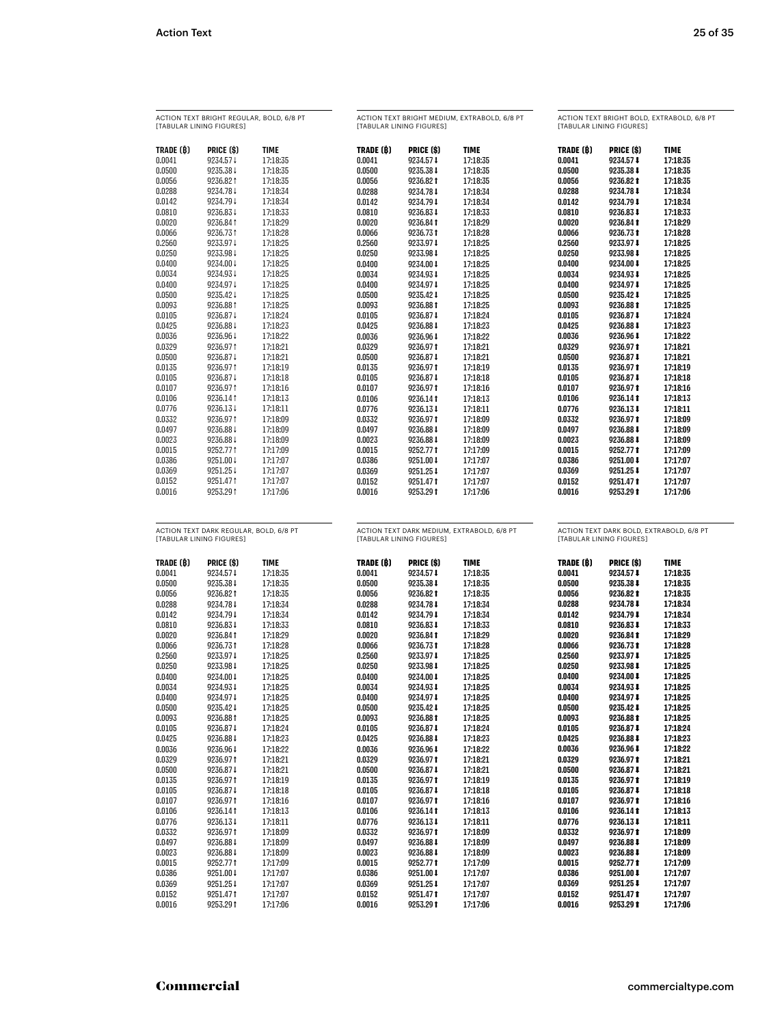| ACTION TEXT BRIGHT REGULAR, BOLD, 6/8 PT<br>[TABULAR LINING FIGURES] |                                        |             | ACTION TEXT BRIGHT MEDIUM, EXTRABOLD, 6/8 PT<br>[TABULAR LINING FIGURES] |            |                                            | ACTION TEXT BRIGHT BOLD, EXTRABOLD, 6/8 PT<br>[TABULAR LINING FIGURES] |            |                                          |
|----------------------------------------------------------------------|----------------------------------------|-------------|--------------------------------------------------------------------------|------------|--------------------------------------------|------------------------------------------------------------------------|------------|------------------------------------------|
| TRADE (B)                                                            | PRICE (\$)                             | <b>TIME</b> | TRADE (B)                                                                | PRICE (\$) | <b>TIME</b>                                | TRADE (B)                                                              | PRICE (\$) | <b>TIME</b>                              |
| 0.0041                                                               | 9234.57↓                               | 17:18:35    | 0.0041                                                                   | 9234.57 ↓  | 17:18:35                                   | 0.0041                                                                 | 9234.57 ↓  | 17:18:35                                 |
| 0.0500                                                               | 9235.38 ↓                              | 17:18:35    | 0.0500                                                                   | 9235.38 1  | 17:18:35                                   | 0.0500                                                                 | 9235.38    | 17:18:35                                 |
| 0.0056                                                               | 9236.821                               | 17:18:35    | 0.0056                                                                   | 9236.82 1  | 17:18:35                                   | 0.0056                                                                 | 9236.821   | 17:18:35                                 |
| 0.0288                                                               | 9234.78↓                               | 17:18:34    | 0.0288                                                                   | 9234.78 1  | 17:18:34                                   | 0.0288                                                                 | 9234.78    | 17:18:34                                 |
| 0.0142                                                               | 9234.79↓                               | 17:18:34    | 0.0142                                                                   | 9234.79 ↓  | 17:18:34                                   | 0.0142                                                                 | 9234.79 ↓  | 17:18:34                                 |
| 0.0810                                                               | 9236.83↓                               | 17:18:33    | 0.0810                                                                   | 9236.83 ↓  | 17:18:33                                   | 0.0810                                                                 | 9236.83    | 17:18:33                                 |
| 0.0020                                                               | 9236.841                               | 17:18:29    | 0.0020                                                                   | 9236.841   | 17:18:29                                   | 0.0020                                                                 | 9236.84 1  | 17:18:29                                 |
| 0.0066                                                               | 9236.731                               | 17:18:28    | 0.0066                                                                   | 9236.731   | 17:18:28                                   | 0.0066                                                                 | 9236.731   | 17:18:28                                 |
| 0.2560                                                               | 9233.97↓                               | 17:18:25    | 0.2560                                                                   | 9233.97 ↓  | 17:18:25                                   | 0.2560                                                                 | 9233.97 ↓  | 17:18:25                                 |
| 0.0250                                                               | 9233.98↓                               | 17:18:25    | 0.0250                                                                   | 9233.98 ↓  | 17:18:25                                   | 0.0250                                                                 | 9233.98    | 17:18:25                                 |
| 0.0400                                                               | 9234.00 ↓                              | 17:18:25    | 0.0400                                                                   | 9234.00 ↓  | 17:18:25                                   | 0.0400                                                                 | 9234.00    | 17:18:25                                 |
| 0.0034                                                               | 9234.93↓                               | 17:18:25    | 0.0034                                                                   | 9234.93 ↓  | 17:18:25                                   | 0.0034                                                                 | 9234.93 ↓  | 17:18:25                                 |
| 0.0400                                                               | 9234.97↓                               | 17:18:25    | 0.0400                                                                   | 9234.97 ↓  | 17:18:25                                   | 0.0400                                                                 | 9234.97 ↓  | 17:18:25                                 |
| 0.0500                                                               | 9235.42↓                               | 17:18:25    | 0.0500                                                                   | 9235.42 ↓  | 17:18:25                                   | 0.0500                                                                 | 9235.42 ↓  | 17:18:25                                 |
| 0.0093                                                               | 9236.88 1                              | 17:18:25    | 0.0093                                                                   | 9236.88 1  | 17:18:25                                   | 0.0093                                                                 | 9236.88 1  | 17:18:25                                 |
| 0.0105                                                               | 9236.87 ↓                              | 17:18:24    | 0.0105                                                                   | 9236.87 ↓  | 17:18:24                                   | 0.0105                                                                 | 9236.87    | 17:18:24                                 |
| 0.0425                                                               | 9236.88 ↓                              | 17:18:23    | 0.0425                                                                   | 9236.88 ↓  | 17:18:23                                   | 0.0425                                                                 | 9236.88    | 17:18:23                                 |
| 0.0036                                                               | 9236.96↓                               | 17:18:22    | 0.0036                                                                   | 9236.96 1  | 17:18:22                                   | 0.0036                                                                 | 9236.96    | 17:18:22                                 |
| 0.0329                                                               | 9236.971                               | 17:18:21    | 0.0329                                                                   | 9236.97 1  | 17:18:21                                   | 0.0329                                                                 | 9236.971   | 17:18:21                                 |
| 0.0500                                                               | 9236.87 ↓                              | 17:18:21    | 0.0500                                                                   | 9236.87 ↓  | 17:18:21                                   | 0.0500                                                                 | 9236.87    | 17:18:21                                 |
| 0.0135                                                               | 9236.971                               | 17:18:19    | 0.0135                                                                   | 9236.971   | 17:18:19                                   | 0.0135                                                                 | 9236.971   | 17:18:19                                 |
| 0.0105                                                               | 9236.87↓                               | 17:18:18    | 0.0105                                                                   | 9236.87 ↓  | 17:18:18                                   | 0.0105                                                                 | 9236.87    | 17:18:18                                 |
| 0.0107                                                               | 9236.971                               | 17:18:16    | 0.0107                                                                   | 9236.97 1  | 17:18:16                                   | 0.0107                                                                 | 9236.971   | 17:18:16                                 |
| 0.0106                                                               | 9236.141                               | 17:18:13    | 0.0106                                                                   | 9236.141   | 17:18:13                                   | 0.0106                                                                 | 9236.14 1  | 17:18:13                                 |
| 0.0776                                                               | 9236.13↓                               | 17:18:11    | 0.0776                                                                   | 9236.13 4  | 17:18:11                                   | 0.0776                                                                 | 9236.13    | 17:18:11                                 |
| 0.0332                                                               | 9236.971                               | 17:18:09    | 0.0332                                                                   | 9236.971   | 17:18:09                                   | 0.0332                                                                 | 9236.97 1  | 17:18:09                                 |
| 0.0497                                                               | 9236.88 ↓                              | 17:18:09    | 0.0497                                                                   | 9236.88 ↓  | 17:18:09                                   | 0.0497                                                                 | 9236.88    | 17:18:09                                 |
| 0.0023                                                               | 9236.88 ↓                              | 17:18:09    | 0.0023                                                                   | 9236.88 ↓  | 17:18:09                                   | 0.0023                                                                 | 9236.88    | 17:18:09                                 |
| 0.0015                                                               | 9252.771                               | 17:17:09    | 0.0015                                                                   | 9252.771   | 17:17:09                                   | 0.0015                                                                 | 9252.771   | 17:17:09                                 |
| 0.0386                                                               | 9251.00 ↓                              | 17:17:07    | 0.0386                                                                   | 9251.00 1  | 17:17:07                                   | 0.0386                                                                 | 9251.00    | 17:17:07                                 |
| 0.0369                                                               | 9251.25↓                               | 17:17:07    | 0.0369                                                                   | 9251.25 ↓  | 17:17:07                                   | 0.0369                                                                 | 9251.25 ↓  | 17:17:07                                 |
| 0.0152                                                               | 9251.471                               | 17:17:07    | 0.0152                                                                   | 9251.471   | 17:17:07                                   | 0.0152                                                                 | 9251.471   | 17:17:07                                 |
| 0.0016                                                               | 9253.291                               | 17:17:06    | 0.0016                                                                   | 9253.291   | 17:17:06                                   | 0.0016                                                                 | 9253.29 1  | 17:17:06                                 |
|                                                                      | ACTION TEXT DARK REGULAR, BOLD, 6/8 PT |             |                                                                          |            | ACTION TEXT DARK MEDIUM, EXTRABOLD, 6/8 PT |                                                                        |            | ACTION TEXT DARK BOLD, EXTRABOLD, 6/8 PT |

| ACTION TEXT DARK REGULAR, BOLD, 6/8 PT |  |
|----------------------------------------|--|
| <b><i>ITABULAR LINING FIGURESI</i></b> |  |

| TRADE (B) | PRICE (\$) | TIME     |
|-----------|------------|----------|
| 0.0041    | 9234.57 1  | 17:18:35 |
| 0.0500    | 9235.38 1  | 17:18:35 |
| 0.0056    | 9236.821   | 17:18:35 |
| 0.0288    | 9234.78 1  | 17:18:34 |
| 0.0142    | 9234.79 1  | 17:18:34 |
| 0.0810    | 9236.831   | 17:18:33 |
| 0.0020    | 9236.841   | 17:18:29 |
| 0.0066    | 9236.731   | 17:18:28 |
| 0.2560    | 9233.971   | 17:18:25 |
| 0.0250    | 9233.981   | 17:18:25 |
| 0.0400    | 9234.00 1  | 17:18:25 |
| 0.0034    | 9234.931   | 17:18:25 |
| 0.0400    | 9234.971   | 17:18:25 |
| 0.0500    | 9235.42 1  | 17:18:25 |
| 0.0093    | 9236.881   | 17:18:25 |
| 0.0105    | 9236.871   | 17:18:24 |
| 0.0425    | 9236.881   | 17:18:23 |
| 0.0036    | 9236.96 1  | 17:18:22 |
| 0.0329    | 9236.971   | 17:18:21 |
| 0.0500    | 9236.871   | 17:18:21 |
| 0.0135    | 9236.971   | 17:18:19 |
| 0.0105    | 9236.871   | 17:18:18 |
| 0.0107    | 9236.971   | 17:18:16 |
| 0.0106    | 9236.141   | 17:18:13 |
| 0.0776    | 9236.13 1  | 17:18:11 |
| 0.0332    | 9236.971   | 17:18:09 |
| 0.0497    | 9236.881   | 17:18:09 |
| 0.0023    | 9236.881   | 17:18:09 |
| 0.0015    | 9252.771   | 17:17:09 |
| 0.0386    | 9251.00 ↓  | 17:17:07 |
| 0.0369    | 9251.25 1  | 17:17:07 |
| 0.0152    | 9251.471   | 17:17:07 |
| 0.0016    | 9253.291   | 17:17:06 |

ACTION TEXT DARK MEDIUM, EXTRABOLD, 6/8 PT [TABULAR LINING FIGURES]

## ACTION TEXT DARK BOLD, EXTRABOLD, 6/8 PT [TABULAR LINING FIGURES]

| TRADE (B) | PRICE (\$) | <b>TIME</b> | TRADE (B) | PRICE (\$) | <b>TIME</b> |
|-----------|------------|-------------|-----------|------------|-------------|
| 0.0041    | 9234.57 1  | 17:18:35    | 0.0041    | 9234.57 1  | 17:18:35    |
| 0.0500    | 9235.38 1  | 17:18:35    | 0.0500    | 9235.38 1  | 17:18:35    |
| 0.0056    | 9236.82 1  | 17:18:35    | 0.0056    | 9236.82 1  | 17:18:35    |
| 0.0288    | 9234.78 1  | 17:18:34    | 0.0288    | 9234.78    | 17:18:34    |
| 0.0142    | 9234.79 1  | 17:18:34    | 0.0142    | 9234.79 ↓  | 17:18:34    |
| 0.0810    | 9236.83 1  | 17:18:33    | 0.0810    | 9236.83    | 17:18:33    |
| 0.0020    | 9236.84 1  | 17:18:29    | 0.0020    | 9236.84 1  | 17:18:29    |
| 0.0066    | 9236.731   | 17:18:28    | 0.0066    | 9236.73 1  | 17:18:28    |
| 0.2560    | 9233.97 ↓  | 17:18:25    | 0.2560    | 9233.97 ₺  | 17:18:25    |
| 0.0250    | 9233.98 1  | 17:18:25    | 0.0250    | 9233.98    | 17:18:25    |
| 0.0400    | 9234.00 ↓  | 17:18:25    | 0.0400    | 9234.00 ₺  | 17:18:25    |
| 0.0034    | 9234.93 ↓  | 17:18:25    | 0.0034    | 9234.93 ↓  | 17:18:25    |
| 0.0400    | 9234.97 1  | 17:18:25    | 0.0400    | 9234.97    | 17:18:25    |
| 0.0500    | 9235.42    | 17:18:25    | 0.0500    | 9235.42    | 17:18:25    |
| 0.0093    | 9236.881   | 17:18:25    | 0.0093    | 9236.88 1  | 17:18:25    |
| 0.0105    | 9236.87 1  | 17:18:24    | 0.0105    | 9236.87    | 17:18:24    |
| 0.0425    | 9236.88 1  | 17:18:23    | 0.0425    | 9236.88    | 17:18:23    |
| 0.0036    | 9236.96 1  | 17:18:22    | 0.0036    | 9236.96 1  | 17:18:22    |
| 0.0329    | 9236.971   | 17:18:21    | 0.0329    | 9236.971   | 17:18:21    |
| 0.0500    | 9236.87 1  | 17:18:21    | 0.0500    | 9236.87 1  | 17:18:21    |
| 0.0135    | 9236.971   | 17:18:19    | 0.0135    | 9236.97 1  | 17:18:19    |
| 0.0105    | 9236.87 1  | 17:18:18    | 0.0105    | 9236.87    | 17:18:18    |
| 0.0107    | 9236.971   | 17:18:16    | 0.0107    | 9236.97 1  | 17:18:16    |
| 0.0106    | 9236.14 1  | 17:18:13    | 0.0106    | 9236.14 1  | 17:18:13    |
| 0.0776    | 9236.131   | 17:18:11    | 0.0776    | 9236.13    | 17:18:11    |
| 0.0332    | 9236.971   | 17:18:09    | 0.0332    | 9236.97 1  | 17:18:09    |
| 0.0497    | 9236.88 1  | 17:18:09    | 0.0497    | 9236.88    | 17:18:09    |
| 0.0023    | 9236.88 1  | 17:18:09    | 0.0023    | 9236.88    | 17:18:09    |
| 0.0015    | 9252.771   | 17:17:09    | 0.0015    | 9252.77 1  | 17:17:09    |
| 0.0386    | 9251.00 \$ | 17:17:07    | 0.0386    | 9251.00 ₺  | 17:17:07    |
| 0.0369    | 9251.25 1  | 17:17:07    | 0.0369    | 9251.25    | 17:17:07    |
| 0.0152    | 9251.471   | 17:17:07    | 0.0152    | 9251.47 1  | 17:17:07    |
| 0.0016    | 9253.29 1  | 17:17:06    | 0.0016    | 9253.29 1  | 17:17:06    |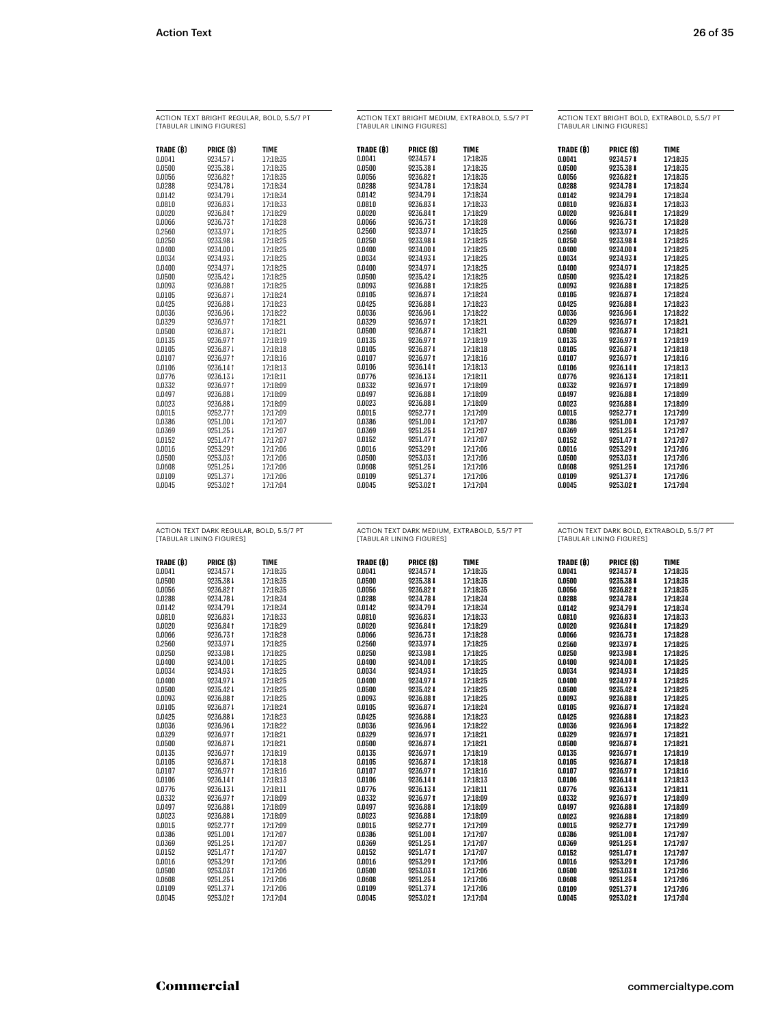| ACTION TEXT BRIGHT REGULAR, BOLD, 5.5/7 PT<br><b><i>ITABULAR LINING FIGUREST</i></b> |            |             | ACTION TEXT BRIGHT MEDIUM, EXTRABOLD, 5,5/7 PT<br><b><i>ITABULAR LINING FIGUREST</i></b> |            |             | ACTION TEXT BRIGHT BOLD, EXTRABOLD, 5,5/7 PT<br><b><i>ITABULAR LINING FIGUREST</i></b> |            |             |
|--------------------------------------------------------------------------------------|------------|-------------|------------------------------------------------------------------------------------------|------------|-------------|----------------------------------------------------------------------------------------|------------|-------------|
| TRADE (B)                                                                            | PRICE (\$) | <b>TIME</b> | TRADE (B)                                                                                | PRICE (\$) | <b>TIME</b> | TRADE (B)                                                                              | PRICE (\$) | <b>TIME</b> |
| 0.0041                                                                               | 9234.57↓   | 17:18:35    | 0.0041                                                                                   | 9234.57 ↓  | 17:18:35    | 0.0041                                                                                 | 9234.57 ↓  | 17:18:35    |
| 0.0500                                                                               | 9235.38 ↓  | 17:18:35    | 0.0500                                                                                   | 9235.38 ↓  | 17:18:35    | 0.0500                                                                                 | 9235.38↓   | 17:18:35    |
| 0.0056                                                                               | 9236.821   | 17:18:35    | 0.0056                                                                                   | 9236.82 t  | 17:18:35    | 0.0056                                                                                 | 9236.82 1  | 17:18:35    |
| 0.0288                                                                               | 9234.78 ↓  | 17:18:34    | 0.0288                                                                                   | 9234.78 ↓  | 17:18:34    | 0.0288                                                                                 | 9234.78    | 17:18:34    |
| 0.0142                                                                               | 9234.79↓   | 17:18:34    | 0.0142                                                                                   | 9234.79 ↓  | 17:18:34    | 0.0142                                                                                 | 9234.79 ↓  | 17:18:34    |
| 0.0810                                                                               | 9236.83↓   | 17:18:33    | 0.0810                                                                                   | 9236.83 ↓  | 17:18:33    | 0.0810                                                                                 | 9236.83 ↓  | 17:18:33    |
| 0.0020                                                                               | 9236.841   | 17:18:29    | 0.0020                                                                                   | 9236.841   | 17:18:29    | 0.0020                                                                                 | 9236.84 1  | 17:18:29    |
| 0.0066                                                                               | 9236.731   | 17:18:28    | 0.0066                                                                                   | 9236.731   | 17:18:28    | 0.0066                                                                                 | 9236.731   | 17:18:28    |
| 0.2560                                                                               | 9233.97↓   | 17:18:25    | 0.2560                                                                                   | 9233.97 ↓  | 17:18:25    | 0.2560                                                                                 | 9233.97 ₺  | 17:18:25    |
| 0.0250                                                                               | 9233.98↓   | 17:18:25    | 0.0250                                                                                   | 9233.98 ↓  | 17:18:25    | 0.0250                                                                                 | 9233.98 ₺  | 17:18:25    |
| 0.0400                                                                               | 9234.00 ↓  | 17:18:25    | 0.0400                                                                                   | 9234.00 ↓  | 17:18:25    | 0.0400                                                                                 | 9234.00 ₺  | 17:18:25    |
| 0.0034                                                                               | 9234.93↓   | 17:18:25    | 0.0034                                                                                   | 9234.93 ↓  | 17:18:25    | 0.0034                                                                                 | 9234.93 ↓  | 17:18:25    |
| 0.0400                                                                               | 9234.97↓   | 17:18:25    | 0.0400                                                                                   | 9234.97 ↓  | 17:18:25    | 0.0400                                                                                 | 9234.97 ↓  | 17:18:25    |
| 0.0500                                                                               | 9235.42↓   | 17:18:25    | 0.0500                                                                                   | 9235.42 ↓  | 17:18:25    | 0.0500                                                                                 | 9235.42 ↓  | 17:18:25    |
| 0.0093                                                                               | 9236.881   | 17:18:25    | 0.0093                                                                                   | 9236.881   | 17:18:25    | 0.0093                                                                                 | 9236.88 1  | 17:18:25    |
| 0.0105                                                                               | 9236.87↓   | 17:18:24    | 0.0105                                                                                   | 9236.871   | 17:18:24    | 0.0105                                                                                 | 9236.87    | 17:18:24    |
| 0.0425                                                                               | 9236.88 ↓  | 17:18:23    | 0.0425                                                                                   | 9236.88 ↓  | 17:18:23    | 0.0425                                                                                 | 9236.88 ↓  | 17:18:23    |
| 0.0036                                                                               | 9236.96↓   | 17:18:22    | 0.0036                                                                                   | 9236.96 ↓  | 17:18:22    | 0.0036                                                                                 | 9236.96 ↓  | 17:18:22    |
| 0.0329                                                                               | 9236.971   | 17:18:21    | 0.0329                                                                                   | 9236.971   | 17:18:21    | 0.0329                                                                                 | 9236.971   | 17:18:21    |
| 0.0500                                                                               | 9236.87 1  | 17:18:21    | 0.0500                                                                                   | 9236.87 ↓  | 17:18:21    | 0.0500                                                                                 | 9236.87    | 17:18:21    |
| 0.0135                                                                               | 9236.971   | 17:18:19    | 0.0135                                                                                   | 9236.971   | 17:18:19    | 0.0135                                                                                 | 9236.97 1  | 17:18:19    |
| 0.0105                                                                               | 9236.87↓   | 17:18:18    | 0.0105                                                                                   | 9236.87 ↓  | 17:18:18    | 0.0105                                                                                 | 9236.87    | 17:18:18    |
| 0.0107                                                                               | 9236.971   | 17:18:16    | 0.0107                                                                                   | 9236.971   | 17:18:16    | 0.0107                                                                                 | 9236.97 1  | 17:18:16    |
| 0.0106                                                                               | 9236.141   | 17:18:13    | 0.0106                                                                                   | 9236.141   | 17:18:13    | 0.0106                                                                                 | 9236.14 1  | 17:18:13    |
| 0.0776                                                                               | 9236.13↓   | 17:18:11    | 0.0776                                                                                   | 9236.13 ↓  | 17:18:11    | 0.0776                                                                                 | 9236.13↓   | 17:18:11    |
| 0.0332                                                                               | 9236.971   | 17:18:09    | 0.0332                                                                                   | 9236.97 1  | 17:18:09    | 0.0332                                                                                 | 9236.97 1  | 17:18:09    |
| 0.0497                                                                               | 9236.88 ↓  | 17:18:09    | 0.0497                                                                                   | 9236.88 ↓  | 17:18:09    | 0.0497                                                                                 | 9236.88    | 17:18:09    |
| 0.0023                                                                               | 9236.88 ↓  | 17:18:09    | 0.0023                                                                                   | 9236.88 ↓  | 17:18:09    | 0.0023                                                                                 | 9236.88 ↓  | 17:18:09    |
| 0.0015                                                                               | 9252.771   | 17:17:09    | 0.0015                                                                                   | 9252.771   | 17:17:09    | 0.0015                                                                                 | 9252.771   | 17:17:09    |
| 0.0386                                                                               | 9251.00 ↓  | 17:17:07    | 0.0386                                                                                   | 9251.00 ↓  | 17:17:07    | 0.0386                                                                                 | 9251.00 ↓  | 17:17:07    |
| 0.0369                                                                               | 9251.25↓   | 17:17:07    | 0.0369                                                                                   | 9251.25 ↓  | 17:17:07    | 0.0369                                                                                 | 9251.25 ↓  | 17:17:07    |
| 0.0152                                                                               | 9251.471   | 17:17:07    | 0.0152                                                                                   | 9251.471   | 17:17:07    | 0.0152                                                                                 | 9251.471   | 17:17:07    |
| 0.0016                                                                               | 9253.291   | 17:17:06    | 0.0016                                                                                   | 9253.291   | 17:17:06    | 0.0016                                                                                 | 9253.29 1  | 17:17:06    |
| 0.0500                                                                               | 9253.031   | 17:17:06    | 0.0500                                                                                   | 9253.03 t  | 17:17:06    | 0.0500                                                                                 | 9253.03 1  | 17:17:06    |
| 0.0608                                                                               | 9251.25↓   | 17:17:06    | 0.0608                                                                                   | 9251.25↓   | 17:17:06    | 0.0608                                                                                 | 9251.25 ↓  | 17:17:06    |
| 0.0109                                                                               | 9251.37↓   | 17:17:06    | 0.0109                                                                                   | 9251.37 ↓  | 17:17:06    | 0.0109                                                                                 | 9251.37↓   | 17:17:06    |
| 0.0045                                                                               | 9253.02 1  | 17:17:04    | 0.0045                                                                                   | 9253.021   | 17:17:04    | 0.0045                                                                                 | 9253.02 1  | 17:17:04    |
|                                                                                      |            |             |                                                                                          |            |             |                                                                                        |            |             |

ACTION TEXT DARK REGULAR, BOLD, 5.5/7 PT [TABULAR LINING FIGURES]

| TRADE (B) | PRICE (\$) | TIME     |
|-----------|------------|----------|
| 0.0041    | 9234.57 1  | 17:18:35 |
| 0.0500    | 9235.38 1  | 17:18:35 |
| 0.0056    | 9236.821   | 17:18:35 |
| 0.0288    | 9234.781   | 17:18:34 |
| 0.0142    | 9234.791   | 17:18:34 |
| 0.0810    | 9236.831   | 17:18:33 |
| 0.0020    | 9236.841   | 17:18:29 |
| 0.0066    | 9236.731   | 17:18:28 |
| 0.2560    | 9233.971   | 17:18:25 |
| 0.0250    | 9233.981   | 17:18:25 |
| 0.0400    | 9234.00 1  | 17:18:25 |
| 0.0034    | 9234.931   | 17:18:25 |
| 0.0400    | 9234.97 ↓  | 17:18:25 |
| 0.0500    | 9235.42 1  | 17:18:25 |
| 0.0093    | 9236.881   | 17:18:25 |
| 0.0105    | 9236.871   | 17:18:24 |
| 0.0425    | 9236.881   | 17:18:23 |
| 0.0036    | 9236.961   | 17:18:22 |
| 0.0329    | 9236.971   | 17:18:21 |
| 0.0500    | 9236.871   | 17:18:21 |
| 0.0135    | 9236.971   | 17:18:19 |
| 0.0105    | 9236.871   | 17:18:18 |
| 0.0107    | 9236.971   | 17:18:16 |
| 0.0106    | 9236.141   | 17:18:13 |
| 0.0776    | 9236.131   | 17:18:11 |
| 0.0332    | 9236.971   | 17:18:09 |
| 0.0497    | 9236.881   | 17:18:09 |
| 0.0023    | 9236.881   | 17:18:09 |
| 0.0015    | 9252.771   | 17:17:09 |
| 0.0386    | 9251.00 ↓  | 17:17:07 |
| 0.0369    | 9251.251   | 17:17:07 |
| 0.0152    | 9251.471   | 17:17:07 |
| 0.0016    | 9253.291   | 17:17:06 |
| 0.0500    | 9253.031   | 17:17:06 |
| 0.0608    | 9251.251   | 17:17:06 |
| 0.0109    | 9251.371   | 17:17:06 |
| 0.0045    | 9253.021   | 17:17:04 |

ACTION TEXT DARK MEDIUM, EXTRABOLD, 5.5/7 PT [TABULAR LINING FIGURES]

ACTION TEXT DARK BOLD, EXTRABOLD, 5.5/7 PT [TABULAR LINING FIGURES]

| TRADE (B) | PRICE (\$) | <b>TIME</b> | TRADE (B) | PRICE (\$) | <b>TIME</b> |
|-----------|------------|-------------|-----------|------------|-------------|
| 0.0041    | 9234.57 1  | 17:18:35    | 0.0041    | 9234.57 1  | 17:18:35    |
| 0.0500    | 9235.38 ↓  | 17:18:35    | 0.0500    | 9235.38 ₽  | 17:18:35    |
| 0.0056    | 9236.821   | 17:18:35    | 0.0056    | 9236.82 1  | 17:18:35    |
| 0.0288    | 9234.78 ↓  | 17:18:34    | 0.0288    | 9234.78 ↓  | 17:18:34    |
| 0.0142    | 9234.79 1  | 17:18:34    | 0.0142    | 9234.79 1  | 17:18:34    |
| 0.0810    | 9236.83 ↓  | 17:18:33    | 0.0810    | 9236.83    | 17:18:33    |
| 0.0020    | 9236.841   | 17:18:29    | 0.0020    | 9236.84 1  | 17:18:29    |
| 0.0066    | 9236.731   | 17:18:28    | 0.0066    | 9236.73 1  | 17:18:28    |
| 0.2560    | 9233.97 ↓  | 17:18:25    | 0.2560    | 9233.97 ↓  | 17:18:25    |
| 0.0250    | 9233.98 1  | 17:18:25    | 0.0250    | 9233.98 1  | 17:18:25    |
| 0.0400    | 9234.00 1  | 17:18:25    | 0.0400    | 9234.00 1  | 17:18:25    |
| 0.0034    | 9234.93 1  | 17:18:25    | 0.0034    | 9234.93 1  | 17:18:25    |
| 0.0400    | 9234.97 ↓  | 17:18:25    | 0.0400    | 9234.97 ↓  | 17:18:25    |
| 0.0500    | 9235.42 ↓  | 17:18:25    | 0.0500    | 9235.42 ↓  | 17:18:25    |
| 0.0093    | 9236.881   | 17:18:25    | 0.0093    | 9236.88 1  | 17:18:25    |
| 0.0105    | 9236.87 1  | 17:18:24    | 0.0105    | 9236.87    | 17:18:24    |
| 0.0425    | 9236.88 ↓  | 17:18:23    | 0.0425    | 9236.88    | 17:18:23    |
| 0.0036    | 9236.96 ↓  | 17:18:22    | 0.0036    | 9236.96 ↓  | 17:18:22    |
| 0.0329    | 9236.971   | 17:18:21    | 0.0329    | 9236.97 1  | 17:18:21    |
| 0.0500    | 9236.87 1  | 17:18:21    | 0.0500    | 9236.87    | 17:18:21    |
| 0.0135    | 9236.971   | 17:18:19    | 0.0135    | 9236.97 1  | 17:18:19    |
| 0.0105    | 9236.87 1  | 17:18:18    | 0.0105    | 9236.87 ↓  | 17:18:18    |
| 0.0107    | 9236.971   | 17:18:16    | 0.0107    | 9236.97 1  | 17:18:16    |
| 0.0106    | 9236.141   | 17:18:13    | 0.0106    | 9236.14 1  | 17:18:13    |
| 0.0776    | 9236.13 ↓  | 17:18:11    | 0.0776    | 9236.13↓   | 17:18:11    |
| 0.0332    | 9236.971   | 17:18:09    | 0.0332    | 9236.97 1  | 17:18:09    |
| 0.0497    | 9236.88 ↓  | 17:18:09    | 0.0497    | 9236.88 1  | 17:18:09    |
| 0.0023    | 9236.88 ↓  | 17:18:09    | 0.0023    | 9236.88    | 17:18:09    |
| 0.0015    | 9252.771   | 17:17:09    | 0.0015    | 9252.77 1  | 17:17:09    |
| 0.0386    | 9251.00 ↓  | 17:17:07    | 0.0386    | 9251.00    | 17:17:07    |
| 0.0369    | 9251.25 ↓  | 17:17:07    | 0.0369    | 9251.25    | 17:17:07    |
| 0.0152    | 9251.471   | 17:17:07    | 0.0152    | 9251.47 1  | 17:17:07    |
| 0.0016    | 9253.291   | 17:17:06    | 0.0016    | 9253.29 1  | 17:17:06    |
| 0.0500    | 9253.031   | 17:17:06    | 0.0500    | 9253.03 1  | 17:17:06    |
| 0.0608    | 9251.25 ↓  | 17:17:06    | 0.0608    | 9251.25    | 17:17:06    |
| 0.0109    | 9251.37 ↓  | 17:17:06    | 0.0109    | 9251.37    | 17:17:06    |
| 0.0045    | 9253.02 1  | 17:17:04    | 0.0045    | 9253.02 1  | 17:17:04    |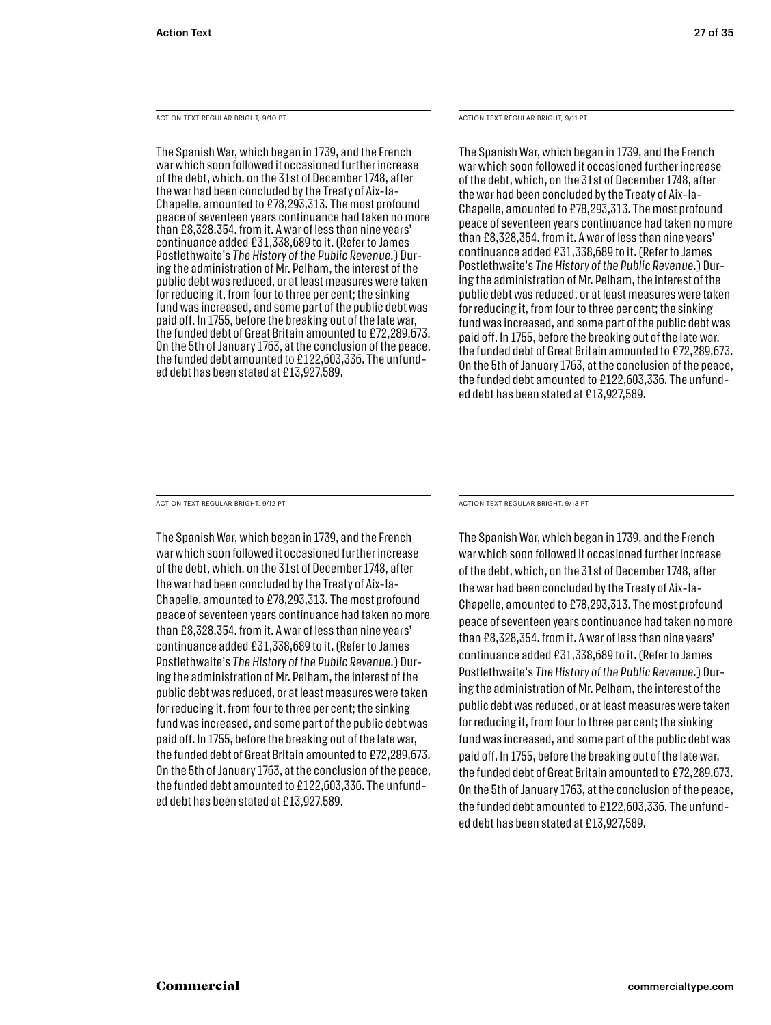ACTION TEXT REGULAR BRIGHT, 9/10 PT

The Spanish War, which began in 1739, and the French war which soon followed it occasioned further increase of the debt, which, on the 31st of December 1748, after the war had been concluded by the Treaty of Aix-la-Chapelle, amounted to £78,293,313. The most profound peace of seventeen years continuance had taken no more than £8,328,354. from it. A war of less than nine years' continuance added £31,338,689 to it. (Refer to James Postlethwaite's The History of the Public Revenue.) During the administration of Mr. Pelham, the interest of the public debt was reduced, or at least measures were taken for reducing it, from four to three per cent; the sinking fund was increased, and some part of the public debt was paid off. In 1755, before the breaking out of the late war, the funded debt of Great Britain amounted to £72,289,673. On the 5th of January 1763, at the conclusion of the peace, the funded debt amounted to £122,603,336. The unfunded debt has been stated at £13,927,589.

ACTION TEXT REGULAR BRIGHT, 9/11 PT

The Spanish War, which began in 1739, and the French war which soon followed it occasioned further increase of the debt, which, on the 31st of December 1748, after the war had been concluded by the Treaty of Aix-la-Chapelle, amounted to £78,293,313. The most profound peace of seventeen years continuance had taken no more than £8,328,354. from it. A war of less than nine years' continuance added £31,338,689 to it. (Refer to James Postlethwaite's *The Histor y of the Public Revenue.*) During the administration of Mr. Pelham, the interest of the public debt was reduced, or at least measures were taken for reducing it, from four to three per cent; the sinking fund was increased, and some part of the public debt was paid off. In 1755, before the breaking out of the late war, the funded debt of Great Britain amounted to £72,289,673. On the 5th of January 1763, at the conclusion of the peace, the funded debt amounted to £122,603,336. The unfunded debt has been stated at £13,927,589.

ACTION TEXT REGULAR BRIGHT, 9/12 PT

The Spanish War, which began in 1739, and the French war which soon followed it occasioned further increase of the debt, which, on the 31st of December 1748, after the war had been concluded by the Treaty of Aix-la-Chapelle, amounted to £78,293,313. The most profound peace of seventeen years continuance had taken no more than £8,328,354. from it. A war of less than nine years' continuance added £31,338,689 to it. (Refer to James Postlethwaite's The History of the Public Revenue.) During the administration of Mr. Pelham, the interest of the public debt was reduced, or at least measures were taken for reducing it, from four to three per cent; the sinking fund was increased, and some part of the public debt was paid off. In 1755, before the breaking out of the late war, the funded debt of Great Britain amounted to £72,289,673. On the 5th of January 1763, at the conclusion of the peace, the funded debt amounted to £122,603,336. The unfunded debt has been stated at £13,927,589.

ACTION TEXT REGULAR BRIGHT, 9/13 PT

The Spanish War, which began in 1739, and the French war which soon followed it occasioned further increase of the debt, which, on the 31st of December 1748, after the war had been concluded by the Treaty of Aix-la-Chapelle, amounted to £78,293,313. The most profound peace of seventeen years continuance had taken no more than £8,328,354. from it. A war of less than nine years' continuance added £31,338,689 to it. (Refer to James Postlethwaite's The History of the Public Revenue.) During the administration of Mr. Pelham, the interest of the public debt was reduced, or at least measures were taken for reducing it, from four to three per cent; the sinking fund was increased, and some part of the public debt was paid off. In 1755, before the breaking out of the late war, the funded debt of Great Britain amounted to £72,289,673. On the 5th of January 1763, at the conclusion of the peace, the funded debt amounted to £122,603,336. The unfunded debt has been stated at £13,927,589.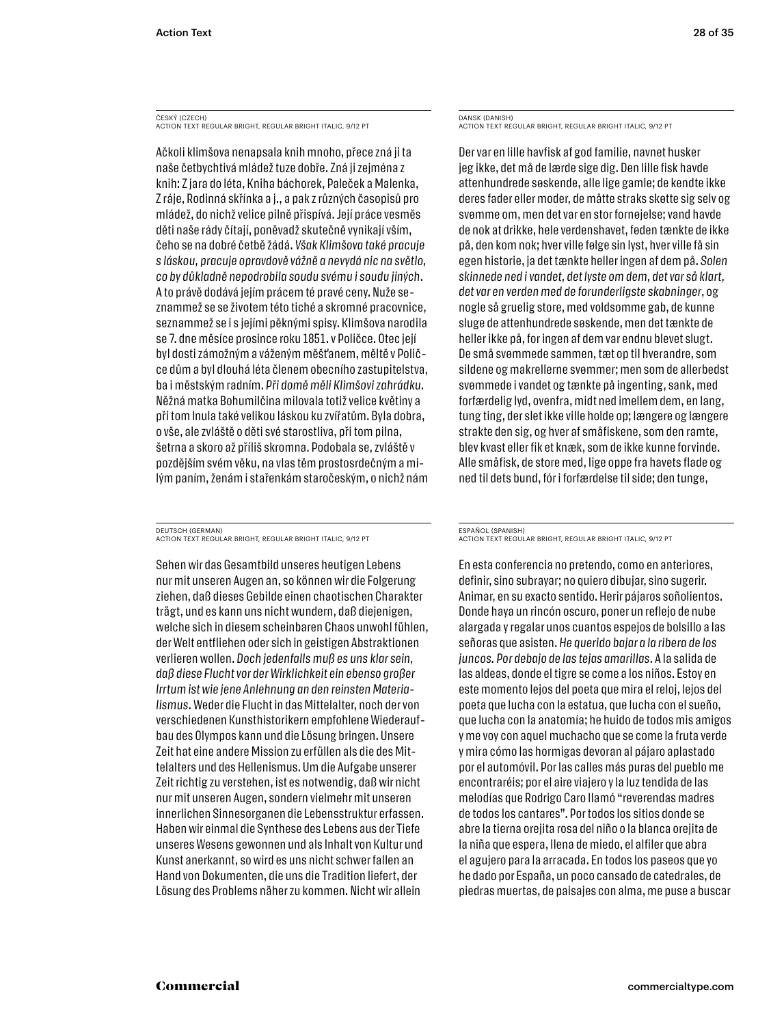ČESKÝ (CZECH) ACTION TEXT REGULAR BRIGHT, REGULAR BRIGHT ITALIC, 9/12 PT

Ačkoli klimšova nenapsala knih mnoho, přece zná ji ta naše četbychtivá mládež tuze dobře. Zná ji zejména z knih: Z jara do léta, Kniha báchorek, Paleček a Malenka, Z ráje, Rodinná skřínka a j., a pak z různých časopisů pro mládež, do nichž velice pilně přispívá. Její práce vesměs děti naše rády čítají, poněvadž skutečně vynikají vším, čeho se na dobré četbě žádá. *Však Klimšova také pracuje s láskou, pracuje opravdově vážně a nevydá nic na světlo, co by důkladně nepodrobila soudu svému i soudu jiných*. A to právě dodává jejím prácem té pravé ceny. Nuže seznammež se se životem této tiché a skromné pracovnice, seznammež se i s jejími pěknými spisy. Klimšova narodila se 7. dne měsíce prosince roku 1851. v Poličce. Otec její byl dosti zámožným a váženým měšťanem, měltě v Poličce dům a byl dlouhá léta členem obecního zastupitelstva, ba i městským radním. *Při domě měli Klimšovi zahrádku.*  Něžná matka Bohumilčina milovala totiž velice květiny a při tom lnula také velikou láskou ku zvířatům. Byla dobra, o vše, ale zvláště o děti své starostliva, při tom pilna, šetrna a skoro až příliš skromna. Podobala se, zvláště v pozdějším svém věku, na vlas těm prostosrdečným a milým paním, ženám i stařenkám staročeským, o nichž nám

DEUTSCH (GERMAN) ACTION TEXT REGULAR BRIGHT, REGULAR BRIGHT ITALIC, 9/12 PT

Sehen wir das Gesamtbild unseres heutigen Lebens nur mit unseren Augen an, so können wir die Folgerung ziehen, daß dieses Gebilde einen chaotischen Charakter trägt, und es kann uns nicht wundern, daß diejenigen, welche sich in diesem scheinbaren Chaos unwohl fühlen, der Welt entfliehen oder sich in geistigen Abstraktionen verlieren wollen. *Doch jedenfalls muß es uns klar sein, daß diese Flucht vor der Wirklichkeit ein ebenso großer Irrtum ist wie jene Anlehnung an den reinsten Materialismus*. Weder die Flucht in das Mittelalter, noch der von verschiedenen Kunsthistorikern empfohlene Wiederaufbau des Olympos kann und die Lösung bringen. Unsere Zeit hat eine andere Mission zu erfüllen als die des Mittelalters und des Hellenismus. Um die Aufgabe unserer Zeit richtig zu verstehen, ist es notwendig, daß wir nicht nur mit unseren Augen, sondern vielmehr mit unseren innerlichen Sinnesorganen die Lebensstruktur erfassen. Haben wir einmal die Synthese des Lebens aus der Tiefe unseres Wesens gewonnen und als Inhalt von Kultur und Kunst anerkannt, so wird es uns nicht schwer fallen an Hand von Dokumenten, die uns die Tradition liefert, der Lösung des Problems näher zu kommen. Nicht wir allein

DANSK (DANISH) ACTION TEXT REGULAR BRIGHT, REGULAR BRIGHT ITALIC, 9/12 PT

Der var en lille havfisk af god familie, navnet husker jeg ikke, det må de lærde sige dig. Den lille fisk havde attenhundrede søskende, alle lige gamle; de kendte ikke deres fader eller moder, de måtte straks skøtte sig selv og svømme om, men det var en stor fornøjelse; vand havde de nok at drikke, hele verdenshavet, føden tænkte de ikke på, den kom nok; hver ville følge sin lyst, hver ville få sin egen historie, ja det tænkte heller ingen af dem på. *Solen skinnede ned i vandet, det lyste om dem, det var så klart, det var en verden med de forunderligste skabninger*, og nogle så gruelig store, med voldsomme gab, de kunne sluge de attenhundrede søskende, men det tænkte de heller ikke på, for ingen af dem var endnu blevet slugt. De små svømmede sammen, tæt op til hverandre, som sildene og makrellerne svømmer; men som de allerbedst svømmede i vandet og tænkte på ingenting, sank, med forfærdelig lyd, ovenfra, midt ned imellem dem, en lang, tung ting, der slet ikke ville holde op; længere og længere strakte den sig, og hver af småfiskene, som den ramte, blev kvast eller fik et knæk, som de ikke kunne forvinde. Alle småfisk, de store med, lige oppe fra havets flade og ned til dets bund, fór i forfærdelse til side; den tunge,

#### ESPAÑOL (SPANISH)

ACTION TEXT REGULAR BRIGHT, REGULAR BRIGHT ITALIC, 9/12 PT

En esta conferencia no pretendo, como en anteriores, definir, sino subrayar; no quiero dibujar, sino sugerir. Animar, en su exacto sentido. Herir pájaros soñolientos. Donde haya un rincón oscuro, poner un reflejo de nube alargada y regalar unos cuantos espejos de bolsillo a las señoras que asisten. *He querido bajar a la ribera de los juncos. Por debajo de las tejas amarillas*. A la salida de las aldeas, donde el tigre se come a los niños. Estoy en este momento lejos del poeta que mira el reloj, lejos del poeta que lucha con la estatua, que lucha con el sueño, que lucha con la anatomía; he huido de todos mis amigos y me voy con aquel muchacho que se come la fruta verde y mira cómo las hormigas devoran al pájaro aplastado por el automóvil. Por las calles más puras del pueblo me encontraréis; por el aire viajero y la luz tendida de las melodías que Rodrigo Caro llamó "reverendas madres de todos los cantares". Por todos los sitios donde se abre la tierna orejita rosa del niño o la blanca orejita de la niña que espera, llena de miedo, el alfiler que abra el agujero para la arracada. En todos los paseos que yo he dado por España, un poco cansado de catedrales, de piedras muertas, de paisajes con alma, me puse a buscar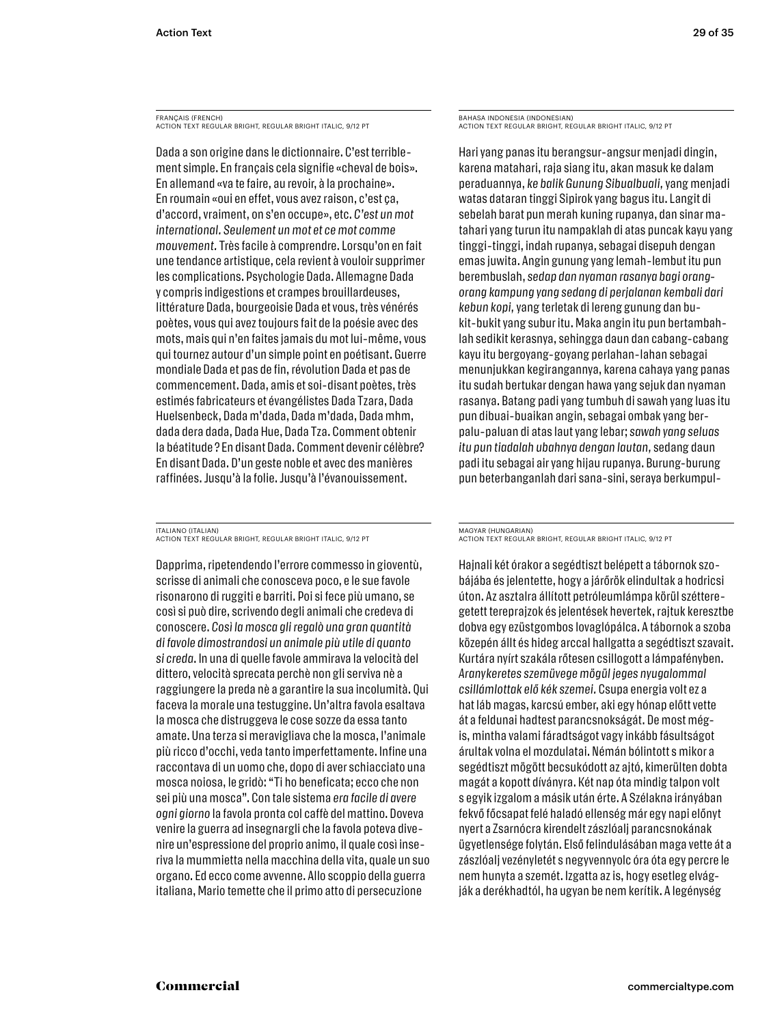FRANÇAIS (FRENCH) ACTION TEXT REGULAR BRIGHT, REGULAR BRIGHT ITALIC, 9/12 PT

Dada a son origine dans le dictionnaire. C'est terriblement simple. En français cela signifie «cheval de bois». En allemand «va te faire, au revoir, à la prochaine». En roumain «oui en effet, vous avez raison, c'est ça, d'accord, vraiment, on s'en occupe», etc. *C'est un mot international. Seulement un mot et ce mot comme mouvement.* Très facile à comprendre. Lorsqu'on en fait une tendance artistique, cela revient à vouloir supprimer les complications. Psychologie Dada. Allemagne Dada y compris indigestions et crampes brouillardeuses, littérature Dada, bourgeoisie Dada et vous, très vénérés poètes, vous qui avez toujours fait de la poésie avec des mots, mais qui n'en faites jamais du mot lui-même, vous qui tournez autour d'un simple point en poétisant. Guerre mondiale Dada et pas de fin, révolution Dada et pas de commencement. Dada, amis et soi-disant poètes, très estimés fabricateurs et évangélistes Dada Tzara, Dada Huelsenbeck, Dada m'dada, Dada m'dada, Dada mhm, dada dera dada, Dada Hue, Dada Tza. Comment obtenir la béatitude ? En disant Dada. Comment devenir célèbre? En disant Dada. D'un geste noble et avec des manières raffinées. Jusqu'à la folie. Jusqu'à l'évanouissement.

ITALIANO (ITALIAN) ACTION TEXT REGULAR BRIGHT, REGULAR BRIGHT ITALIC, 9/12 PT

Dapprima, ripetendendo l'errore commesso in gioventù, scrisse di animali che conosceva poco, e le sue favole risonarono di ruggiti e barriti. Poi si fece più umano, se così si può dire, scrivendo degli animali che credeva di conoscere. *Così la mosca gli regalò una gran quantità di favole dimostrandosi un animale più utile di quanto si creda*. In una di quelle favole ammirava la velocità del dittero, velocità sprecata perchè non gli serviva nè a raggiungere la preda nè a garantire la sua incolumità. Qui faceva la morale una testuggine. Un'altra favola esaltava la mosca che distruggeva le cose sozze da essa tanto amate. Una terza si meravigliava che la mosca, l'animale più ricco d'occhi, veda tanto imperfettamente. Infine una raccontava di un uomo che, dopo di aver schiacciato una mosca noiosa, le gridò: "Ti ho beneficata; ecco che non sei più una mosca". Con tale sistema *era facile di avere ogni giorno* la favola pronta col caffè del mattino. Doveva venire la guerra ad insegnargli che la favola poteva divenire un'espressione del proprio animo, il quale così inseriva la mummietta nella macchina della vita, quale un suo organo. Ed ecco come avvenne. Allo scoppio della guerra italiana, Mario temette che il primo atto di persecuzione

BAHASA INDONESIA (INDONESIAN) ACTION TEXT REGULAR BRIGHT, REGULAR BRIGHT ITALIC, 9/12 PT

Hari yang panas itu berangsur-angsur menjadi dingin, karena matahari, raja siang itu, akan masuk ke dalam peraduannya, *ke balik Gunung Sibualbuali,* yang menjadi watas dataran tinggi Sipirok yang bagus itu. Langit di sebelah barat pun merah kuning rupanya, dan sinar matahari yang turun itu nampaklah di atas puncak kayu yang tinggi-tinggi, indah rupanya, sebagai disepuh dengan emas juwita. Angin gunung yang lemah-lembut itu pun berembuslah, *sedap dan nyaman rasanya bagi orangorang kampung yang sedang di perjalanan kembali dari kebun kopi,* yang terletak di lereng gunung dan bukit-bukit yang subur itu. Maka angin itu pun bertambahlah sedikit kerasnya, sehingga daun dan cabang-cabang kayu itu bergoyang-goyang perlahan-lahan sebagai menunjukkan kegirangannya, karena cahaya yang panas itu sudah bertukar dengan hawa yang sejuk dan nyaman rasanya. Batang padi yang tumbuh di sawah yang luas itu pun dibuai-buaikan angin, sebagai ombak yang berpalu-paluan di atas laut yang lebar; *sawah yang seluas itu pun tiadalah ubahnya dengan lautan,* sedang daun padi itu sebagai air yang hijau rupanya. Burung-burung pun beterbanganlah dari sana-sini, seraya berkumpul-

MAGYAR (HUNGARIAN) ACTION TEXT REGULAR BRIGHT, REGULAR BRIGHT ITALIC, 9/12 PT

Hajnali két órakor a segédtiszt belépett a tábornok szobájába és jelentette, hogy a járőrök elindultak a hodricsi úton. Az asztalra állított petróleumlámpa körül szétteregetett tereprajzok és jelentések hevertek, rajtuk keresztbe dobva egy ezüstgombos lovaglópálca. A tábornok a szoba közepén állt és hideg arccal hallgatta a segédtiszt szavait. Kurtára nyírt szakála rőtesen csillogott a lámpafényben. *Aranykeretes szemüvege mögül jeges nyugalommal csillámlottak elő kék szemei.* Csupa energia volt ez a hat láb magas, karcsú ember, aki egy hónap előtt vette át a feldunai hadtest parancsnokságát. De most mégis, mintha valami fáradtságot vagy inkább fásultságot árultak volna el mozdulatai. Némán bólintott s mikor a segédtiszt mögött becsukódott az ajtó, kimerülten dobta magát a kopott díványra. Két nap óta mindig talpon volt s egyik izgalom a másik után érte. A Szélakna irányában fekvő főcsapat felé haladó ellenség már egy napi előnyt nyert a Zsarnócra kirendelt zászlóalj parancsnokának ügyetlensége folytán. Első felindulásában maga vette át a zászlóalj vezényletét s negyvennyolc óra óta egy percre le nem hunyta a szemét. Izgatta az is, hogy esetleg elvágják a derékhadtól, ha ugyan be nem kerítik. A legénység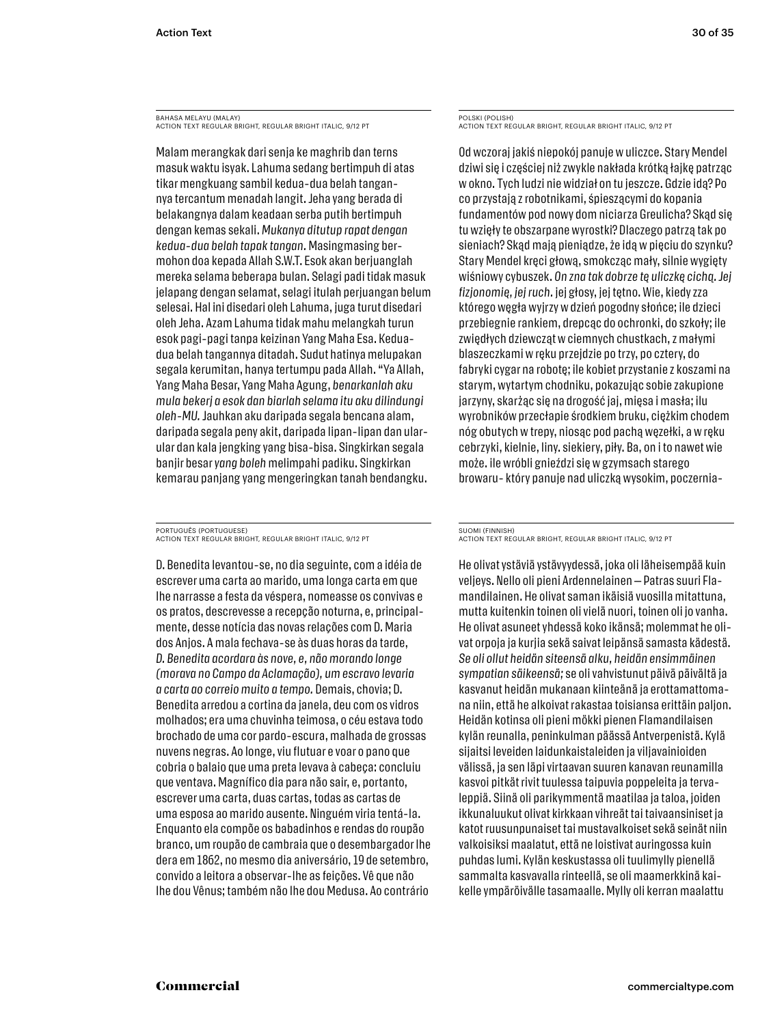BAHASA MELAYU (MALAY) ACTION TEXT REGULAR BRIGHT, REGULAR BRIGHT ITALIC, 9/12 PT

Malam merangkak dari senja ke maghrib dan terns masuk waktu isyak. Lahuma sedang bertimpuh di atas tikar mengkuang sambil kedua-dua belah tangannya tercantum menadah langit. Jeha yang berada di belakangnya dalam keadaan serba putih bertimpuh dengan kemas sekali. *Mukanya ditutup rapat dengan kedua-dua belah tapak tangan.* Masingmasing bermohon doa kepada Allah S.W.T. Esok akan berjuanglah mereka selama beberapa bulan. Selagi padi tidak masuk jelapang dengan selamat, selagi itulah perjuangan belum selesai. Hal ini disedari oleh Lahuma, juga turut disedari oleh Jeha. Azam Lahuma tidak mahu melangkah turun esok pagi-pagi tanpa keizinan Yang Maha Esa. Keduadua belah tangannya ditadah. Sudut hatinya melupakan segala kerumitan, hanya tertumpu pada Allah. "Ya Allah, Yang Maha Besar, Yang Maha Agung, *benarkanlah aku mula bekerj a esok dan biarlah selama itu aku dilindungi oleh-MU.* Jauhkan aku daripada segala bencana alam, daripada segala peny akit, daripada lipan-lipan dan ularular dan kala jengking yang bisa-bisa. Singkirkan segala banjir besar *yang boleh* melimpahi padiku. Singkirkan kemarau panjang yang mengeringkan tanah bendangku.

PORTUGUÊS (PORTUGUESE) ACTION TEXT REGULAR BRIGHT, REGULAR BRIGHT ITALIC, 9/12 PT

D. Benedita levantou-se, no dia seguinte, com a idéia de escrever uma carta ao marido, uma longa carta em que lhe narrasse a festa da véspera, nomeasse os convivas e os pratos, descrevesse a recepção noturna, e, principalmente, desse notícia das novas relações com D. Maria dos Anjos. A mala fechava-se às duas horas da tarde, *D. Benedita acordara às nove, e, não morando longe (morava no Campo da Aclamação), um escravo levaria a carta ao correio muito a tempo.* Demais, chovia; D. Benedita arredou a cortina da janela, deu com os vidros molhados; era uma chuvinha teimosa, o céu estava todo brochado de uma cor pardo-escura, malhada de grossas nuvens negras. Ao longe, viu flutuar e voar o pano que cobria o balaio que uma preta levava à cabeça: concluiu que ventava. Magnífico dia para não sair, e, portanto, escrever uma carta, duas cartas, todas as cartas de uma esposa ao marido ausente. Ninguém viria tentá-la. Enquanto ela compõe os babadinhos e rendas do roupão branco, um roupão de cambraia que o desembargador lhe dera em 1862, no mesmo dia aniversário, 19 de setembro, convido a leitora a observar-lhe as feições. Vê que não lhe dou Vênus; também não lhe dou Medusa. Ao contrário

POLSKI (POLISH) ACTION TEXT REGULAR BRIGHT, REGULAR BRIGHT ITALIC, 9/12 PT

Od wczoraj jakiś niepokój panuje w uliczce. Stary Mendel dziwi się i częściej niż zwykle nakłada krótką łajkę patrząc w okno. Tych ludzi nie widział on tu jeszcze. Gdzie idą? Po co przystają z robotnikami, śpieszącymi do kopania fundamentów pod nowy dom niciarza Greulicha? Skąd się tu wzięły te obszarpane wyrostki? Dlaczego patrzą tak po sieniach? Skąd mają pieniądze, że idą w pięciu do szynku? Stary Mendel kręci głową, smokcząc mały, silnie wygięty wiśniowy cybuszek. *On zna tak dobr ze tę uliczkę cichą. Jej fizjonomię, jej ruch.* jej głosy, jej tętno. Wie, kiedy zza którego węgła wyjrzy w dzień pogodny słońce; ile dzieci przebiegnie rankiem, drepcąc do ochronki, do szkoły; ile zwiędłych dziewcząt w ciemnych chustkach, z małymi blaszeczkami w ręku przejdzie po trzy, po cztery, do fabryki cygar na robotę; ile kobiet przystanie z koszami na starym, wytartym chodniku, pokazując sobie zakupione jarzyny, skarżąc się na drogość jaj, mięsa i masła; ilu wyrobników przecłapie środkiem bruku, ciężkim chodem nóg obutych w trepy, niosąc pod pachą węzełki, a w ręku cebrzyki, kielnie, liny. siekiery, piły. Ba, on i to nawet wie może. ile wróbli gnieździ się w gzymsach starego browaru- który panuje nad uliczką wysokim, poczernia-

SUOMI (FINNISH) ACTION TEXT REGULAR BRIGHT, REGULAR BRIGHT ITALIC, 9/12 PT

He olivat ystäviä ystävyydessä, joka oli läheisempää kuin veljeys. Nello oli pieni Ardennelainen — Patras suuri Flamandilainen. He olivat saman ikäisiä vuosilla mitattuna, mutta kuitenkin toinen oli vielä nuori, toinen oli jo vanha. He olivat asuneet yhdessä koko ikänsä; molemmat he olivat orpoja ja kurjia sekä saivat leipänsä samasta kädestä. *Se oli ollut heidän siteensä alku, heidän ensimmäinen sympatian säikeensä;* se oli vahvistunut päivä päivältä ja kasvanut heidän mukanaan kiinteänä ja erottamattomana niin, että he alkoivat rakastaa toisiansa erittäin paljon. Heidän kotinsa oli pieni mökki pienen Flamandilaisen kylän reunalla, peninkulman päässä Antverpenistä. Kylä sijaitsi leveiden laidunkaistaleiden ja viljavainioiden välissä, ja sen läpi virtaavan suuren kanavan reunamilla kasvoi pitkät rivit tuulessa taipuvia poppeleita ja tervaleppiä. Siinä oli parikymmentä maatilaa ja taloa, joiden ikkunaluukut olivat kirkkaan vihreät tai taivaansiniset ja katot ruusunpunaiset tai mustavalkoiset sekä seinät niin valkoisiksi maalatut, että ne loistivat auringossa kuin puhdas lumi. Kylän keskustassa oli tuulimylly pienellä sammalta kasvavalla rinteellä, se oli maamerkkinä kaikelle ympäröivälle tasamaalle. Mylly oli kerran maalattu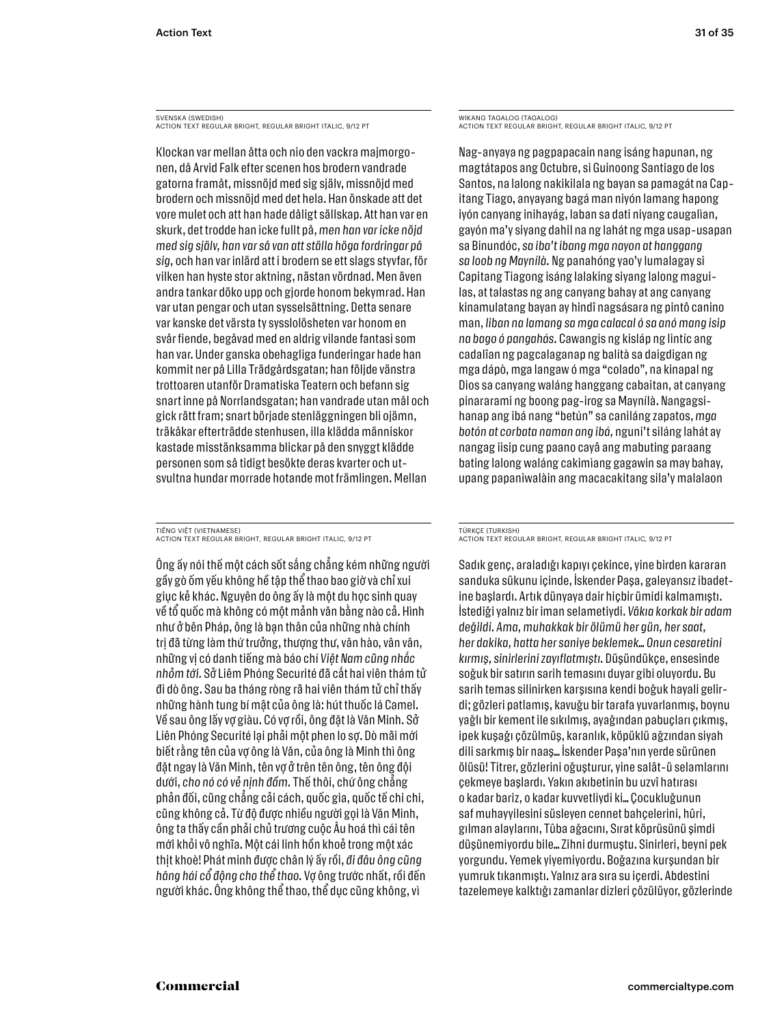SVENSKA (SWEDISH) ACTION TEXT REGULAR BRIGHT, REGULAR BRIGHT ITALIC, 9/12 PT

Klockan var mellan åtta och nio den vackra majmorgonen, då Arvid Falk efter scenen hos brodern vandrade gatorna framåt, missnöjd med sig själv, missnöjd med brodern och missnöjd med det hela. Han önskade att det vore mulet och att han hade dåligt sällskap. Att han var en skurk, det trodde han icke fullt på, *men han var icke nöjd med sig själv, han var så van att ställa höga fordringar på sig,* och han var inlärd att i brodern se ett slags styvfar, för vilken han hyste stor aktning, nästan vördnad. Men även andra tankar döko upp och gjorde honom bekymrad. Han var utan pengar och utan sysselsättning. Detta senare var kanske det värsta ty sysslolösheten var honom en svår fiende, begåvad med en aldrig vilande fantasi som han var. Under ganska obehagliga funderingar hade han kommit ner på Lilla Trädgårdsgatan; han följde vänstra trottoaren utanför Dramatiska Teatern och befann sig snart inne på Norrlandsgatan; han vandrade utan mål och gick rätt fram; snart började stenläggningen bli ojämn, träkåkar efterträdde stenhusen, illa klädda människor kastade misstänksamma blickar på den snyggt klädde personen som så tidigt besökte deras kvarter och utsvultna hundar morrade hotande mot främlingen. Mellan

TIẾNG VIỆT (VIETNAMESE) ACTION TEXT REGULAR BRIGHT, REGULAR BRIGHT ITALIC, 9/12 PT

Ông ấy nói thế một cách sốt sắng chẳng kém những người gầy gò ốm yếu không hề tập thể thao bao giờ và chỉ xui giục kẻ khác. Nguyên do ông ấy là một du học sinh quay về tổ quốc mà không có một mảnh văn bằng nào cả. Hình như ở bên Pháp, ông là bạn thân của những nhà chính trị đã từng làm thứ trưởng, thượng thư, văn hào, vân vân, những vị có danh tiếng mà báo chí *Việt Nam cũng nhắc nhỏm tới.* Sở Liêm Phóng Securité đã cắt hai viên thám tử đi dò ông. Sau ba tháng ròng rã hai viên thám tử chỉ thấy những hành tung bí mật của ông là: hút thuốc lá Camel. Về sau ông lấy vợ giàu. Có vợ rồi, ông đặt là Văn Minh. Sở Liên Phóng Securité lại phải một phen lo sợ. Dò mãi mới biết rằng tên của vợ ông là Văn, của ông là Minh thì ông đặt ngay là Văn Minh, tên vợ ở trên tên ông, tên ông đội dưới, *cho nó có vẻ nịnh đầm.* Thế thôi, chứ ông chẳng phản đối, cũng chẳng cải cách, quốc gia, quốc tế chi chi, cũng không cả. Từ độ được nhiều người gọi là Văn Minh, ông ta thấy cần phải chủ trương cuộc Âu hoá thì cái tên mới khỏi vô nghĩa. Một cái linh hồn khoẻ trong một xác thịt khoè! Phát minh được chân lý ấy rồi, *đi đâu ông cũng hăng hái cổ động cho thể thao.* Vợ ông trước nhất, rồi đến người khác. Ông không thể thao, thể dục cũng không, vì

WIKANG TAGALOG (TAGALOG) ACTION TEXT REGULAR BRIGHT, REGULAR BRIGHT ITALIC, 9/12 PT

Nag-anyaya ng pagpapacain nang isáng hapunan, ng magtátapos ang Octubre, si Guinoong Santiago de los Santos, na lalong nakikilala ng bayan sa pamagát na Capitang Tiago, anyayang bagá man niyón lamang hapong iyón canyang inihayág, laban sa dati niyang caugalìan, gayón ma'y siyang dahil na ng lahát ng mga usap-usapan sa Binundóc, *sa iba't ibang mga nayon at hanggang sa loob ng Maynílà.* Ng panahóng yao'y lumalagay si Capitang Tiagong isáng lalaking siyang lalong maguilas, at talastas ng ang canyang bahay at ang canyang kinamulatang bayan ay hindî nagsásara ng pintô canino man, *liban na lamang sa mga calacal ó sa anó mang isip na bago ó pangahás.* Cawangis ng kisláp ng lintíc ang cadalîan ng pagcalaganap ng balítà sa daigdigan ng mga dápò, mga langaw ó mga "colado", na kinapal ng Dios sa canyang waláng hanggang cabaitan, at canyang pinararami ng boong pag-irog sa Maynílà. Nangagsihanap ang ibá nang "betún" sa caniláng zapatos, *mga botón at corbata naman ang ibá,* nguni't siláng lahát ay nangag iisip cung paano cayâ ang mabuting paraang bating lalong waláng cakimìang gagawin sa may bahay, upang papaniwalàin ang macacakitang sila'y malalaon

ACTION TEXT REGULAR BRIGHT, REGULAR BRIGHT ITALIC, 9/12 PT

Sadık genç, araladığı kapıyı çekince, yine birden kararan sanduka sükunu içinde, İskender Paşa, galeyansız ibadetine başlardı. Artık dünyaya dair hiçbir ümidi kalmamıştı. İstediği yalnız bir iman selametiydi. *Vâkıa korkak bir adam değildi. Ama, muhakkak bir ölümü her gün, her saat, her dakika, hatta her saniye beklemek… Onun cesaretini kırmış, sinirlerini zayıflatmıştı.* Düşündükçe, ensesinde soğuk bir satırın sarih temasını duyar gibi oluyordu. Bu sarih temas silinirken karşısına kendi boğuk hayali gelirdi; gözleri patlamış, kavuğu bir tarafa yuvarlanmış, boynu yağlı bir kement ile sıkılmış, ayağından pabuçları çıkmış, ipek kuşağı çözülmüş, karanlık, köpüklü ağzından siyah dili sarkmış bir naaş… İskender Paşa'nın yerde sürünen ölüsü! Titrer, gözlerini oğuşturur, yine salât-ü selamlarını çekmeye başlardı. Yakın akıbetinin bu uzvî hatırası o kadar bariz, o kadar kuvvetliydi ki… Çocukluğunun saf muhayyilesini süsleyen cennet bahçelerini, hûri, gılman alaylarını, Tûba ağacını, Sırat köprüsünü şimdi düşünemiyordu bile… Zihni durmuştu. Sinirleri, beyni pek yorgundu. Yemek yiyemiyordu. Boğazına kurşundan bir yumruk tıkanmıştı. Yalnız ara sıra su içerdi. Abdestini tazelemeye kalktığı zamanlar dizleri çözülüyor, gözlerinde

TÜRKÇE (TURKISH)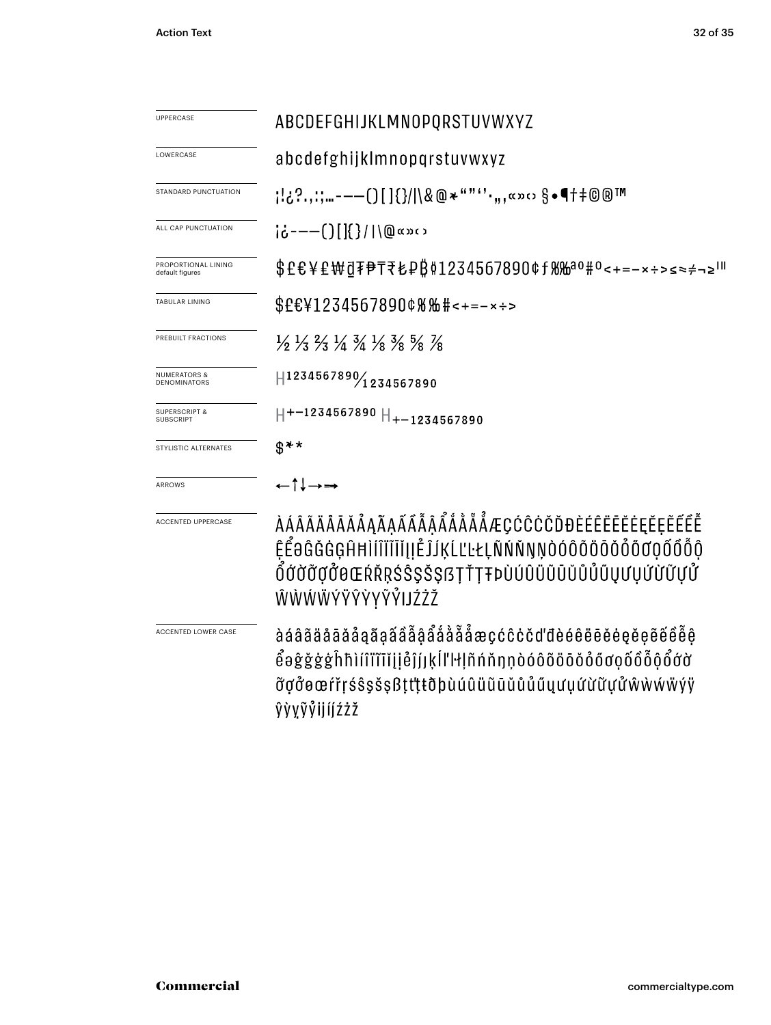| <b>UPPERCASE</b>                               | ABCDEFGHIJKLMNOPQRSTUVWXYZ                                                                                                                                                       |
|------------------------------------------------|----------------------------------------------------------------------------------------------------------------------------------------------------------------------------------|
| LOWERCASE                                      | abcdefghijklmnopqrstuvwxyz                                                                                                                                                       |
| STANDARD PUNCTUATION                           | ;¦¿?,,;;"-——()[]{}/ \&@*""''·",«»:› §•¶†‡©®™                                                                                                                                     |
| ALL CAP PUNCTUATION                            | $i\dot{\phi}$ ----()[]{}/ \@«»‹›                                                                                                                                                 |
| PROPORTIONAL LINING<br>default figures         | \$£€¥£₩₫₮₱₸₹₺₽₿₡1234567890¢ƒ₨₩ªº<+=-×÷>≤≈≠¬≥Ш                                                                                                                                    |
| <b>TABULAR LINING</b>                          | \$£€¥1234567890¢%%#<+=-×÷>                                                                                                                                                       |
| PREBUILT FRACTIONS                             | $\frac{1}{2}$ $\frac{1}{3}$ $\frac{2}{3}$ $\frac{1}{4}$ $\frac{3}{4}$ $\frac{1}{8}$ $\frac{3}{8}$ $\frac{5}{8}$ $\frac{7}{8}$                                                    |
| <b>NUMERATORS &amp;</b><br><b>DENOMINATORS</b> | 1234567890/1234567890                                                                                                                                                            |
| <b>SUPERSCRIPT &amp;</b><br><b>SUBSCRIPT</b>   | $H$ +-1234567890 $H$ <sub>+-1234567890</sub>                                                                                                                                     |
| STYLISTIC ALTERNATES                           | ዌ∗∗                                                                                                                                                                              |
| <b>ARROWS</b>                                  | ←↑↓→→                                                                                                                                                                            |
| <b>ACCENTED UPPERCASE</b>                      | <i><b>AAAAAAAAAAAAAAAAÅAÅÅÅÅAEÇĆĈĊŎĐĐÈÉÊËËËËĘĔĘĔ</b>Ê</i> ÊÊ<br>ĔĔŧĠĠĠĠŔĦĬĺĨĨĨĬĬIJĔĴĹĶĹĽĿŁĻÑŃŇŊŅÒÓÔŎŎŎŎŎŐŎŎŐŐŎ<br>ŎĆŎŎŢŎĠŒŔŘŖŚŜŞŠŞſ3ŢŤŢŦÞÙÚÛÜŨŨŬŮŮŰŲƯŲŰŬŬŲŮ<br>ŴŴŴŴÝŸŶŶYŶŶŀIJŹŻŽ |
| ACCENTED LOWER CASE                            | à á â ã ä å ā ă å å g ã â â å å å å å å æ ç ć ĉ ċ č ď đ è é ë ë ë ë ë e ë ë ë ë ë ë ë<br>õgõeœŕřŗśŝşšşßţt'ţŧðþùúûüūūŭûűųưụứừữựửŵẁẃẅÿÿ<br>ŷỳỵỹỷijíjźżž                            |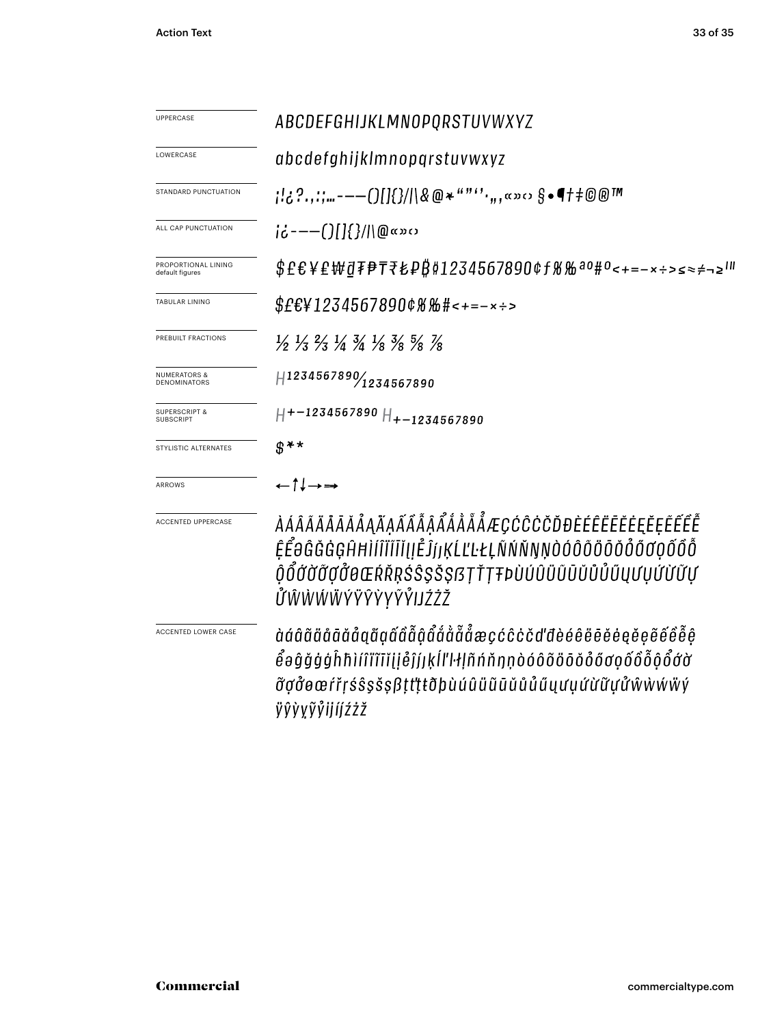| <b>UPPERCASE</b>                             | ABCDEFGHIJKLMNOPQRSTUVWXYZ                                                                                                                                                                                                                                                       |  |  |  |
|----------------------------------------------|----------------------------------------------------------------------------------------------------------------------------------------------------------------------------------------------------------------------------------------------------------------------------------|--|--|--|
| LOWERCASE                                    | abcdefghijklmnopqrstuvwxyz                                                                                                                                                                                                                                                       |  |  |  |
| STANDARD PUNCTUATION                         | ;!¿?.,:;…---()[]{}/ \&@*""''·,,,«»0 §•¶†‡©®™                                                                                                                                                                                                                                     |  |  |  |
| ALL CAP PUNCTUATION                          | $ic$ ---( )[ ]{ }/ \@«» $\circ$                                                                                                                                                                                                                                                  |  |  |  |
| PROPORTIONAL LINING<br>default figures       | \$£€¥£₩₫₮₱₸₹₺₽₿₡1234567890¢ƒ%‰ªº#º<+=-×÷>≤≈≠¬≥'"                                                                                                                                                                                                                                 |  |  |  |
| <b>TABULAR LINING</b>                        | $$E$ E¥1234567890¢%‰#<+=-×÷>                                                                                                                                                                                                                                                     |  |  |  |
| PREBUILT FRACTIONS                           | $\frac{1}{2}$ $\frac{1}{3}$ $\frac{2}{3}$ $\frac{1}{4}$ $\frac{3}{4}$ $\frac{1}{8}$ $\frac{3}{8}$ $\frac{5}{8}$ $\frac{7}{8}$                                                                                                                                                    |  |  |  |
| <b>NUMERATORS &amp;</b><br>DENOMINATORS      | $H$ 1234567890 $\frac{1}{2}$ 1234567890                                                                                                                                                                                                                                          |  |  |  |
| <b>SUPERSCRIPT &amp;</b><br><b>SUBSCRIPT</b> | $H$ +-1234567890 $H$ <sub>+-1234567890</sub>                                                                                                                                                                                                                                     |  |  |  |
| STYLISTIC ALTERNATES                         | $\mathcal{S}$ <sup>**</sup>                                                                                                                                                                                                                                                      |  |  |  |
| ARROWS                                       | $\leftarrow \uparrow \downarrow \rightarrow \rightarrow$                                                                                                                                                                                                                         |  |  |  |
| ACCENTED UPPERCASE                           | <i>ÀÁÂÃÄĀĀĀÅĄÅĄÃÃÃÃÅÅÅÅÅÅÆÇĆĈĊŎĎĐÈÉÊËĒĔĖĘĔĘĔÊ</i> ÊÊ<br>ĔĔŨĠĞĠĢĤĦĬĺĨĬĨĬĬĮŀĔĴſŀĶĹĽĿŁĻÑŃŇŊŅÒÓÔÕŎŎŎŎŐŐŎŎŐŐ<br>ŎŎŐŎŎŎŎŎŒŔŘŖŚŜŞŠŞſ3ŢŤŢŦÞÙÚÛÜŨŨŬŮŮŰŲƯŲŰŬŨŲ<br><i>ŮŴŴŴŴ</i> ÝŸŶŶYŶ <i>ŶIJŹŻ</i> Ž                                                                                       |  |  |  |
| ACCENTED LOWER CASE                          | àáâãäåããåååååååååååååååæçćĉċčďđèéêëēěėęĕệẽ́êểê<br>$\mathring{\mathcal{C}}$ əĝğġģĥħìíîïïīiḷḷ $\mathring{\mathcal{C}}$ jjķĺľŀłḷñńňŋṇòóôõöōŏỏőơợốô $\mathring{\mathcal{C}}$ ớ $\mathring{\mathcal{C}}$ ớờ<br><i>ซ</i> ้ợởøœŕřŗśŝşšşßţt'ţŧðþùúûüũūŭůůűųưụứừữựửŵẁẃẅý<br>ÿŷỳỵỹỷijíjźżž |  |  |  |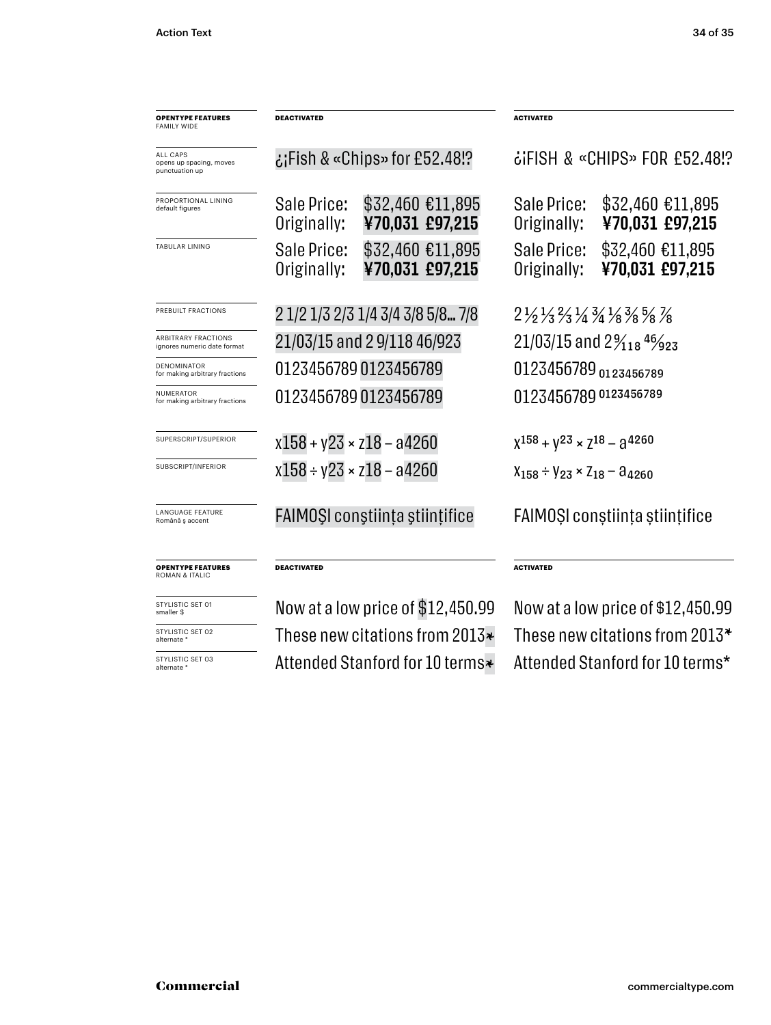| <b>OPENTYPE FEATURES</b><br><b>FAMILY WIDE</b>            | <b>DEACTIVATED</b>                |                                     | <b>ACTIVATED</b>                                                                                       |                                     |  |
|-----------------------------------------------------------|-----------------------------------|-------------------------------------|--------------------------------------------------------------------------------------------------------|-------------------------------------|--|
| ALL CAPS<br>opens up spacing, moves<br>punctuation up     | :Fish & «Chips» for £52.48        |                                     | $\ddot{\text{c}}$ ifish & «ChipS» FOR £52.48!?                                                         |                                     |  |
| PROPORTIONAL LINING<br>default figures                    | Sale Price:<br>Originally:        | \$32,460 €11,895<br>¥70,031 £97,215 | Sale Price:<br>Originally:                                                                             | \$32,460 €11,895<br>¥70,031 £97,215 |  |
| <b>TABULAR LINING</b>                                     | Sale Price:<br>Originally:        | \$32,460 €11,895<br>¥70,031 £97,215 | Sale Price:<br>Originally:                                                                             | \$32,460 €11,895<br>¥70,031 £97,215 |  |
| PREBUILT FRACTIONS                                        |                                   | 2 1/2 1/3 2/3 1/4 3/4 3/8 5/8 7/8   | $2\frac{1}{2}\frac{1}{3}\frac{2}{3}\frac{1}{4}\frac{3}{4}\frac{1}{8}\frac{3}{8}\frac{5}{8}\frac{7}{8}$ |                                     |  |
| <b>ARBITRARY FRACTIONS</b><br>ignores numeric date format | 21/03/15 and 2 9/118 46/923       |                                     | 21/03/15 and $2\frac{9}{18}$ $4\frac{6}{9}$ $23$                                                       |                                     |  |
| <b>DENOMINATOR</b><br>for making arbitrary fractions      | 01234567890123456789              |                                     | 0123456789 0123456789                                                                                  |                                     |  |
| <b>NUMERATOR</b><br>for making arbitrary fractions        | 01234567890123456789              |                                     | 0123456789 0123456789                                                                                  |                                     |  |
| SUPERSCRIPT/SUPERIOR                                      | $x158 + y23 \times z18 - a4260$   |                                     | $X^{158} + Y^{23} \times Z^{18} - 3^{4260}$                                                            |                                     |  |
| SUBSCRIPT/INFERIOR                                        | $x158 + y23 \times z18 - a4260$   |                                     | $X_{158} \div Y_{23} \times Z_{18} - \theta_{4260}$                                                    |                                     |  |
| <b>LANGUAGE FEATURE</b><br>Română ș accent                | FAIMOȘI conștiința științifice    |                                     | FAIMOȘI conștiința științifice                                                                         |                                     |  |
| <b>OPENTYPE FEATURES</b><br><b>ROMAN &amp; ITALIC</b>     | DEACTIVATED                       |                                     | <b>ACTIVATED</b>                                                                                       |                                     |  |
| STYLISTIC SET 01<br>smaller \$                            | Now at a low price of \$12,450.99 |                                     | Now at a low price of \$12,450.99                                                                      |                                     |  |
| STYLISTIC SET 02<br>alternate *                           |                                   | These new citations from 2013*      | These new citations from 2013*                                                                         |                                     |  |
| STYLISTIC SET 03<br>alternate *                           |                                   | Attended Stanford for 10 terms*     | Attended Stanford for 10 terms*                                                                        |                                     |  |